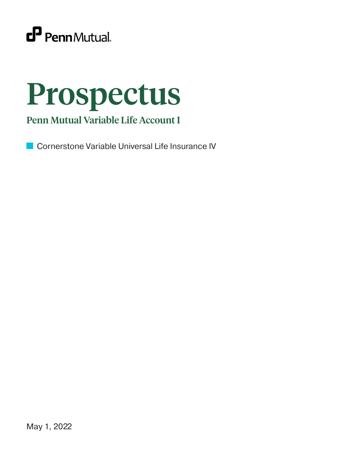

# Prospectus

## Penn Mutual Variable Life Account I

Cornerstone Variable Universal Life Insurance IV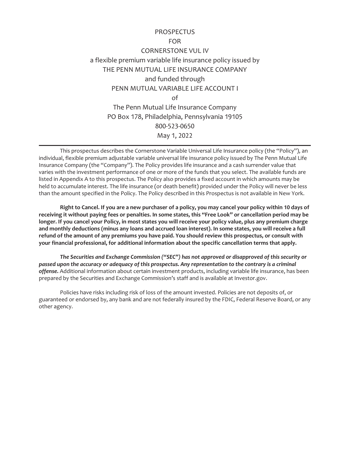### PROSPECTUS FOR CORNERSTONE VUL IV a flexible premium variable life insurance policy issued by THE PENN MUTUAL LIFE INSURANCE COMPANY and funded through PENN MUTUAL VARIABLE LIFE ACCOUNT I of The Penn Mutual Life Insurance Company PO Box 178, Philadelphia, Pennsylvania 19105 800-523-0650 May 1, 2022

This prospectus describes the Cornerstone Variable Universal Life Insurance policy (the "Policy"), an individual, flexible premium adjustable variable universal life insurance policy issued by The Penn Mutual Life Insurance Company (the "Company"). The Policy provides life insurance and a cash surrender value that varies with the investment performance of one or more of the funds that you select. The available funds are listed in Appendix A to this prospectus. The Policy also provides a fixed account in which amounts may be held to accumulate interest. The life insurance (or death benefit) provided under the Policy will never be less than the amount specified in the Policy. The Policy described in this Prospectus is not available in New York.

**Right to Cancel. If you are a new purchaser of a policy, you may cancel your policy within 10 days of receiving it without paying fees or penalties. In some states, this "Free Look" or cancellation period may be longer. If you cancel your Policy, in most states you will receive your policy value, plus any premium charge and monthly deductions (minus any loans and accrued loan interest). In some states, you will receive a full refund of the amount of any premiums you have paid. You should review this prospectus, or consult with your financial professional, for additional information about the specific cancellation terms that apply.**

*The Securities and Exchange Commission ("SEC") has not approved or disapproved of this security or passed upon the accuracy or adequacy of this prospectus. Any representation to the contrary is a criminal offense.* Additional information about certain investment products, including variable life insurance, has been prepared by the Securities and Exchange Commission's staff and is available at Investor.gov.

Policies have risks including risk of loss of the amount invested. Policies are not deposits of, or guaranteed or endorsed by, any bank and are not federally insured by the FDIC, Federal Reserve Board, or any other agency.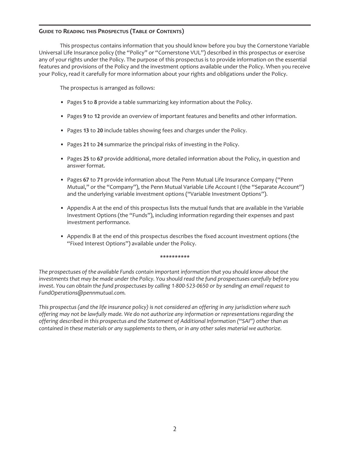#### **GUIDE TO READING THIS PROSPECTUS (TABLE OF CONTENTS)**

This prospectus contains information that you should know before you buy the Cornerstone Variable Universal Life Insurance policy (the "Policy" or "Cornerstone VUL") described in this prospectus or exercise any of your rights under the Policy. The purpose of this prospectus is to provide information on the essential features and provisions of the Policy and the investment options available under the Policy. When you receive your Policy, read it carefully for more information about your rights and obligations under the Policy.

The prospectus is arranged as follows:

- Pages **5** to **8** provide a table summarizing key information about the Policy.
- Pages **9** to **12** provide an overview of important features and benefits and other information.
- Pages **13** to **20** include tables showing fees and charges under the Policy.
- Pages **21** to **24** summarize the principal risks of investing in the Policy.
- Pages **25** to **67** provide additional, more detailed information about the Policy, in question and answer format.
- Pages **67** to **71** provide information about The Penn Mutual Life Insurance Company ("Penn Mutual," or the "Company"), the Penn Mutual Variable Life Account I (the "Separate Account") and the underlying variable investment options ("Variable Investment Options").
- Appendix A at the end of this prospectus lists the mutual funds that are available in the Variable Investment Options (the "Funds"), including information regarding their expenses and past investment performance.
- Appendix B at the end of this prospectus describes the fixed account investment options (the "Fixed Interest Options") available under the Policy.

#### **\*\*\*\*\*\*\*\*\*\***

*The prospectuses of the available Funds contain important information that you should know about the investments that may be made under the Policy. You should read the fund prospectuses carefully before you invest. You can obtain the fund prospectuses by calling 1-800-523-0650 or by sending an email request to FundOperations@pennmutual.com.*

*This prospectus (and the life insurance policy) is not considered an offering in any jurisdiction where such offering may not be lawfully made. We do not authorize any information or representations regarding the offering described in this prospectus and the Statement of Additional Information ("SAI") other than as contained in these materials or any supplements to them, or in any other sales material we authorize.*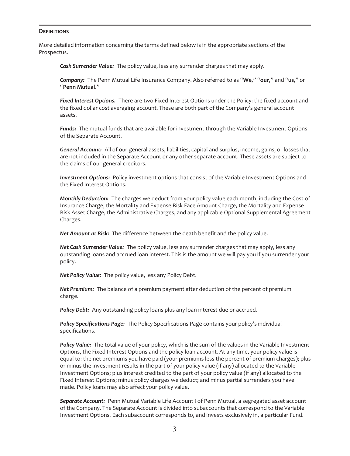#### **DEFINITIONS**

More detailed information concerning the terms defined below is in the appropriate sections of the Prospectus.

*Cash Surrender Value:* The policy value, less any surrender charges that may apply.

*Company:* The Penn Mutual Life Insurance Company. Also referred to as "**We**," "**our**," and "**us**," or "**Penn Mutual**."

*Fixed Interest Options.* There are two Fixed Interest Options under the Policy: the fixed account and the fixed dollar cost averaging account. These are both part of the Company's general account assets.

*Funds:* The mutual funds that are available for investment through the Variable Investment Options of the Separate Account.

*General Account:* All of our general assets, liabilities, capital and surplus, income, gains, or losses that are not included in the Separate Account or any other separate account. These assets are subject to the claims of our general creditors.

*Investment Options:* Policy investment options that consist of the Variable Investment Options and the Fixed Interest Options.

*Monthly Deduction:* The charges we deduct from your policy value each month, including the Cost of Insurance Charge, the Mortality and Expense Risk Face Amount Charge, the Mortality and Expense Risk Asset Charge, the Administrative Charges, and any applicable Optional Supplemental Agreement Charges.

*Net Amount at Risk:* The difference between the death benefit and the policy value.

*Net Cash Surrender Value:* The policy value, less any surrender charges that may apply, less any outstanding loans and accrued loan interest. This is the amount we will pay you if you surrender your policy.

*Net Policy Value:* The policy value, less any Policy Debt.

*Net Premium:* The balance of a premium payment after deduction of the percent of premium charge.

**Policy Debt:** Any outstanding policy loans plus any loan interest due or accrued.

*Policy Specifications Page:* The Policy Specifications Page contains your policy's individual specifications.

*Policy Value:* The total value of your policy, which is the sum of the values in the Variable Investment Options, the Fixed Interest Options and the policy loan account. At any time, your policy value is equal to: the net premiums you have paid (your premiums less the percent of premium charges); plus or minus the investment results in the part of your policy value (if any) allocated to the Variable Investment Options; plus interest credited to the part of your policy value (if any) allocated to the Fixed Interest Options; minus policy charges we deduct; and minus partial surrenders you have made. Policy loans may also affect your policy value.

*Separate Account:* Penn Mutual Variable Life Account I of Penn Mutual, a segregated asset account of the Company. The Separate Account is divided into subaccounts that correspond to the Variable Investment Options. Each subaccount corresponds to, and invests exclusively in, a particular Fund.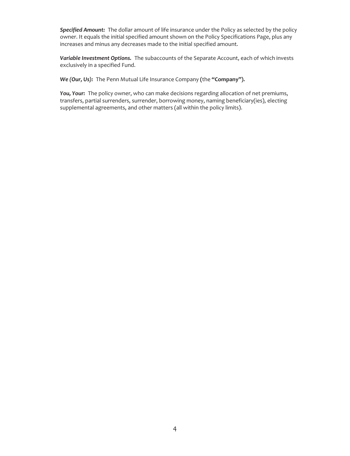*Specified Amount:* The dollar amount of life insurance under the Policy as selected by the policy owner. It equals the initial specified amount shown on the Policy Specifications Page, plus any increases and minus any decreases made to the initial specified amount.

*Variable Investment Options.* The subaccounts of the Separate Account, each of which invests exclusively in a specified Fund.

*We (Our, Us):* The Penn Mutual Life Insurance Company **(**the **"Company").**

*You, Your:* The policy owner, who can make decisions regarding allocation of net premiums, transfers, partial surrenders, surrender, borrowing money, naming beneficiary(ies), electing supplemental agreements, and other matters (all within the policy limits).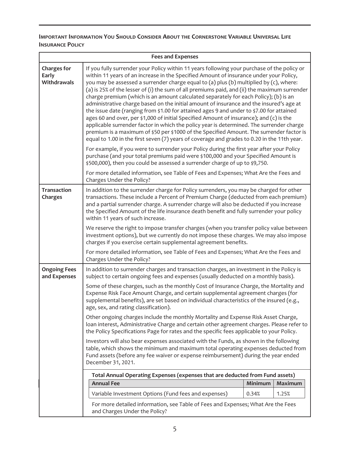#### **IMPORTANT INFORMATION YOU SHOULD CONSIDER ABOUT THE CORNERSTONE VARIABLE UNIVERSAL LIFE INSURANCE POLICY**

| <b>Fees and Expenses</b>                                               |                                                                                                                                                                                                                                                                                                                                                                                                                                                                                                                                                                                                                                                                                                                                                                                                                                                                                                                                                                                                                                                  |                                                                                                                                                                                                                                                                                                                                                                         |                |  |
|------------------------------------------------------------------------|--------------------------------------------------------------------------------------------------------------------------------------------------------------------------------------------------------------------------------------------------------------------------------------------------------------------------------------------------------------------------------------------------------------------------------------------------------------------------------------------------------------------------------------------------------------------------------------------------------------------------------------------------------------------------------------------------------------------------------------------------------------------------------------------------------------------------------------------------------------------------------------------------------------------------------------------------------------------------------------------------------------------------------------------------|-------------------------------------------------------------------------------------------------------------------------------------------------------------------------------------------------------------------------------------------------------------------------------------------------------------------------------------------------------------------------|----------------|--|
| <b>Charges for</b><br>Early<br>Withdrawals                             | If you fully surrender your Policy within 11 years following your purchase of the policy or<br>within 11 years of an increase in the Specified Amount of insurance under your Policy,<br>you may be assessed a surrender charge equal to (a) plus (b) multiplied by (c), where:<br>(a) is 25% of the lesser of (i) the sum of all premiums paid, and (ii) the maximum surrender<br>charge premium (which is an amount calculated separately for each Policy); (b) is an<br>administrative charge based on the initial amount of insurance and the insured's age at<br>the issue date (ranging from \$1.00 for attained ages 9 and under to \$7.00 for attained<br>ages 60 and over, per \$1,000 of initial Specified Amount of insurance); and (c) is the<br>applicable surrender factor in which the policy year is determined. The surrender charge<br>premium is a maximum of \$50 per \$1000 of the Specified Amount. The surrender factor is<br>equal to 1.00 in the first seven (7) years of coverage and grades to 0.20 in the 11th year. |                                                                                                                                                                                                                                                                                                                                                                         |                |  |
|                                                                        | For example, if you were to surrender your Policy during the first year after your Policy<br>purchase (and your total premiums paid were \$100,000 and your Specified Amount is<br>\$500,000), then you could be assessed a surrender charge of up to \$9,750.                                                                                                                                                                                                                                                                                                                                                                                                                                                                                                                                                                                                                                                                                                                                                                                   |                                                                                                                                                                                                                                                                                                                                                                         |                |  |
|                                                                        | For more detailed information, see Table of Fees and Expenses; What Are the Fees and<br>Charges Under the Policy?                                                                                                                                                                                                                                                                                                                                                                                                                                                                                                                                                                                                                                                                                                                                                                                                                                                                                                                                |                                                                                                                                                                                                                                                                                                                                                                         |                |  |
| <b>Transaction</b><br>Charges                                          | within 11 years of such increase.                                                                                                                                                                                                                                                                                                                                                                                                                                                                                                                                                                                                                                                                                                                                                                                                                                                                                                                                                                                                                | In addition to the surrender charge for Policy surrenders, you may be charged for other<br>transactions. These include a Percent of Premium Charge (deducted from each premium)<br>and a partial surrender charge. A surrender charge will also be deducted if you increase<br>the Specified Amount of the life insurance death benefit and fully surrender your policy |                |  |
|                                                                        | We reserve the right to impose transfer charges (when you transfer policy value between<br>investment options), but we currently do not impose these charges. We may also impose<br>charges if you exercise certain supplemental agreement benefits.                                                                                                                                                                                                                                                                                                                                                                                                                                                                                                                                                                                                                                                                                                                                                                                             |                                                                                                                                                                                                                                                                                                                                                                         |                |  |
|                                                                        | For more detailed information, see Table of Fees and Expenses; What Are the Fees and<br>Charges Under the Policy?                                                                                                                                                                                                                                                                                                                                                                                                                                                                                                                                                                                                                                                                                                                                                                                                                                                                                                                                |                                                                                                                                                                                                                                                                                                                                                                         |                |  |
| <b>Ongoing Fees</b><br>and Expenses                                    | In addition to surrender charges and transaction charges, an investment in the Policy is<br>subject to certain ongoing fees and expenses (usually deducted on a monthly basis).                                                                                                                                                                                                                                                                                                                                                                                                                                                                                                                                                                                                                                                                                                                                                                                                                                                                  |                                                                                                                                                                                                                                                                                                                                                                         |                |  |
|                                                                        | Some of these charges, such as the monthly Cost of Insurance Charge, the Mortality and<br>Expense Risk Face Amount Charge, and certain supplemental agreement charges (for<br>supplemental benefits), are set based on individual characteristics of the insured (e.g.,<br>age, sex, and rating classification).                                                                                                                                                                                                                                                                                                                                                                                                                                                                                                                                                                                                                                                                                                                                 |                                                                                                                                                                                                                                                                                                                                                                         |                |  |
|                                                                        | Other ongoing charges include the monthly Mortality and Expense Risk Asset Charge,<br>loan interest, Administrative Charge and certain other agreement charges. Please refer to<br>the Policy Specifications Page for rates and the specific fees applicable to your Policy.                                                                                                                                                                                                                                                                                                                                                                                                                                                                                                                                                                                                                                                                                                                                                                     |                                                                                                                                                                                                                                                                                                                                                                         |                |  |
|                                                                        | Investors will also bear expenses associated with the Funds, as shown in the following<br>table, which shows the minimum and maximum total operating expenses deducted from<br>Fund assets (before any fee waiver or expense reimbursement) during the year ended<br>December 31, 2021.                                                                                                                                                                                                                                                                                                                                                                                                                                                                                                                                                                                                                                                                                                                                                          |                                                                                                                                                                                                                                                                                                                                                                         |                |  |
|                                                                        | Total Annual Operating Expenses (expenses that are deducted from Fund assets)                                                                                                                                                                                                                                                                                                                                                                                                                                                                                                                                                                                                                                                                                                                                                                                                                                                                                                                                                                    |                                                                                                                                                                                                                                                                                                                                                                         |                |  |
|                                                                        | <b>Annual Fee</b>                                                                                                                                                                                                                                                                                                                                                                                                                                                                                                                                                                                                                                                                                                                                                                                                                                                                                                                                                                                                                                | Minimum                                                                                                                                                                                                                                                                                                                                                                 | <b>Maximum</b> |  |
| Variable Investment Options (Fund fees and expenses)<br>0.34%<br>1.25% |                                                                                                                                                                                                                                                                                                                                                                                                                                                                                                                                                                                                                                                                                                                                                                                                                                                                                                                                                                                                                                                  |                                                                                                                                                                                                                                                                                                                                                                         |                |  |
|                                                                        | For more detailed information, see Table of Fees and Expenses; What Are the Fees<br>and Charges Under the Policy?                                                                                                                                                                                                                                                                                                                                                                                                                                                                                                                                                                                                                                                                                                                                                                                                                                                                                                                                |                                                                                                                                                                                                                                                                                                                                                                         |                |  |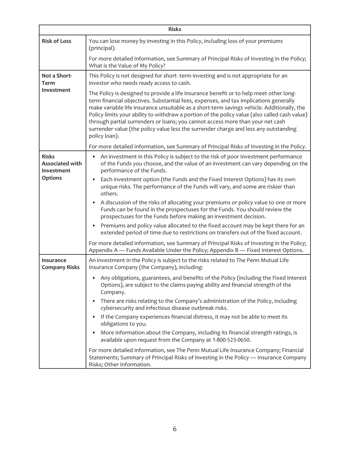| <b>Risks</b>                                         |                                                                                                                                                                                                                                                                                                                                                                                                                                                                                                                                                                           |  |  |  |
|------------------------------------------------------|---------------------------------------------------------------------------------------------------------------------------------------------------------------------------------------------------------------------------------------------------------------------------------------------------------------------------------------------------------------------------------------------------------------------------------------------------------------------------------------------------------------------------------------------------------------------------|--|--|--|
| <b>Risk of Loss</b>                                  | You can lose money by investing in this Policy, including loss of your premiums<br>(principal).                                                                                                                                                                                                                                                                                                                                                                                                                                                                           |  |  |  |
|                                                      | For more detailed information, see Summary of Principal Risks of Investing in the Policy;<br>What is the Value of My Policy?                                                                                                                                                                                                                                                                                                                                                                                                                                              |  |  |  |
| Not a Short-<br><b>Term</b>                          | This Policy is not designed for short-term investing and is not appropriate for an<br>investor who needs ready access to cash.                                                                                                                                                                                                                                                                                                                                                                                                                                            |  |  |  |
| Investment                                           | The Policy is designed to provide a life insurance benefit or to help meet other long-<br>term financial objectives. Substantial fees, expenses, and tax implications generally<br>make variable life insurance unsuitable as a short-term savings vehicle. Additionally, the<br>Policy limits your ability to withdraw a portion of the policy value (also called cash value)<br>through partial surrenders or loans; you cannot access more than your net cash<br>surrender value (the policy value less the surrender charge and less any outstanding<br>policy loan). |  |  |  |
|                                                      | For more detailed information, see Summary of Principal Risks of Investing in the Policy.                                                                                                                                                                                                                                                                                                                                                                                                                                                                                 |  |  |  |
| <b>Risks</b><br><b>Associated with</b><br>Investment | An investment in this Policy is subject to the risk of poor investment performance<br>of the Funds you choose, and the value of an investment can vary depending on the<br>performance of the Funds.                                                                                                                                                                                                                                                                                                                                                                      |  |  |  |
| <b>Options</b>                                       | Each investment option (the Funds and the Fixed Interest Options) has its own<br>$\bullet$<br>unique risks. The performance of the Funds will vary, and some are riskier than<br>others.                                                                                                                                                                                                                                                                                                                                                                                  |  |  |  |
|                                                      | A discussion of the risks of allocating your premiums or policy value to one or more<br>Funds can be found in the prospectuses for the Funds. You should review the<br>prospectuses for the Funds before making an investment decision.                                                                                                                                                                                                                                                                                                                                   |  |  |  |
|                                                      | Premiums and policy value allocated to the fixed account may be kept there for an<br>٠<br>extended period of time due to restrictions on transfers out of the fixed account.                                                                                                                                                                                                                                                                                                                                                                                              |  |  |  |
|                                                      | For more detailed information, see Summary of Principal Risks of Investing in the Policy;<br>Appendix A - Funds Available Under the Policy; Appendix B - Fixed Interest Options.                                                                                                                                                                                                                                                                                                                                                                                          |  |  |  |
| <b>Insurance</b><br><b>Company Risks</b>             | An investment in the Policy is subject to the risks related to The Penn Mutual Life<br>Insurance Company (the Company), including:                                                                                                                                                                                                                                                                                                                                                                                                                                        |  |  |  |
|                                                      | Any obligations, guarantees, and benefits of the Policy (including the Fixed Interest<br>Options), are subject to the claims-paying ability and financial strength of the<br>Company.                                                                                                                                                                                                                                                                                                                                                                                     |  |  |  |
|                                                      | There are risks relating to the Company's administration of the Policy, including<br>cybersecurity and infectious disease outbreak risks.                                                                                                                                                                                                                                                                                                                                                                                                                                 |  |  |  |
|                                                      | If the Company experiences financial distress, it may not be able to meet its<br>obligations to you.                                                                                                                                                                                                                                                                                                                                                                                                                                                                      |  |  |  |
|                                                      | More information about the Company, including its financial strength ratings, is<br>available upon request from the Company at 1-800-523-0650.                                                                                                                                                                                                                                                                                                                                                                                                                            |  |  |  |
|                                                      | For more detailed information, see The Penn Mutual Life Insurance Company; Financial<br>Statements; Summary of Principal Risks of Investing in the Policy - Insurance Company<br>Risks; Other Information.                                                                                                                                                                                                                                                                                                                                                                |  |  |  |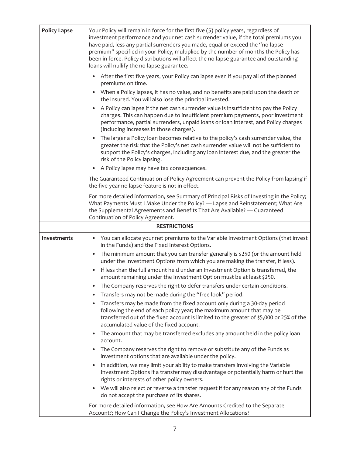| <b>Policy Lapse</b> | Your Policy will remain in force for the first five (5) policy years, regardless of<br>investment performance and your net cash surrender value, if the total premiums you<br>have paid, less any partial surrenders you made, equal or exceed the "no-lapse<br>premium" specified in your Policy, multiplied by the number of months the Policy has<br>been in force. Policy distributions will affect the no-lapse guarantee and outstanding<br>loans will nullify the no-lapse guarantee. |
|---------------------|----------------------------------------------------------------------------------------------------------------------------------------------------------------------------------------------------------------------------------------------------------------------------------------------------------------------------------------------------------------------------------------------------------------------------------------------------------------------------------------------|
|                     | After the first five years, your Policy can lapse even if you pay all of the planned<br>$\bullet$<br>premiums on time.                                                                                                                                                                                                                                                                                                                                                                       |
|                     | When a Policy lapses, it has no value, and no benefits are paid upon the death of<br>the insured. You will also lose the principal invested.                                                                                                                                                                                                                                                                                                                                                 |
|                     | A Policy can lapse if the net cash surrender value is insufficient to pay the Policy<br>charges. This can happen due to insufficient premium payments, poor investment<br>performance, partial surrenders, unpaid loans or loan interest, and Policy charges<br>(including increases in those charges).                                                                                                                                                                                      |
|                     | • The larger a Policy loan becomes relative to the policy's cash surrender value, the<br>greater the risk that the Policy's net cash surrender value will not be sufficient to<br>support the Policy's charges, including any loan interest due, and the greater the<br>risk of the Policy lapsing.                                                                                                                                                                                          |
|                     | A Policy lapse may have tax consequences.<br>$\bullet$                                                                                                                                                                                                                                                                                                                                                                                                                                       |
|                     | The Guaranteed Continuation of Policy Agreement can prevent the Policy from lapsing if<br>the five-year no lapse feature is not in effect.                                                                                                                                                                                                                                                                                                                                                   |
|                     | For more detailed information, see Summary of Principal Risks of Investing in the Policy;<br>What Payments Must I Make Under the Policy? - Lapse and Reinstatement; What Are<br>the Supplemental Agreements and Benefits That Are Available? - Guaranteed<br>Continuation of Policy Agreement.                                                                                                                                                                                               |
|                     | <b>RESTRICTIONS</b>                                                                                                                                                                                                                                                                                                                                                                                                                                                                          |
| Investments         | You can allocate your net premiums to the Variable Investment Options (that invest<br>٠<br>in the Funds) and the Fixed Interest Options.                                                                                                                                                                                                                                                                                                                                                     |
|                     | The minimum amount that you can transfer generally is \$250 (or the amount held<br>$\bullet$<br>under the Investment Options from which you are making the transfer, if less).                                                                                                                                                                                                                                                                                                               |
|                     | If less than the full amount held under an Investment Option is transferred, the<br>amount remaining under the Investment Option must be at least \$250.                                                                                                                                                                                                                                                                                                                                     |
|                     | The Company reserves the right to defer transfers under certain conditions.                                                                                                                                                                                                                                                                                                                                                                                                                  |
|                     | Transfers may not be made during the "free look" period.                                                                                                                                                                                                                                                                                                                                                                                                                                     |
|                     | Transfers may be made from the fixed account only during a 30-day period<br>following the end of each policy year; the maximum amount that may be<br>transferred out of the fixed account is limited to the greater of \$5,000 or 25% of the<br>accumulated value of the fixed account.                                                                                                                                                                                                      |
|                     | The amount that may be transferred excludes any amount held in the policy loan<br>account.                                                                                                                                                                                                                                                                                                                                                                                                   |
|                     | The Company reserves the right to remove or substitute any of the Funds as<br>investment options that are available under the policy.                                                                                                                                                                                                                                                                                                                                                        |
|                     | In addition, we may limit your ability to make transfers involving the Variable<br>Investment Options if a transfer may disadvantage or potentially harm or hurt the<br>rights or interests of other policy owners.                                                                                                                                                                                                                                                                          |
|                     | We will also reject or reverse a transfer request if for any reason any of the Funds<br>do not accept the purchase of its shares.                                                                                                                                                                                                                                                                                                                                                            |
|                     | For more detailed information, see How Are Amounts Credited to the Separate<br>Account?; How Can I Change the Policy's Investment Allocations?                                                                                                                                                                                                                                                                                                                                               |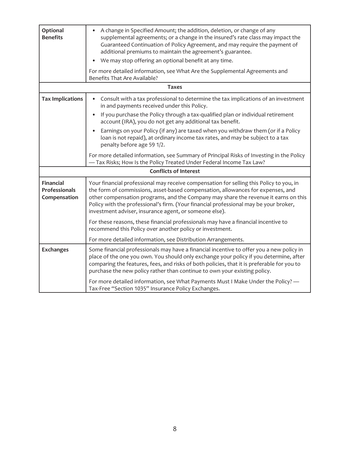| Optional<br><b>Benefits</b>                              | A change in Specified Amount; the addition, deletion, or change of any<br>$\bullet$<br>supplemental agreements; or a change in the insured's rate class may impact the<br>Guaranteed Continuation of Policy Agreement, and may require the payment of<br>additional premiums to maintain the agreement's guarantee.<br>We may stop offering an optional benefit at any time.<br>For more detailed information, see What Are the Supplemental Agreements and |
|----------------------------------------------------------|-------------------------------------------------------------------------------------------------------------------------------------------------------------------------------------------------------------------------------------------------------------------------------------------------------------------------------------------------------------------------------------------------------------------------------------------------------------|
|                                                          | Benefits That Are Available?                                                                                                                                                                                                                                                                                                                                                                                                                                |
|                                                          | <b>Taxes</b>                                                                                                                                                                                                                                                                                                                                                                                                                                                |
| <b>Tax Implications</b>                                  | Consult with a tax professional to determine the tax implications of an investment<br>٠<br>in and payments received under this Policy.                                                                                                                                                                                                                                                                                                                      |
|                                                          | If you purchase the Policy through a tax-qualified plan or individual retirement<br>account (IRA), you do not get any additional tax benefit.                                                                                                                                                                                                                                                                                                               |
|                                                          | Earnings on your Policy (if any) are taxed when you withdraw them (or if a Policy<br>$\bullet$<br>loan is not repaid), at ordinary income tax rates, and may be subject to a tax<br>penalty before age 59 1/2.                                                                                                                                                                                                                                              |
|                                                          | For more detailed information, see Summary of Principal Risks of Investing in the Policy<br>-Tax Risks; How Is the Policy Treated Under Federal Income Tax Law?                                                                                                                                                                                                                                                                                             |
|                                                          | <b>Conflicts of Interest</b>                                                                                                                                                                                                                                                                                                                                                                                                                                |
| <b>Financial</b><br><b>Professionals</b><br>Compensation | Your financial professional may receive compensation for selling this Policy to you, in<br>the form of commissions, asset-based compensation, allowances for expenses, and<br>other compensation programs, and the Company may share the revenue it earns on this<br>Policy with the professional's firm. (Your financial professional may be your broker,<br>investment adviser, insurance agent, or someone else).                                        |
|                                                          | For these reasons, these financial professionals may have a financial incentive to<br>recommend this Policy over another policy or investment.                                                                                                                                                                                                                                                                                                              |
|                                                          | For more detailed information, see Distribution Arrangements.                                                                                                                                                                                                                                                                                                                                                                                               |
| <b>Exchanges</b>                                         | Some financial professionals may have a financial incentive to offer you a new policy in<br>place of the one you own. You should only exchange your policy if you determine, after<br>comparing the features, fees, and risks of both policies, that it is preferable for you to<br>purchase the new policy rather than continue to own your existing policy.                                                                                               |
|                                                          | For more detailed information, see What Payments Must I Make Under the Policy? -<br>Tax-Free "Section 1035" Insurance Policy Exchanges.                                                                                                                                                                                                                                                                                                                     |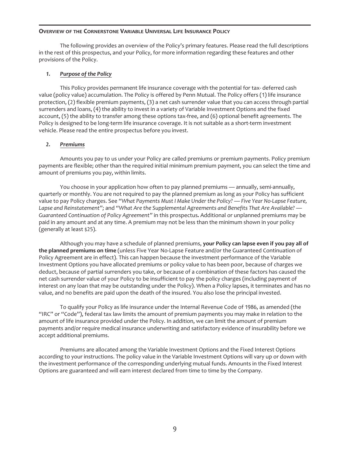#### **OVERVIEW OF THE CORNERSTONE VARIABLE UNIVERSAL LIFE INSURANCE POLICY**

The following provides an overview of the Policy's primary features. Please read the full descriptions in the rest of this prospectus, and your Policy, for more information regarding these features and other provisions of the Policy.

#### *1. Purpose of the Policy*

This Policy provides permanent life insurance coverage with the potential for tax- deferred cash value (policy value) accumulation. The Policy is offered by Penn Mutual. The Policy offers (1) life insurance protection, (2) flexible premium payments, (3) a net cash surrender value that you can access through partial surrenders and loans, (4) the ability to invest in a variety of Variable Investment Options and the fixed account, (5) the ability to transfer among these options tax-free, and (6) optional benefit agreements. The Policy is designed to be long-term life insurance coverage. It is not suitable as a short-term investment vehicle. Please read the entire prospectus before you invest.

#### *2. Premiums*

Amounts you pay to us under your Policy are called premiums or premium payments. Policy premium payments are flexible; other than the required initial minimum premium payment, you can select the time and amount of premiums you pay, within limits.

You choose in your application how often to pay planned premiums — annually, semi-annually, quarterly or monthly. You are not required to pay the planned premium as long as your Policy has sufficient value to pay Policy charges. See *"What Payments Must I Make Under the Policy? — Five Year No-Lapse Feature, Lapse and Reinstatement";* and *"What Are the Supplemental Agreements and Benefits That Are Available? — Guaranteed Continuation of Policy Agreement"* in this prospectus*.* Additional or unplanned premiums may be paid in any amount and at any time. A premium may not be less than the minimum shown in your policy (generally at least \$25).

Although you may have a schedule of planned premiums, **your Policy can lapse even if you pay all of the planned premiums on time** (unless Five Year No-Lapse Feature and/or the Guaranteed Continuation of Policy Agreement are in effect). This can happen because the investment performance of the Variable Investment Options you have allocated premiums or policy value to has been poor, because of charges we deduct, because of partial surrenders you take, or because of a combination of these factors has caused the net cash surrender value of your Policy to be insufficient to pay the policy charges (including payment of interest on any loan that may be outstanding under the Policy). When a Policy lapses, it terminates and has no value, and no benefits are paid upon the death of the insured. You also lose the principal invested.

To qualify your Policy as life insurance under the Internal Revenue Code of 1986, as amended (the "IRC" or "Code"), federal tax law limits the amount of premium payments you may make in relation to the amount of life insurance provided under the Policy. In addition, we can limit the amount of premium payments and/or require medical insurance underwriting and satisfactory evidence of insurability before we accept additional premiums.

Premiums are allocated among the Variable Investment Options and the Fixed Interest Options according to your instructions. The policy value in the Variable Investment Options will vary up or down with the investment performance of the corresponding underlying mutual funds. Amounts in the Fixed Interest Options are guaranteed and will earn interest declared from time to time by the Company.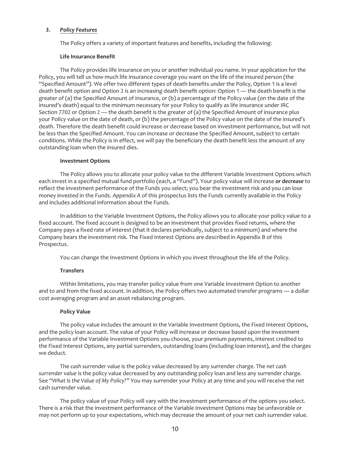#### *3. Policy Features*

The Policy offers a variety of important features and benefits, including the following:

#### **Life Insurance Benefit**

The Policy provides life insurance on you or another individual you name. In your application for the Policy, you will tell us how much life insurance coverage you want on the life of the insured person (the "Specified Amount"). We offer two different types of death benefits under the Policy, Option 1 is a level death benefit option and Option 2 is an increasing death benefit option: Option 1 — the death benefit is the greater of (a) the Specified Amount of insurance, or (b) a percentage of the Policy value (on the date of the insured's death) equal to the minimum necessary for your Policy to qualify as life insurance under IRC Section 7702 or Option  $2$  — the death benefit is the greater of (a) the Specified Amount of insurance plus your Policy value on the date of death, or (b) the percentage of the Policy value on the date of the insured's death. Therefore the death benefit could increase or decrease based on investment performance, but will not be less than the Specified Amount. You can increase or decrease the Specified Amount, subject to certain conditions. While the Policy is in effect, we will pay the beneficiary the death benefit less the amount of any outstanding loan when the insured dies.

#### **Investment Options**

The Policy allows you to allocate your policy value to the different Variable Investment Options which each invest in a specified mutual fund portfolio (each, a "Fund"). Your policy value will increase *or decrease* to reflect the investment performance of the Funds you select; you bear the investment risk and you can lose money invested in the Funds. *Appendix A* of this prospectus lists the Funds currently available in the Policy and includes additional information about the Funds.

In addition to the Variable Investment Options, the Policy allows you to allocate your policy value to a fixed account. The fixed account is designed to be an investment that provides fixed returns, where the Company pays a fixed rate of interest (that it declares periodically, subject to a minimum) and where the Company bears the investment risk. The Fixed Interest Options are described in Appendix B of this Prospectus.

You can change the Investment Options in which you invest throughout the life of the Policy.

#### **Transfers**

Within limitations, you may transfer policy value from one Variable Investment Option to another and to and from the fixed account. In addition, the Policy offers two automated transfer programs — a dollar cost averaging program and an asset rebalancing program.

#### **Policy Value**

The policy value includes the amount in the Variable Investment Options, the Fixed Interest Options, and the policy loan account. The value of your Policy will increase or decrease based upon the investment performance of the Variable Investment Options you choose, your premium payments, interest credited to the Fixed Interest Options, any partial surrenders, outstanding loans (including loan interest), and the charges we deduct.

The *cash surrender value* is the policy value decreased by any surrender charge. The *net cash surrender value* is the policy value decreased by any outstanding policy loan and less any surrender charge. See *"What Is the Value of My Policy?"* You may surrender your Policy at any time and you will receive the net cash surrender value.

The policy value of your Policy will vary with the investment performance of the options you select. There is a risk that the investment performance of the Variable Investment Options may be unfavorable or may not perform up to your expectations, which may decrease the amount of your net cash surrender value.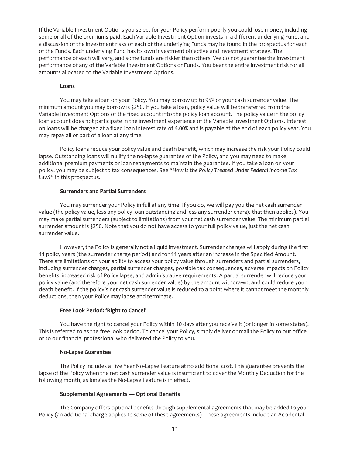If the Variable Investment Options you select for your Policy perform poorly you could lose money, including some or all of the premiums paid. Each Variable Investment Option invests in a different underlying Fund, and a discussion of the investment risks of each of the underlying Funds may be found in the prospectus for each of the Funds. Each underlying Fund has its own investment objective and investment strategy. The performance of each will vary, and some funds are riskier than others. We do not guarantee the investment performance of any of the Variable Investment Options or Funds. You bear the entire investment risk for all amounts allocated to the Variable Investment Options.

#### **Loans**

You may take a loan on your Policy. You may borrow up to 95% of your cash surrender value. The minimum amount you may borrow is \$250. If you take a loan, policy value will be transferred from the Variable Investment Options or the fixed account into the policy loan account. The policy value in the policy loan account does not participate in the investment experience of the Variable Investment Options. Interest on loans will be charged at a fixed loan interest rate of 4.00% and is payable at the end of each policy year. You may repay all or part of a loan at any time.

Policy loans reduce your policy value and death benefit, which may increase the risk your Policy could lapse. Outstanding loans will nullify the no-lapse guarantee of the Policy, and you may need to make additional premium payments or loan repayments to maintain the guarantee. If you take a loan on your policy, you may be subject to tax consequences. See *"How Is the Policy Treated Under Federal Income Tax Law?"* in this prospectus.

#### **Surrenders and Partial Surrenders**

You may surrender your Policy in full at any time. If you do, we will pay you the net cash surrender value (the policy value, less any policy loan outstanding and less any surrender charge that then applies). You may make partial surrenders (subject to limitations) from your net cash surrender value. The minimum partial surrender amount is \$250. Note that you do not have access to your full policy value, just the net cash surrender value.

However, the Policy is generally not a liquid investment. Surrender charges will apply during the first 11 policy years (the surrender charge period) and for 11 years after an increase in the Specified Amount. There are limitations on your ability to access your policy value through surrenders and partial surrenders, including surrender charges, partial surrender charges, possible tax consequences, adverse impacts on Policy benefits, increased risk of Policy lapse, and administrative requirements. A partial surrender will reduce your policy value (and therefore your net cash surrender value) by the amount withdrawn, and could reduce your death benefit. If the policy's net cash surrender value is reduced to a point where it cannot meet the monthly deductions, then your Policy may lapse and terminate.

#### **Free Look Period: 'Right to Cancel'**

You have the right to cancel your Policy within 10 days after you receive it (or longer in some states). This is referred to as the free look period. To cancel your Policy, simply deliver or mail the Policy to our office or to our financial professional who delivered the Policy to you.

#### **No-Lapse Guarantee**

The Policy includes a Five Year No-Lapse Feature at no additional cost. This guarantee prevents the lapse of the Policy when the net cash surrender value is insufficient to cover the Monthly Deduction for the following month, as long as the No-Lapse Feature is in effect.

#### **Supplemental Agreements — Optional Benefits**

The Company offers optional benefits through supplemental agreements that may be added to your Policy (an additional charge applies to *some* of these agreements). These agreements include an Accidental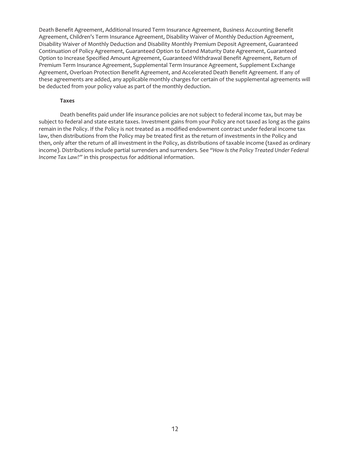Death Benefit Agreement, Additional Insured Term Insurance Agreement, Business Accounting Benefit Agreement, Children's Term Insurance Agreement, Disability Waiver of Monthly Deduction Agreement, Disability Waiver of Monthly Deduction and Disability Monthly Premium Deposit Agreement, Guaranteed Continuation of Policy Agreement, Guaranteed Option to Extend Maturity Date Agreement, Guaranteed Option to Increase Specified Amount Agreement, Guaranteed Withdrawal Benefit Agreement, Return of Premium Term Insurance Agreement, Supplemental Term Insurance Agreement, Supplement Exchange Agreement, Overloan Protection Benefit Agreement, and Accelerated Death Benefit Agreement. If any of these agreements are added, any applicable monthly charges for certain of the supplemental agreements will be deducted from your policy value as part of the monthly deduction.

#### **Taxes**

Death benefits paid under life insurance policies are not subject to federal income tax, but may be subject to federal and state estate taxes. Investment gains from your Policy are not taxed as long as the gains remain in the Policy. If the Policy is *not* treated as a modified endowment contract under federal income tax law, then distributions from the Policy may be treated first as the return of investments in the Policy and then, only after the return of all investment in the Policy, as distributions of taxable income (taxed as ordinary income). Distributions include partial surrenders and surrenders. See *"How Is the Policy Treated Under Federal Income Tax Law?"* in this prospectus for additional information.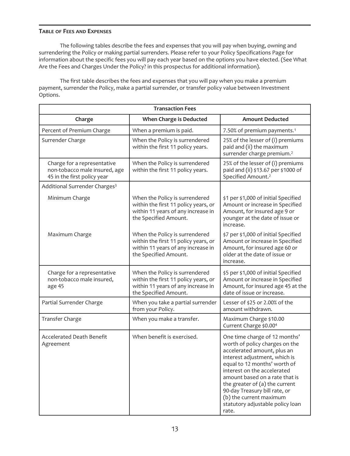#### **TABLE OF FEES AND EXPENSES**

The following tables describe the fees and expenses that you will pay when buying, owning and surrendering the Policy or making partial surrenders. Please refer to your Policy Specifications Page for information about the specific fees you will pay each year based on the options you have elected. (See What Are the Fees and Charges Under the Policy? in this prospectus for additional information).

The first table describes the fees and expenses that you will pay when you make a premium payment, surrender the Policy, make a partial surrender, or transfer policy value between Investment Options.

| <b>Transaction Fees</b>                                                                     |                                                                                                                                       |                                                                                                                                                                                                                                                                                                                                                                             |  |
|---------------------------------------------------------------------------------------------|---------------------------------------------------------------------------------------------------------------------------------------|-----------------------------------------------------------------------------------------------------------------------------------------------------------------------------------------------------------------------------------------------------------------------------------------------------------------------------------------------------------------------------|--|
| Charge                                                                                      | When Charge is Deducted                                                                                                               | <b>Amount Deducted</b>                                                                                                                                                                                                                                                                                                                                                      |  |
| Percent of Premium Charge                                                                   | When a premium is paid.                                                                                                               | 7.50% of premium payments. <sup>1</sup>                                                                                                                                                                                                                                                                                                                                     |  |
| Surrender Charge                                                                            | When the Policy is surrendered<br>within the first 11 policy years.                                                                   | 25% of the lesser of (i) premiums<br>paid and (ii) the maximum<br>surrender charge premium. <sup>2</sup>                                                                                                                                                                                                                                                                    |  |
| Charge for a representative<br>non-tobacco male insured, age<br>45 in the first policy year | When the Policy is surrendered<br>within the first 11 policy years.                                                                   | 25% of the lesser of (i) premiums<br>paid and (ii) \$13.67 per \$1000 of<br>Specified Amount. <sup>2</sup>                                                                                                                                                                                                                                                                  |  |
| Additional Surrender Charges <sup>3</sup>                                                   |                                                                                                                                       |                                                                                                                                                                                                                                                                                                                                                                             |  |
| Minimum Charge                                                                              | When the Policy is surrendered<br>within the first 11 policy years, or<br>within 11 years of any increase in<br>the Specified Amount. | \$1 per \$1,000 of initial Specified<br>Amount or increase in Specified<br>Amount, for insured age 9 or<br>younger at the date of issue or<br>increase.                                                                                                                                                                                                                     |  |
| Maximum Charge                                                                              | When the Policy is surrendered<br>within the first 11 policy years, or<br>within 11 years of any increase in<br>the Specified Amount. | \$7 per \$1,000 of initial Specified<br>Amount or increase in Specified<br>Amount, for insured age 60 or<br>older at the date of issue or<br>increase.                                                                                                                                                                                                                      |  |
| Charge for a representative<br>non-tobacco male insured,<br>age 45                          | When the Policy is surrendered<br>within the first 11 policy years, or<br>within 11 years of any increase in<br>the Specified Amount. | \$5 per \$1,000 of initial Specified<br>Amount or increase in Specified<br>Amount, for insured age 45 at the<br>date of issue or increase.                                                                                                                                                                                                                                  |  |
| Partial Surrender Charge                                                                    | When you take a partial surrender<br>from your Policy.                                                                                | Lesser of \$25 or 2.00% of the<br>amount withdrawn.                                                                                                                                                                                                                                                                                                                         |  |
| <b>Transfer Charge</b>                                                                      | When you make a transfer.                                                                                                             | Maximum Charge \$10.00<br>Current Charge \$0.00 <sup>4</sup>                                                                                                                                                                                                                                                                                                                |  |
| <b>Accelerated Death Benefit</b><br>Agreement                                               | When benefit is exercised.                                                                                                            | One time charge of 12 months'<br>worth of policy charges on the<br>accelerated amount, plus an<br>interest adjustment, which is<br>equal to 12 months' worth of<br>interest on the accelerated<br>amount based on a rate that is<br>the greater of (a) the current<br>90-day Treasury bill rate, or<br>(b) the current maximum<br>statutory adjustable policy loan<br>rate. |  |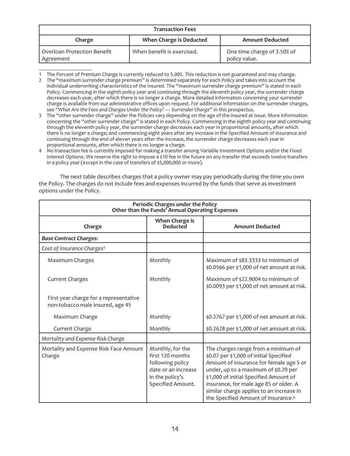| <b>Transaction Fees</b>                  |                                |                                              |  |
|------------------------------------------|--------------------------------|----------------------------------------------|--|
| Charge                                   | <b>When Charge is Deducted</b> | <b>Amount Deducted</b>                       |  |
| Overloan Protection Benefit<br>Agreement | When benefit is exercised.     | One time charge of 3.50% of<br>policy value. |  |

<sup>1</sup> The Percent of Premium Charge is currently reduced to 5.00%. This reduction is not guaranteed and may change.

The next table describes charges that a policy owner may pay periodically during the time you own the Policy. The charges do not include fees and expenses incurred by the funds that serve as investment options under the Policy.

| Periodic Charges under the Policy<br>Other than the Funds' Annual Operating Expenses |                                                                                                                         |                                                                                                                                                                                                                                                                                                                                                      |  |
|--------------------------------------------------------------------------------------|-------------------------------------------------------------------------------------------------------------------------|------------------------------------------------------------------------------------------------------------------------------------------------------------------------------------------------------------------------------------------------------------------------------------------------------------------------------------------------------|--|
| Charge                                                                               | When Charge is<br><b>Deducted</b>                                                                                       | <b>Amount Deducted</b>                                                                                                                                                                                                                                                                                                                               |  |
| <b>Base Contract Charges:</b>                                                        |                                                                                                                         |                                                                                                                                                                                                                                                                                                                                                      |  |
| Cost of Insurance Charges <sup>5</sup>                                               |                                                                                                                         |                                                                                                                                                                                                                                                                                                                                                      |  |
| Maximum Charges                                                                      | Monthly                                                                                                                 | Maximum of \$83.3333 to minimum of<br>\$0.0566 per \$1,000 of net amount at risk.                                                                                                                                                                                                                                                                    |  |
| <b>Current Charges</b>                                                               | Monthly                                                                                                                 | Maximum of \$22.9004 to minimum of<br>\$0.0093 per \$1,000 of net amount at risk.                                                                                                                                                                                                                                                                    |  |
| First year charge for a representative<br>non-tobacco male insured, age 45           |                                                                                                                         |                                                                                                                                                                                                                                                                                                                                                      |  |
| Maximum Charge                                                                       | Monthly                                                                                                                 | \$0.2767 per \$1,000 of net amount at risk.                                                                                                                                                                                                                                                                                                          |  |
| Current Charge                                                                       | Monthly                                                                                                                 | \$0.2628 per \$1,000 of net amount at risk.                                                                                                                                                                                                                                                                                                          |  |
| Mortality and Expense Risk Charge                                                    |                                                                                                                         |                                                                                                                                                                                                                                                                                                                                                      |  |
| Mortality and Expense Risk Face Amount<br>Charge                                     | Monthly, for the<br>first 120 months<br>following policy<br>date or an increase<br>in the policy's<br>Specified Amount. | The charges range from a minimum of<br>\$0.07 per \$1,000 of initial Specified<br>Amount of insurance for female age 5 or<br>under, up to a maximum of \$0.29 per<br>\$1,000 of initial Specified Amount of<br>insurance, for male age 85 or older. A<br>similar charge applies to an increase in<br>the Specified Amount of insurance. <sup>6</sup> |  |

<sup>2</sup> The "maximum surrender charge premium" is determined separately for each Policy and takes into account the individual underwriting characteristics of the insured. The "maximum surrender charge premium" is stated in each Policy. Commencing in the eighth policy year and continuing through the eleventh policy year, the surrender charge decreases each year, after which there is no longer a charge. More detailed information concerning your surrender charge is available from our administrative offices upon request. For additional information on the surrender charges, see *"What Are the Fees and Charges Under the Policy? — Surrender Charge"* in this prospectus.

<sup>3</sup> The "other surrender charge" under the Policies vary depending on the age of the insured at issue. More information concerning the "other surrender charge" is stated in each Policy. Commencing in the eighth policy year and continuing through the eleventh policy year, the surrender charge decreases each year in proportional amounts, after which there is no longer a charge; and commencing eight years after any increase in the Specified Amount of insurance and continuing through the end of eleven years after the increase, the surrender charge decreases each year in proportional amounts, after which there is no longer a charge.

<sup>4</sup> No transaction fee is currently imposed for making a transfer among Variable Investment Options and/or the Fixed Interest Options. We reserve the right to impose a \$10 fee in the future on any transfer that exceeds twelve transfers in a policy year (except in the case of transfers of \$5,000,000 or more).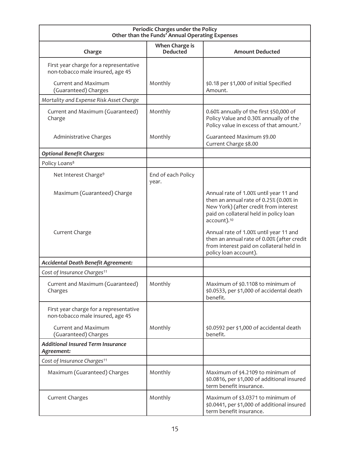| Periodic Charges under the Policy<br>Other than the Funds' Annual Operating Expenses |                                   |                                                                                                                                                                                                |  |
|--------------------------------------------------------------------------------------|-----------------------------------|------------------------------------------------------------------------------------------------------------------------------------------------------------------------------------------------|--|
| Charge                                                                               | When Charge is<br><b>Deducted</b> | <b>Amount Deducted</b>                                                                                                                                                                         |  |
| First year charge for a representative<br>non-tobacco male insured, age 45           |                                   |                                                                                                                                                                                                |  |
| Current and Maximum<br>(Guaranteed) Charges                                          | Monthly                           | \$0.18 per \$1,000 of initial Specified<br>Amount.                                                                                                                                             |  |
| Mortality and Expense Risk Asset Charge                                              |                                   |                                                                                                                                                                                                |  |
| Current and Maximum (Guaranteed)<br>Charge                                           | Monthly                           | 0.60% annually of the first \$50,000 of<br>Policy Value and 0.30% annually of the<br>Policy value in excess of that amount.7                                                                   |  |
| Administrative Charges                                                               | Monthly                           | Guaranteed Maximum \$9.00<br>Current Charge \$8.00                                                                                                                                             |  |
| <b>Optional Benefit Charges:</b>                                                     |                                   |                                                                                                                                                                                                |  |
| Policy Loans <sup>8</sup>                                                            |                                   |                                                                                                                                                                                                |  |
| Net Interest Charge <sup>9</sup>                                                     | End of each Policy<br>year.       |                                                                                                                                                                                                |  |
| Maximum (Guaranteed) Charge                                                          |                                   | Annual rate of 1.00% until year 11 and<br>then an annual rate of 0.25% (0.00% in<br>New York) (after credit from interest<br>paid on collateral held in policy loan<br>account). <sup>10</sup> |  |
| Current Charge                                                                       |                                   | Annual rate of 1.00% until year 11 and<br>then an annual rate of 0.00% (after credit<br>from interest paid on collateral held in<br>policy loan account).                                      |  |
| Accidental Death Benefit Agreement:                                                  |                                   |                                                                                                                                                                                                |  |
| Cost of Insurance Charges <sup>11</sup>                                              |                                   |                                                                                                                                                                                                |  |
| Current and Maximum (Guaranteed)<br>Charges                                          | Monthly                           | Maximum of \$0.1108 to minimum of<br>\$0.0533, per \$1,000 of accidental death<br>benefit.                                                                                                     |  |
| First year charge for a representative<br>non-tobacco male insured, age 45           |                                   |                                                                                                                                                                                                |  |
| <b>Current and Maximum</b><br>(Guaranteed) Charges                                   | Monthly                           | \$0.0592 per \$1,000 of accidental death<br>benefit.                                                                                                                                           |  |
| <b>Additional Insured Term Insurance</b><br>Agreement:                               |                                   |                                                                                                                                                                                                |  |
| Cost of Insurance Charges <sup>11</sup>                                              |                                   |                                                                                                                                                                                                |  |
| Maximum (Guaranteed) Charges                                                         | Monthly                           | Maximum of \$4.2109 to minimum of<br>\$0.0816, per \$1,000 of additional insured<br>term benefit insurance.                                                                                    |  |
| <b>Current Charges</b>                                                               | Monthly                           | Maximum of \$3.0371 to minimum of<br>\$0.0441, per \$1,000 of additional insured<br>term benefit insurance.                                                                                    |  |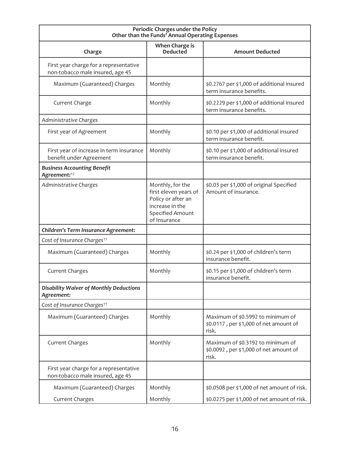| Periodic Charges under the Policy<br>Other than the Funds' Annual Operating Expenses |                                                                                                                        |                                                                                      |  |
|--------------------------------------------------------------------------------------|------------------------------------------------------------------------------------------------------------------------|--------------------------------------------------------------------------------------|--|
| Charge                                                                               | When Charge is<br><b>Deducted</b>                                                                                      | <b>Amount Deducted</b>                                                               |  |
| First year charge for a representative<br>non-tobacco male insured, age 45           |                                                                                                                        |                                                                                      |  |
| Maximum (Guaranteed) Charges                                                         | Monthly                                                                                                                | \$0.2767 per \$1,000 of additional insured<br>term insurance benefits.               |  |
| Current Charge                                                                       | Monthly                                                                                                                | \$0.2229 per \$1,000 of additional insured<br>term insurance benefits.               |  |
| Administrative Charges                                                               |                                                                                                                        |                                                                                      |  |
| First year of Agreement                                                              | Monthly                                                                                                                | \$0.10 per \$1,000 of additional insured<br>term insurance benefit.                  |  |
| First year of increase in term insurance<br>benefit under Agreement                  | Monthly                                                                                                                | \$0.10 per \$1,000 of additional insured<br>term insurance benefit.                  |  |
| <b>Business Accounting Benefit</b><br>Agreement: <sup>12</sup>                       |                                                                                                                        |                                                                                      |  |
| Administrative Charges                                                               | Monthly, for the<br>first eleven years of<br>Policy or after an<br>increase in the<br>Specified Amount<br>of Insurance | \$0.03 per \$1,000 of original Specified<br>Amount of insurance.                     |  |
| Children's Term Insurance Agreement:                                                 |                                                                                                                        |                                                                                      |  |
| Cost of Insurance Charges <sup>11</sup>                                              |                                                                                                                        |                                                                                      |  |
| Maximum (Guaranteed) Charges                                                         | Monthly                                                                                                                | \$0.24 per \$1,000 of children's term<br>insurance benefit.                          |  |
| <b>Current Charges</b>                                                               | Monthly                                                                                                                | \$0.15 per \$1,000 of children's term<br>insurance benefit.                          |  |
| <b>Disability Waiver of Monthly Deductions</b><br>Agreement:                         |                                                                                                                        |                                                                                      |  |
| Cost of Insurance Charges <sup>11</sup>                                              |                                                                                                                        |                                                                                      |  |
| Maximum (Guaranteed) Charges                                                         | Monthly                                                                                                                | Maximum of \$0.5992 to minimum of<br>\$0.0117, per \$1,000 of net amount of<br>risk. |  |
| <b>Current Charges</b>                                                               | Monthly                                                                                                                | Maximum of \$0.3192 to minimum of<br>\$0.0092, per \$1,000 of net amount of<br>risk. |  |
| First year charge for a representative<br>non-tobacco male insured, age 45           |                                                                                                                        |                                                                                      |  |
| Maximum (Guaranteed) Charges                                                         | Monthly                                                                                                                | \$0.0508 per \$1,000 of net amount of risk.                                          |  |
| Current Charges                                                                      | Monthly                                                                                                                | \$0.0275 per \$1,000 of net amount of risk.                                          |  |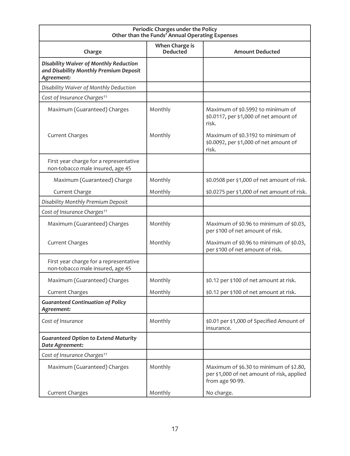| Periodic Charges under the Policy<br>Other than the Funds' Annual Operating Expenses           |                                   |                                                                                                          |  |
|------------------------------------------------------------------------------------------------|-----------------------------------|----------------------------------------------------------------------------------------------------------|--|
| Charge                                                                                         | When Charge is<br><b>Deducted</b> | <b>Amount Deducted</b>                                                                                   |  |
| Disability Waiver of Monthly Reduction<br>and Disability Monthly Premium Deposit<br>Agreement: |                                   |                                                                                                          |  |
| Disability Waiver of Monthly Deduction                                                         |                                   |                                                                                                          |  |
| Cost of Insurance Charges <sup>11</sup>                                                        |                                   |                                                                                                          |  |
| Maximum (Guaranteed) Charges                                                                   | Monthly                           | Maximum of \$0.5992 to minimum of<br>\$0.0117, per \$1,000 of net amount of<br>risk.                     |  |
| <b>Current Charges</b>                                                                         | Monthly                           | Maximum of \$0.3192 to minimum of<br>\$0.0092, per \$1,000 of net amount of<br>risk.                     |  |
| First year charge for a representative<br>non-tobacco male insured, age 45                     |                                   |                                                                                                          |  |
| Maximum (Guaranteed) Charge                                                                    | Monthly                           | \$0.0508 per \$1,000 of net amount of risk.                                                              |  |
| Current Charge                                                                                 | Monthly                           | \$0.0275 per \$1,000 of net amount of risk.                                                              |  |
| Disability Monthly Premium Deposit                                                             |                                   |                                                                                                          |  |
| Cost of Insurance Charges <sup>11</sup>                                                        |                                   |                                                                                                          |  |
| Maximum (Guaranteed) Charges                                                                   | Monthly                           | Maximum of \$0.96 to minimum of \$0.03,<br>per \$100 of net amount of risk.                              |  |
| <b>Current Charges</b>                                                                         | Monthly                           | Maximum of \$0.96 to minimum of \$0.03,<br>per \$100 of net amount of risk.                              |  |
| First year charge for a representative<br>non-tobacco male insured, age 45                     |                                   |                                                                                                          |  |
| Maximum (Guaranteed) Charges                                                                   | Monthly                           | \$0.12 per \$100 of net amount at risk.                                                                  |  |
| <b>Current Charges</b>                                                                         | Monthly                           | \$0.12 per \$100 of net amount at risk.                                                                  |  |
| <b>Guaranteed Continuation of Policy</b><br>Agreement:                                         |                                   |                                                                                                          |  |
| Cost of Insurance                                                                              | Monthly                           | \$0.01 per \$1,000 of Specified Amount of<br>insurance.                                                  |  |
| <b>Guaranteed Option to Extend Maturity</b><br>Date Agreement:                                 |                                   |                                                                                                          |  |
| Cost of Insurance Charges <sup>11</sup>                                                        |                                   |                                                                                                          |  |
| Maximum (Guaranteed) Charges                                                                   | Monthly                           | Maximum of \$6.30 to minimum of \$2.80,<br>per \$1,000 of net amount of risk, applied<br>from age 90-99. |  |
| Current Charges                                                                                | Monthly                           | No charge.                                                                                               |  |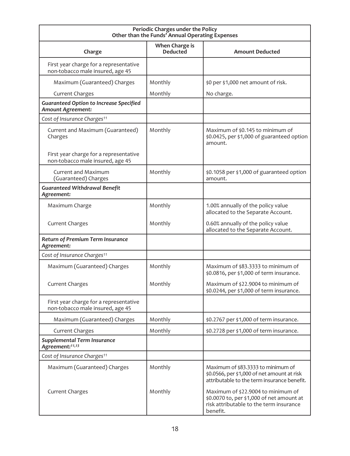| Periodic Charges under the Policy<br>Other than the Funds' Annual Operating Expenses |                                   |                                                                                                                                        |  |
|--------------------------------------------------------------------------------------|-----------------------------------|----------------------------------------------------------------------------------------------------------------------------------------|--|
| Charge                                                                               | When Charge is<br><b>Deducted</b> | <b>Amount Deducted</b>                                                                                                                 |  |
| First year charge for a representative<br>non-tobacco male insured, age 45           |                                   |                                                                                                                                        |  |
| Maximum (Guaranteed) Charges                                                         | Monthly                           | \$0 per \$1,000 net amount of risk.                                                                                                    |  |
| <b>Current Charges</b>                                                               | Monthly                           | No charge.                                                                                                                             |  |
| <b>Guaranteed Option to Increase Specified</b><br>Amount Agreement:                  |                                   |                                                                                                                                        |  |
| Cost of Insurance Charges <sup>11</sup>                                              |                                   |                                                                                                                                        |  |
| Current and Maximum (Guaranteed)<br>Charges                                          | Monthly                           | Maximum of \$0.145 to minimum of<br>\$0.0425, per \$1,000 of guaranteed option<br>amount.                                              |  |
| First year charge for a representative<br>non-tobacco male insured, age 45           |                                   |                                                                                                                                        |  |
| <b>Current and Maximum</b><br>(Guaranteed) Charges                                   | Monthly                           | \$0.1058 per \$1,000 of guaranteed option<br>amount.                                                                                   |  |
| <b>Guaranteed Withdrawal Benefit</b><br>Agreement:                                   |                                   |                                                                                                                                        |  |
| Maximum Charge                                                                       | Monthly                           | 1.00% annually of the policy value<br>allocated to the Separate Account.                                                               |  |
| <b>Current Charges</b>                                                               | Monthly                           | 0.60% annually of the policy value<br>allocated to the Separate Account.                                                               |  |
| Return of Premium Term Insurance<br>Agreement:                                       |                                   |                                                                                                                                        |  |
| Cost of Insurance Charges <sup>11</sup>                                              |                                   |                                                                                                                                        |  |
| Maximum (Guaranteed) Charges                                                         | Monthly                           | Maximum of \$83.3333 to minimum of<br>\$0.0816, per \$1,000 of term insurance.                                                         |  |
| <b>Current Charges</b>                                                               | Monthly                           | Maximum of \$22.9004 to minimum of<br>\$0.0244, per \$1,000 of term insurance.                                                         |  |
| First year charge for a representative<br>non-tobacco male insured, age 45           |                                   |                                                                                                                                        |  |
| Maximum (Guaranteed) Charges                                                         | Monthly                           | \$0.2767 per \$1,000 of term insurance.                                                                                                |  |
| <b>Current Charges</b>                                                               | Monthly                           | \$0.2728 per \$1,000 of term insurance.                                                                                                |  |
| <b>Supplemental Term Insurance</b><br>Agreement: <sup>11,13</sup>                    |                                   |                                                                                                                                        |  |
| Cost of Insurance Charges <sup>11</sup>                                              |                                   |                                                                                                                                        |  |
| Maximum (Guaranteed) Charges                                                         | Monthly                           | Maximum of \$83.3333 to minimum of<br>\$0.0566, per \$1,000 of net amount at risk<br>attributable to the term insurance benefit.       |  |
| <b>Current Charges</b>                                                               | Monthly                           | Maximum of \$22.9004 to minimum of<br>\$0.0070 to, per \$1,000 of net amount at<br>risk attributable to the term insurance<br>benefit. |  |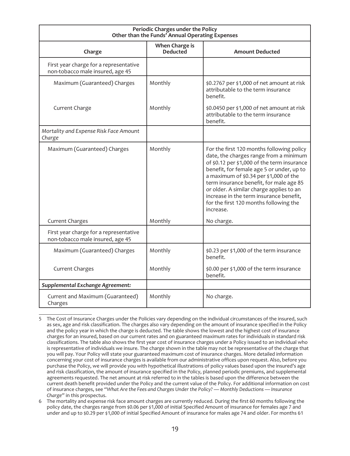| Periodic Charges under the Policy<br>Other than the Funds' Annual Operating Expenses |                                   |                                                                                                                                                                                                                                                                                                                                                                                                                    |  |
|--------------------------------------------------------------------------------------|-----------------------------------|--------------------------------------------------------------------------------------------------------------------------------------------------------------------------------------------------------------------------------------------------------------------------------------------------------------------------------------------------------------------------------------------------------------------|--|
| Charge                                                                               | When Charge is<br><b>Deducted</b> | <b>Amount Deducted</b>                                                                                                                                                                                                                                                                                                                                                                                             |  |
| First year charge for a representative<br>non-tobacco male insured, age 45           |                                   |                                                                                                                                                                                                                                                                                                                                                                                                                    |  |
| Maximum (Guaranteed) Charges                                                         | Monthly                           | \$0.2767 per \$1,000 of net amount at risk<br>attributable to the term insurance<br>henefit.                                                                                                                                                                                                                                                                                                                       |  |
| Current Charge                                                                       | Monthly                           | \$0.0450 per \$1,000 of net amount at risk<br>attributable to the term insurance<br>benefit.                                                                                                                                                                                                                                                                                                                       |  |
| Mortality and Expense Risk Face Amount<br>Charge                                     |                                   |                                                                                                                                                                                                                                                                                                                                                                                                                    |  |
| Maximum (Guaranteed) Charges                                                         | Monthly                           | For the first 120 months following policy<br>date, the charges range from a minimum<br>of \$0.12 per \$1,000 of the term insurance<br>benefit, for female age 5 or under, up to<br>a maximum of \$0.34 per \$1,000 of the<br>term insurance benefit, for male age 85<br>or older. A similar charge applies to an<br>increase in the term insurance benefit,<br>for the first 120 months following the<br>increase. |  |
| <b>Current Charges</b>                                                               | Monthly                           | No charge.                                                                                                                                                                                                                                                                                                                                                                                                         |  |
| First year charge for a representative<br>non-tobacco male insured, age 45           |                                   |                                                                                                                                                                                                                                                                                                                                                                                                                    |  |
| Maximum (Guaranteed) Charges                                                         | Monthly                           | \$0.23 per \$1,000 of the term insurance<br>henefit.                                                                                                                                                                                                                                                                                                                                                               |  |
| <b>Current Charges</b>                                                               | Monthly                           | \$0.00 per \$1,000 of the term insurance<br>benefit.                                                                                                                                                                                                                                                                                                                                                               |  |
| Supplemental Exchange Agreement:                                                     |                                   |                                                                                                                                                                                                                                                                                                                                                                                                                    |  |
| Current and Maximum (Guaranteed)<br>Charges                                          | Monthly                           | No charge.                                                                                                                                                                                                                                                                                                                                                                                                         |  |

<sup>5</sup> The Cost of Insurance Charges under the Policies vary depending on the individual circumstances of the insured, such as sex, age and risk classification. The charges also vary depending on the amount of insurance specified in the Policy and the policy year in which the charge is deducted. The table shows the lowest and the highest cost of insurance charges for an insured, based on our current rates and on guaranteed maximum rates for individuals in standard risk classifications. The table also shows the first year cost of insurance charges under a Policy issued to an individual who is representative of individuals we insure. The charge shown in the table may not be representative of the charge that you will pay. Your Policy will state your guaranteed maximum cost of insurance charges. More detailed information concerning your cost of insurance charges is available from our administrative offices upon request. Also, before you purchase the Policy, we will provide you with hypothetical illustrations of policy values based upon the insured's age and risk classification, the amount of insurance specified in the Policy, planned periodic premiums, and supplemental agreements requested. The net amount at risk referred to in the tables is based upon the difference between the current death benefit provided under the Policy and the current value of the Policy. For additional information on cost of insurance charges, see *"What Are the Fees and Charges Under the Policy? — Monthly Deductions — Insurance Charge"* in this prospectus.

<sup>6</sup> The mortality and expense risk face amount charges are currently reduced. During the first 60 months following the policy date, the charges range from \$0.06 per \$1,000 of initial Specified Amount of insurance for females age 7 and under and up to \$0.29 per \$1,000 of initial Specified Amount of insurance for males age 74 and older. For months 61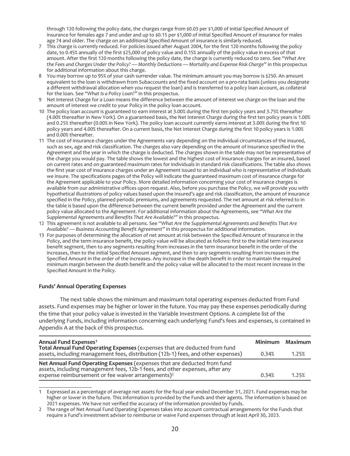through 120 following the policy date, the charges range from \$0.03 per \$1,000 of initial Specified Amount of insurance for females age 7 and under and up to \$0.15 per \$1,000 of initial Specified Amount of insurance for males age 74 and older. The charge on an additional Specified Amount of insurance is similarly reduced.

- 7 This charge is currently reduced. For policies issued after August 2004, for the first 120 months following the policy date, to 0.45% annually of the first \$25,000 of policy value and 0.15% annually of the policy value in excess of that amount. After the first 120 months following the policy date, the charge is currently reduced to zero. See *"What Are the Fees and Charges Under the Policy? — Monthly Deductions — Mortality and Expense Risk Charge"* in this prospectus for additional information about this charge.
- 8 You may borrow up to 95% of your cash surrender value. The minimum amount you may borrow is \$250. An amount equivalent to the loan is withdrawn from Subaccounts and the fixed account on a pro-rata basis (unless you designate a different withdrawal allocation when you request the loan) and is transferred to a policy loan account, as collateral for the loan. See *"What Is a Policy Loan?"* in this prospectus.
- 9 Net Interest Charge for a Loan means the difference between the amount of interest we charge on the loan and the amount of interest we credit to your Policy in the policy loan account.
- 10 The policy loan account is guaranteed to earn interest at 3.00% during the first ten policy years and 3.75% thereafter (4.00% thereafter in New York). On a guaranteed basis, the Net Interest Charge during the first ten policy years is 1.00% and 0.25% thereafter (0.00% in New York). The policy loan account currently earns interest at 3.00% during the first 10 policy years and 4.00% thereafter. On a current basis, the Net Interest Charge during the first 10 policy years is 1.00% and 0.00% thereafter.
- 11 The cost of insurance charges under the Agreements vary depending on the individual circumstances of the insured, such as sex, age and risk classification. The charges also vary depending on the amount of insurance specified in the Agreement and the year in which the charge is deducted. The charges shown in the table may not be representative of the charge you would pay. The table shows the lowest and the highest cost of insurance charges for an insured, based on current rates and on guaranteed maximum rates for individuals in standard risk classifications. The table also shows the first year cost of insurance charges under an Agreement issued to an individual who is representative of individuals we insure. The specifications pages of the Policy will indicate the guaranteed maximum cost of insurance charge for the Agreement applicable to your Policy. More detailed information concerning your cost of insurance charges is available from our administrative offices upon request. Also, before you purchase the Policy, we will provide you with hypothetical illustrations of policy values based upon the insured's age and risk classification, the amount of insurance specified in the Policy, planned periodic premiums, and agreements requested. The net amount at risk referred to in the table is based upon the difference between the current benefit provided under the Agreement and the current policy value allocated to the Agreement. For additional information about the Agreements, see *"What Are the Supplemental Agreements and Benefits That Are Available?"* in this prospectus.
- 12 This agreement is not available to all persons. See *"What Are the Supplemental Agreements and Benefits That Are Available? — Business Accounting Benefit Agreement"* in this prospectus for additional information.
- 13 For purposes of determining the allocation of net amount at risk between the Specified Amount of insurance in the Policy, and the term insurance benefit, the policy value will be allocated as follows: first to the initial term insurance benefit segment, then to any segments resulting from increases in the term insurance benefit in the order of the increases, then to the initial Specified Amount segment, and then to any segments resulting from increases in the Specified Amount in the order of the increases. Any increase in the death benefit in order to maintain the required minimum margin between the death benefit and the policy value will be allocated to the most recent increase in the Specified Amount in the Policy.

#### **Funds' Annual Operating Expenses**

The next table shows the minimum and maximum total operating expenses deducted from Fund assets. Fund expenses may be higher or lower in the future. You may pay these expenses periodically during the time that your policy value is invested in the Variable Investment Options. A complete list of the underlying Funds, including information concerning each underlying Fund's fees and expenses, is contained in Appendix A at the back of this prospectus.

| Annual Fund Expenses <sup>1</sup>                                                                                                                                                                                          |       | Minimum Maximum |
|----------------------------------------------------------------------------------------------------------------------------------------------------------------------------------------------------------------------------|-------|-----------------|
| Total Annual Fund Operating Expenses (expenses that are deducted from fund<br>assets, including management fees, distribution (12b-1) fees, and other expenses)                                                            | 0.34% | 1.25%           |
| Net Annual Fund Operating Expenses (expenses that are deducted from fund<br>assets, including management fees, 12b-1 fees, and other expenses, after any<br>expense reimbursement or fee waiver arrangements) <sup>2</sup> | 0.34% | 1.25%           |

1 Expressed as a percentage of average net assets for the fiscal year ended December 31, 2021. Fund expenses may be higher or lower in the future. This information is provided by the Funds and their agents. The information is based on 2021 expenses. We have not verified the accuracy of the information provided by Funds.

<sup>2</sup> The range of Net Annual Fund Operating Expenses takes into account contractual arrangements for the Funds that require a Fund's investment adviser to reimburse or waive Fund expenses through at least April 30, 2023.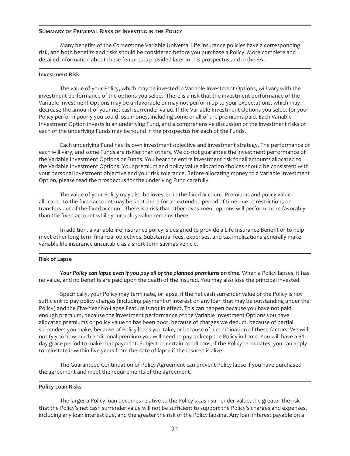#### **SUMMARY OF PRINCIPAL RISKS OF INVESTING IN THE POLICY**

Many benefits of the Cornerstone Variable Universal Life insurance policies have a corresponding risk, and both benefits and risks should be considered before you purchase a Policy. More complete and detailed information about these features is provided later in this prospectus and in the SAI.

#### **Investment Risk**

The value of your Policy, which may be invested in Variable Investment Options, will vary with the investment performance of the options you select. There is a risk that the investment performance of the Variable Investment Options may be unfavorable or may not perform up to your expectations, which may decrease the amount of your net cash surrender value. If the Variable Investment Options you select for your Policy perform poorly you could lose money, including some or all of the premiums paid. Each Variable Investment Option invests in an underlying Fund, and a comprehensive discussion of the investment risks of each of the underlying Funds may be found in the prospectus for each of the Funds.

Each underlying Fund has its own investment objective and investment strategy. The performance of each will vary, and some Funds are riskier than others. We do not guarantee the investment performance of the Variable Investment Options or Funds. You bear the entire investment risk for all amounts allocated to the Variable Investment Options. Your premium and policy value allocation choices should be consistent with your personal investment objective and your risk tolerance. Before allocating money to a Variable Investment Option, please read the prospectus for the underlying Fund carefully.

The value of your Policy may also be invested in the fixed account. Premiums and policy value allocated to the fixed account may be kept there for an extended period of time due to restrictions on transfers out of the fixed account. There is a risk that other investment options will perform more favorably than the fixed account while your policy value remains there.

In addition, a variable life insurance policy is designed to provide a Life Insurance Benefit or to help meet other long-term financial objectives. Substantial fees, expenses, and tax implications generally make variable life insurance unsuitable as a short-term savings vehicle.

#### **Risk of Lapse**

*Your Policy can lapse even if you pay all of the planned premiums on time.* When a Policy lapses, it has no value, and no benefits are paid upon the death of the insured. You may also lose the principal invested.

Specifically, your Policy may terminate, or lapse, if the net cash surrender value of the Policy is not sufficient to pay policy charges (including payment of interest on any loan that may be outstanding under the Policy) and the Five-Year No-Lapse Feature is not in effect. This can happen because you have not paid enough premium, because the investment performance of the Variable Investment Options you have allocated premiums or policy value to has been poor, because of charges we deduct, because of partial surrenders you make, because of Policy loans you take, or because of a combination of these factors. We will notify you how much additional premium you will need to pay to keep the Policy in force. You will have a 61 day grace period to make that payment. Subject to certain conditions, if the Policy terminates, you can apply to reinstate it within five years from the date of lapse if the insured is alive.

The Guaranteed Continuation of Policy Agreement can prevent Policy lapse if you have purchased the agreement and meet the requirements of the agreement.

#### **Policy Loan Risks**

The larger a Policy loan becomes relative to the Policy's cash surrender value, the greater the risk that the Policy's net cash surrender value will not be sufficient to support the Policy's charges and expenses, including any loan interest due, and the greater the risk of the Policy lapsing. Any loan interest payable on a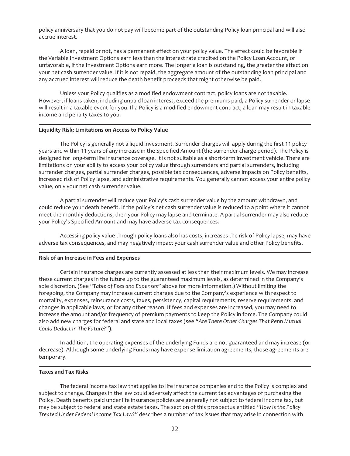policy anniversary that you do not pay will become part of the outstanding Policy loan principal and will also accrue interest.

A loan, repaid or not, has a permanent effect on your policy value. The effect could be favorable if the Variable Investment Options earn less than the interest rate credited on the Policy Loan Account, or unfavorable, if the Investment Options earn more. The longer a loan is outstanding, the greater the effect on your net cash surrender value. If it is not repaid, the aggregate amount of the outstanding loan principal and any accrued interest will reduce the death benefit proceeds that might otherwise be paid.

Unless your Policy qualifies as a modified endowment contract, policy loans are not taxable. However, if loans taken, including unpaid loan interest, exceed the premiums paid, a Policy surrender or lapse will result in a taxable event for you. If a Policy is a modified endowment contract, a loan may result in taxable income and penalty taxes to you.

#### **Liquidity Risk; Limitations on Access to Policy Value**

The Policy is generally not a liquid investment. Surrender charges will apply during the first 11 policy years and within 11 years of any increase in the Specified Amount (the surrender charge period). The Policy is designed for long-term life insurance coverage. It is not suitable as a short-term investment vehicle. There are limitations on your ability to access your policy value through surrenders and partial surrenders, including surrender charges, partial surrender charges, possible tax consequences, adverse impacts on Policy benefits, increased risk of Policy lapse, and administrative requirements. You generally cannot access your entire policy value, only your net cash surrender value.

A partial surrender will reduce your Policy's cash surrender value by the amount withdrawn, and could reduce your death benefit. If the policy's net cash surrender value is reduced to a point where it cannot meet the monthly deductions, then your Policy may lapse and terminate. A partial surrender may also reduce your Policy's Specified Amount and may have adverse tax consequences.

Accessing policy value through policy loans also has costs, increases the risk of Policy lapse, may have adverse tax consequences, and may negatively impact your cash surrender value and other Policy benefits.

#### **Risk of an Increase in Fees and Expenses**

Certain insurance charges are currently assessed at less than their maximum levels. We may increase these current charges in the future up to the guaranteed maximum levels, as determined in the Company's sole discretion. (See *"Table of Fees and Expenses"* above for more information.) Without limiting the foregoing, the Company may increase current charges due to the Company's experience with respect to mortality, expenses, reinsurance costs, taxes, persistency, capital requirements, reserve requirements, and changes in applicable laws, or for any other reason. If fees and expenses are increased, you may need to increase the amount and/or frequency of premium payments to keep the Policy in force. The Company could also add new charges for federal and state and local taxes (see *"Are There Other Charges That Penn Mutual Could Deduct In The Future?"*).

In addition, the operating expenses of the underlying Funds are not guaranteed and may increase (or decrease). Although some underlying Funds may have expense limitation agreements, those agreements are temporary.

#### **Taxes and Tax Risks**

The federal income tax law that applies to life insurance companies and to the Policy is complex and subject to change. Changes in the law could adversely affect the current tax advantages of purchasing the Policy. Death benefits paid under life insurance policies are generally not subject to federal income tax, but may be subject to federal and state estate taxes. The section of this prospectus entitled *"How Is the Policy Treated Under Federal Income Tax Law?"* describes a number of tax issues that may arise in connection with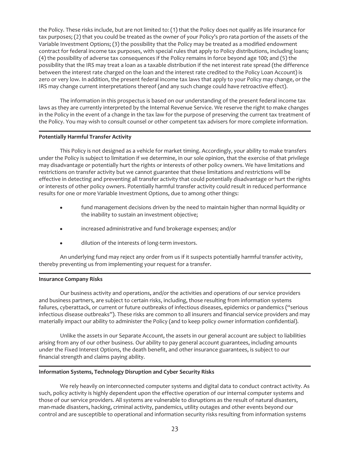the Policy. These risks include, but are not limited to: (1) that the Policy does not qualify as life insurance for tax purposes; (2) that you could be treated as the owner of your Policy's pro rata portion of the assets of the Variable Investment Options; (3) the possibility that the Policy may be treated as a modified endowment contract for federal income tax purposes, with special rules that apply to Policy distributions, including loans; (4) the possibility of adverse tax consequences if the Policy remains in force beyond age 100; and (5) the possibility that the IRS may treat a loan as a taxable distribution if the net interest rate spread (the difference between the interest rate charged on the loan and the interest rate credited to the Policy Loan Account) is zero or very low. In addition, the present federal income tax laws that apply to your Policy may change, or the IRS may change current interpretations thereof (and any such change could have retroactive effect).

The information in this prospectus is based on our understanding of the present federal income tax laws as they are currently interpreted by the Internal Revenue Service. We reserve the right to make changes in the Policy in the event of a change in the tax law for the purpose of preserving the current tax treatment of the Policy. You may wish to consult counsel or other competent tax advisers for more complete information.

#### **Potentially Harmful Transfer Activity**

This Policy is not designed as a vehicle for market timing. Accordingly, your ability to make transfers under the Policy is subject to limitation if we determine, in our sole opinion, that the exercise of that privilege may disadvantage or potentially hurt the rights or interests of other policy owners. We have limitations and restrictions on transfer activity but we cannot guarantee that these limitations and restrictions will be effective in detecting and preventing all transfer activity that could potentially disadvantage or hurt the rights or interests of other policy owners. Potentially harmful transfer activity could result in reduced performance results for one or more Variable Investment Options, due to among other things:

- fund management decisions driven by the need to maintain higher than normal liquidity or the inability to sustain an investment objective;
- $\bullet$  increased administrative and fund brokerage expenses; and/or
- dilution of the interests of long-term investors.

An underlying fund may reject any order from us if it suspects potentially harmful transfer activity, thereby preventing us from implementing your request for a transfer.

#### **Insurance Company Risks**

Our business activity and operations, and/or the activities and operations of our service providers and business partners, are subject to certain risks, including, those resulting from information systems failures, cyberattack, or current or future outbreaks of infectious diseases, epidemics or pandemics ("serious infectious disease outbreaks"). These risks are common to all insurers and financial service providers and may materially impact our ability to administer the Policy (and to keep policy owner information confidential).

Unlike the assets in our Separate Account, the assets in our general account are subject to liabilities arising from any of our other business. Our ability to pay general account guarantees, including amounts under the Fixed Interest Options, the death benefit, and other insurance guarantees, is subject to our financial strength and claims paying ability.

#### **Information Systems, Technology Disruption and Cyber Security Risks**

We rely heavily on interconnected computer systems and digital data to conduct contract activity. As such, policy activity is highly dependent upon the effective operation of our internal computer systems and those of our service providers. All systems are vulnerable to disruptions as the result of natural disasters, man-made disasters, hacking, criminal activity, pandemics, utility outages and other events beyond our control and are susceptible to operational and information security risks resulting from information systems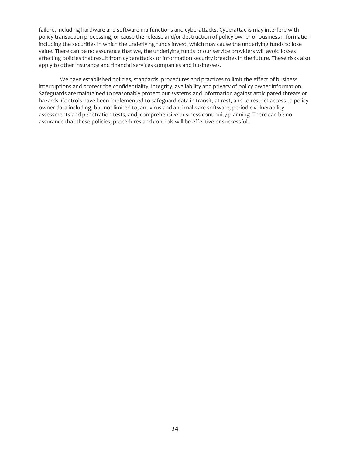failure, including hardware and software malfunctions and cyberattacks. Cyberattacks may interfere with policy transaction processing, or cause the release and/or destruction of policy owner or business information including the securities in which the underlying funds invest, which may cause the underlying funds to lose value. There can be no assurance that we, the underlying funds or our service providers will avoid losses affecting policies that result from cyberattacks or information security breaches in the future. These risks also apply to other insurance and financial services companies and businesses.

We have established policies, standards, procedures and practices to limit the effect of business interruptions and protect the confidentiality, integrity, availability and privacy of policy owner information. Safeguards are maintained to reasonably protect our systems and information against anticipated threats or hazards. Controls have been implemented to safeguard data in transit, at rest, and to restrict access to policy owner data including, but not limited to, antivirus and anti-malware software, periodic vulnerability assessments and penetration tests, and, comprehensive business continuity planning. There can be no assurance that these policies, procedures and controls will be effective or successful.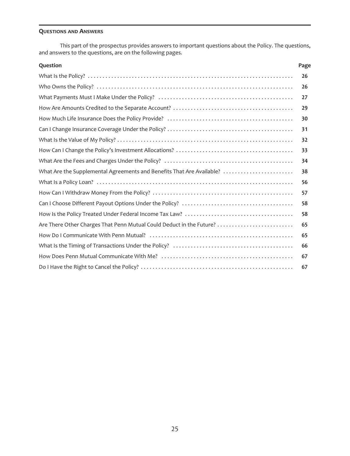#### **QUESTIONS AND ANSWERS**

This part of the prospectus provides answers to important questions about the Policy. The questions, and answers to the questions, are on the following pages.

| Question                                                              | Page |
|-----------------------------------------------------------------------|------|
|                                                                       | 26   |
|                                                                       | 26   |
|                                                                       | 27   |
|                                                                       | 29   |
|                                                                       | 30   |
|                                                                       | 31   |
|                                                                       | 32   |
|                                                                       | 33   |
|                                                                       | 34   |
| What Are the Supplemental Agreements and Benefits That Are Available? | 38   |
|                                                                       | 56   |
|                                                                       | 57   |
|                                                                       | 58   |
|                                                                       | 58   |
| Are There Other Charges That Penn Mutual Could Deduct in the Future?  | 65   |
|                                                                       | 65   |
|                                                                       | 66   |
|                                                                       | 67   |
|                                                                       | 67   |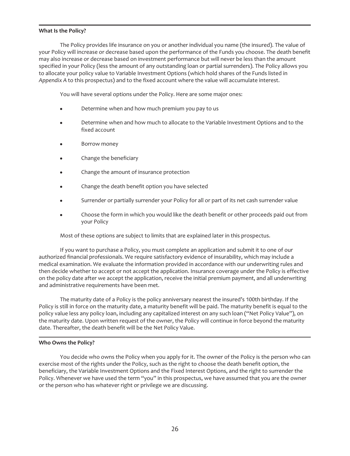#### <span id="page-26-0"></span>**What Is the Policy?**

The Policy provides life insurance on you or another individual you name (the insured). The value of your Policy will increase or decrease based upon the performance of the Funds you choose. The death benefit may also increase or decrease based on investment performance but will never be less than the amount specified in your Policy (less the amount of any outstanding loan or partial surrenders). The Policy allows you to allocate your policy value to Variable Investment Options (which hold shares of the Funds listed in *Appendix A* to this prospectus) and to the fixed account where the value will accumulate interest.

You will have several options under the Policy. Here are some major ones:

- Determine when and how much premium you pay to us
- Determine when and how much to allocate to the Variable Investment Options and to the fixed account
- Borrow money
- Change the beneficiary
- Change the amount of insurance protection
- Change the death benefit option you have selected
- Surrender or partially surrender your Policy for all or part of its net cash surrender value
- Choose the form in which you would like the death benefit or other proceeds paid out from your Policy

Most of these options are subject to limits that are explained later in this prospectus.

If you want to purchase a Policy, you must complete an application and submit it to one of our authorized financial professionals. We require satisfactory evidence of insurability, which may include a medical examination. We evaluate the information provided in accordance with our underwriting rules and then decide whether to accept or not accept the application. Insurance coverage under the Policy is effective on the policy date after we accept the application, receive the initial premium payment, and all underwriting and administrative requirements have been met.

The maturity date of a Policy is the policy anniversary nearest the insured's 100th birthday. If the Policy is still in force on the maturity date, a maturity benefit will be paid. The maturity benefit is equal to the policy value less any policy loan, including any capitalized interest on any such loan ("Net Policy Value"), on the maturity date. Upon written request of the owner, the Policy will continue in force beyond the maturity date. Thereafter, the death benefit will be the Net Policy Value.

#### <span id="page-26-1"></span>**Who Owns the Policy?**

You decide who owns the Policy when you apply for it. The owner of the Policy is the person who can exercise most of the rights under the Policy, such as the right to choose the death benefit option, the beneficiary, the Variable Investment Options and the Fixed Interest Options, and the right to surrender the Policy. Whenever we have used the term "you" in this prospectus, we have assumed that you are the owner or the person who has whatever right or privilege we are discussing.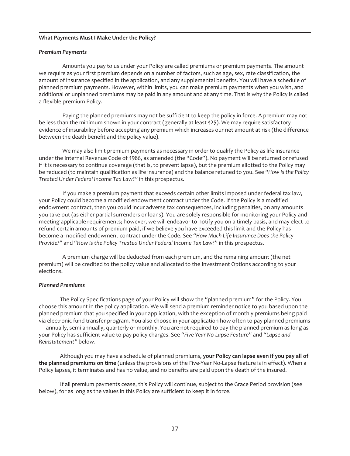#### <span id="page-27-0"></span>**What Payments Must I Make Under the Policy?**

#### *Premium Payments*

Amounts you pay to us under your Policy are called premiums or premium payments. The amount we require as your first premium depends on a number of factors, such as age, sex, rate classification, the amount of insurance specified in the application, and any supplemental benefits. You will have a schedule of planned premium payments. However, within limits, you can make premium payments when you wish, and additional or unplanned premiums may be paid in any amount and at any time. That is why the Policy is called a flexible premium Policy.

Paying the planned premiums may not be sufficient to keep the policy in force. A premium may not be less than the minimum shown in your contract (generally at least \$25). We may require satisfactory evidence of insurability before accepting any premium which increases our net amount at risk (the difference between the death benefit and the policy value).

We may also limit premium payments as necessary in order to qualify the Policy as life insurance under the Internal Revenue Code of 1986, as amended (the "Code"). No payment will be returned or refused if it is necessary to continue coverage (that is, to prevent lapse), but the premium allotted to the Policy may be reduced (to maintain qualification as life insurance) and the balance retuned to you. See *"How Is the Policy Treated Under Federal Income Tax Law?"* in this prospectus.

If you make a premium payment that exceeds certain other limits imposed under federal tax law, your Policy could become a modified endowment contract under the Code. If the Policy is a modified endowment contract, then you could incur adverse tax consequences, including penalties, on any amounts you take out (as either partial surrenders or loans). You are solely responsible for monitoring your Policy and meeting applicable requirements; however, we will endeavor to notify you on a timely basis, and may elect to refund certain amounts of premium paid, if we believe you have exceeded this limit and the Policy has become a modified endowment contract under the Code. See *"How Much Life Insurance Does the Policy Provide?"* and *"How Is the Policy Treated Under Federal Income Tax Law?"* in this prospectus.

A premium charge will be deducted from each premium, and the remaining amount (the net premium) will be credited to the policy value and allocated to the Investment Options according to your elections.

#### *Planned Premiums*

The Policy Specifications page of your Policy will show the "planned premium" for the Policy. You choose this amount in the policy application. We will send a premium reminder notice to you based upon the planned premium that you specified in your application, with the exception of monthly premiums being paid via electronic fund transfer program. You also choose in your application how often to pay planned premiums — annually, semi-annually, quarterly or monthly. You are not required to pay the planned premium as long as your Policy has sufficient value to pay policy charges. See *"Five Year No-Lapse Feature"* and *"Lapse and Reinstatement"* below.

Although you may have a schedule of planned premiums, **your Policy can lapse even if you pay all of the planned premiums on time** (unless the provisions of the Five-Year No-Lapse feature is in effect). When a Policy lapses, it terminates and has no value, and no benefits are paid upon the death of the insured.

If all premium payments cease, this Policy will continue, subject to the Grace Period provision (see below), for as long as the values in this Policy are sufficient to keep it in force.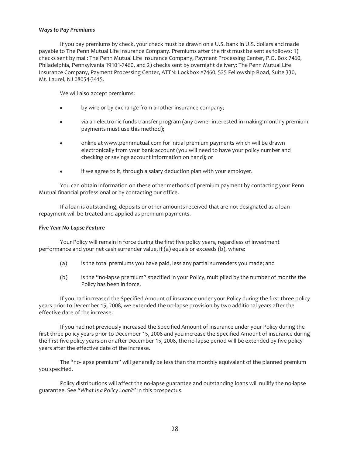#### *Ways to Pay Premiums*

If you pay premiums by check, your check must be drawn on a U.S. bank in U.S. dollars and made payable to The Penn Mutual Life Insurance Company. Premiums after the first must be sent as follows: 1) checks sent by mail: The Penn Mutual Life Insurance Company, Payment Processing Center, P.O. Box 7460, Philadelphia, Pennsylvania 19101-7460, and 2) checks sent by overnight delivery: The Penn Mutual Life Insurance Company, Payment Processing Center, ATTN: Lockbox #7460, 525 Fellowship Road, Suite 330, Mt. Laurel, NJ 08054-3415.

We will also accept premiums:

- by wire or by exchange from another insurance company;
- via an electronic funds transfer program (any owner interested in making monthly premium payments must use this method);
- online at www.pennmutual.com for initial premium payments which will be drawn electronically from your bank account (you will need to have your policy number and checking or savings account information on hand); or
- if we agree to it, through a salary deduction plan with your employer.

You can obtain information on these other methods of premium payment by contacting your Penn Mutual financial professional or by contacting our office.

If a loan is outstanding, deposits or other amounts received that are not designated as a loan repayment will be treated and applied as premium payments.

#### *Five Year No-Lapse Feature*

Your Policy will remain in force during the first five policy years, regardless of investment performance and your net cash surrender value, if (a) equals or exceeds (b), where:

- (a) is the total premiums you have paid, less any partial surrenders you made; and
- (b) is the "no-lapse premium" specified in your Policy, multiplied by the number of months the Policy has been in force.

If you had increased the Specified Amount of insurance under your Policy during the first three policy years prior to December 15, 2008, we extended the no-lapse provision by two additional years after the effective date of the increase.

If you had not previously increased the Specified Amount of insurance under your Policy during the first three policy years prior to December 15, 2008 and you increase the Specified Amount of insurance during the first five policy years on or after December 15, 2008, the no-lapse period will be extended by five policy years after the effective date of the increase.

The "no-lapse premium" will generally be less than the monthly equivalent of the planned premium you specified.

Policy distributions will affect the no-lapse guarantee and outstanding loans will nullify the no-lapse guarantee. See *"What Is a Policy Loan?"* in this prospectus.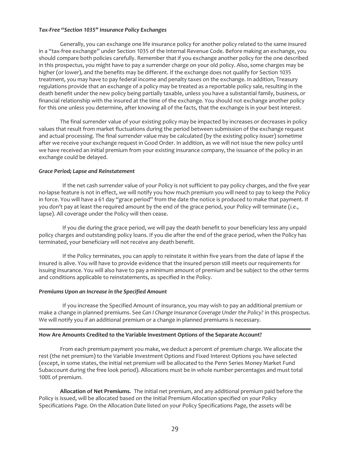#### *Tax-Free "Section 1035" Insurance Policy Exchanges*

Generally, you can exchange one life insurance policy for another policy related to the same insured in a "tax-free exchange" under Section 1035 of the Internal Revenue Code. Before making an exchange, you should compare both policies carefully. Remember that if you exchange another policy for the one described in this prospectus, you might have to pay a surrender charge on your old policy. Also, some charges may be higher (or lower), and the benefits may be different. If the exchange does not qualify for Section 1035 treatment, you may have to pay federal income and penalty taxes on the exchange. In addition, Treasury regulations provide that an exchange of a policy may be treated as a reportable policy sale, resulting in the death benefit under the new policy being partially taxable, unless you have a substantial family, business, or financial relationship with the insured at the time of the exchange. You should not exchange another policy for this one unless you determine, after knowing all of the facts, that the exchange is in your best interest.

The final surrender value of your existing policy may be impacted by increases or decreases in policy values that result from market fluctuations during the period between submission of the exchange request and actual processing. The final surrender value may be calculated (by the existing policy issuer) sometime after we receive your exchange request in Good Order. In addition, as we will not issue the new policy until we have received an initial premium from your existing insurance company, the issuance of the policy in an exchange could be delayed.

#### *Grace Period; Lapse and Reinstatement*

If the net cash surrender value of your Policy is not sufficient to pay policy charges, and the five year no-lapse feature is not in effect, we will notify you how much premium you will need to pay to keep the Policy in force. You will have a 61 day "grace period" from the date the notice is produced to make that payment. If you don't pay at least the required amount by the end of the grace period, your Policy will terminate (*i.e.*, lapse). All coverage under the Policy will then cease.

If you die during the grace period, we will pay the death benefit to your beneficiary less any unpaid policy charges and outstanding policy loans. If you die after the end of the grace period, when the Policy has terminated, your beneficiary will not receive any death benefit.

If the Policy terminates, you can apply to reinstate it within five years from the date of lapse if the insured is alive. You will have to provide evidence that the insured person still meets our requirements for issuing insurance. You will also have to pay a minimum amount of premium and be subject to the other terms and conditions applicable to reinstatements, as specified in the Policy.

#### *Premiums Upon an Increase in the Specified Amount*

If you increase the Specified Amount of insurance, you may wish to pay an additional premium or make a change in planned premiums. See *Can I Change Insurance Coverage Under the Policy?* in this prospectus. We will notify you if an additional premium or a change in planned premiums is necessary.

#### <span id="page-29-0"></span>**How Are Amounts Credited to the Variable Investment Options of the Separate Account?**

From each premium payment you make, we deduct a percent of premium charge. We allocate the rest (the net premium) to the Variable Investment Options and Fixed Interest Options you have selected (except, in some states, the initial net premium will be allocated to the Penn Series Money Market Fund Subaccount during the free look period). Allocations must be in whole number percentages and must total 100% of premium.

**Allocation of Net Premiums.** The initial net premium, and any additional premium paid before the Policy is issued, will be allocated based on the Initial Premium Allocation specified on your Policy Specifications Page. On the Allocation Date listed on your Policy Specifications Page, the assets will be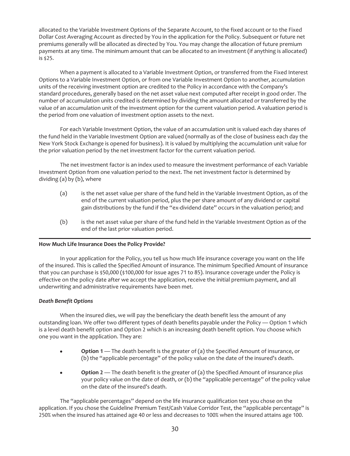allocated to the Variable Investment Options of the Separate Account, to the fixed account or to the Fixed Dollar Cost Averaging Account as directed by You in the application for the Policy. Subsequent or future net premiums generally will be allocated as directed by You. You may change the allocation of future premium payments at any time. The minimum amount that can be allocated to an investment (if anything is allocated) is \$25.

When a payment is allocated to a Variable Investment Option, or transferred from the Fixed Interest Options to a Variable Investment Option, or from one Variable Investment Option to another, accumulation units of the receiving investment option are credited to the Policy in accordance with the Company's standard procedures, generally based on the net asset value next computed after receipt in good order. The number of accumulation units credited is determined by dividing the amount allocated or transferred by the value of an accumulation unit of the investment option for the current valuation period. A valuation period is the period from one valuation of investment option assets to the next.

For each Variable Investment Option, the value of an accumulation unit is valued each day shares of the fund held in the Variable Investment Option are valued (normally as of the close of business each day the New York Stock Exchange is opened for business). It is valued by multiplying the accumulation unit value for the prior valuation period by the net investment factor for the current valuation period.

The net investment factor is an index used to measure the investment performance of each Variable Investment Option from one valuation period to the next. The net investment factor is determined by dividing (a) by (b), where

- (a) is the net asset value per share of the fund held in the Variable Investment Option, as of the end of the current valuation period, plus the per share amount of any dividend or capital gain distributions by the fund if the "ex-dividend date" occurs in the valuation period; and
- (b) is the net asset value per share of the fund held in the Variable Investment Option as of the end of the last prior valuation period.

#### <span id="page-30-0"></span>**How Much Life Insurance Does the Policy Provide?**

In your application for the Policy, you tell us how much life insurance coverage you want on the life of the insured. This is called the Specified Amount of insurance. The minimum Specified Amount of insurance that you can purchase is \$50,000 (\$100,000 for issue ages 71 to 85). Insurance coverage under the Policy is effective on the policy date after we accept the application, receive the initial premium payment, and all underwriting and administrative requirements have been met.

#### *Death Benefit Options*

When the insured dies, we will pay the beneficiary the death benefit less the amount of any outstanding loan. We offer two different types of death benefits payable under the Policy — Option 1 which is a level death benefit option and Option 2 which is an increasing death benefit option. You choose which one you want in the application. They are:

- **•** Option 1 The death benefit is the greater of (a) the Specified Amount of insurance, or (b) the "applicable percentage" of the policy value on the date of the insured's death.
- **•** Option 2 The death benefit is the greater of (a) the Specified Amount of insurance *plus* your policy value on the date of death, or (b) the "applicable percentage" of the policy value on the date of the insured's death.

The "applicable percentages" depend on the life insurance qualification test you chose on the application. If you chose the Guideline Premium Test/Cash Value Corridor Test, the "applicable percentage" is 250% when the insured has attained age 40 or less and decreases to 100% when the insured attains age 100.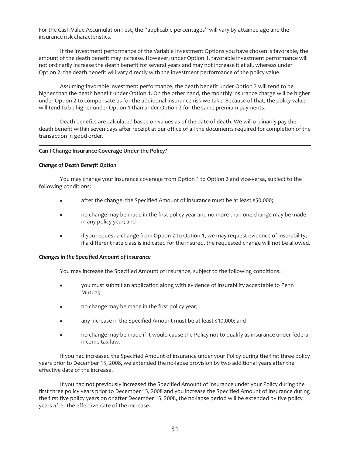For the Cash Value Accumulation Test, the "applicable percentages" will vary by attained age and the insurance risk characteristics.

If the investment performance of the Variable Investment Options you have chosen is favorable, the amount of the death benefit may increase. However, under Option 1, favorable investment performance will not ordinarily increase the death benefit for several years and may not increase it at all, whereas under Option 2, the death benefit will vary directly with the investment performance of the policy value.

Assuming favorable investment performance, the death benefit under Option 2 will tend to be higher than the death benefit under Option 1. On the other hand, the monthly insurance charge will be higher under Option 2 to compensate us for the additional insurance risk we take. Because of that, the policy value will tend to be higher under Option 1 than under Option 2 for the same premium payments.

Death benefits are calculated based on values as of the date of death. We will ordinarily pay the death benefit within seven days after receipt at our office of all the documents required for completion of the transaction in good order.

#### <span id="page-31-0"></span>**Can I Change Insurance Coverage Under the Policy?**

#### *Change of Death Benefit Option*

You may change your insurance coverage from Option 1 to Option 2 and vice-versa, subject to the following conditions:

- after the change, the Specified Amount of insurance must be at least \$50,000;
- no change may be made in the first policy year and no more than one change may be made in any policy year; and
- if you request a change from Option 2 to Option 1, we may request evidence of insurability; if a different rate class is indicated for the insured, the requested change will not be allowed.

#### *Changes in the Specified Amount of Insurance*

You may increase the Specified Amount of insurance, subject to the following conditions:

- you must submit an application along with evidence of insurability acceptable to Penn Mutual;
- no change may be made in the first policy year;
- any increase in the Specified Amount must be at least \$10,000; and
- no change may be made if it would cause the Policy not to qualify as insurance under federal income tax law.

If you had increased the Specified Amount of insurance under your Policy during the first three policy years prior to December 15, 2008, we extended the no-lapse provision by two additional years after the effective date of the increase.

If you had not previously increased the Specified Amount of insurance under your Policy during the first three policy years prior to December 15, 2008 and you increase the Specified Amount of insurance during the first five policy years on or after December 15, 2008, the no-lapse period will be extended by five policy years after the effective date of the increase.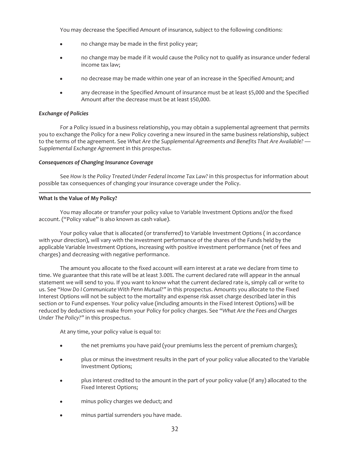You may decrease the Specified Amount of insurance, subject to the following conditions:

- no change may be made in the first policy year;
- no change may be made if it would cause the Policy not to qualify as insurance under federal income tax law;
- no decrease may be made within one year of an increase in the Specified Amount; and
- any decrease in the Specified Amount of insurance must be at least \$5,000 and the Specified Amount after the decrease must be at least \$50,000.

#### *Exchange of Policies*

For a Policy issued in a business relationship, you may obtain a supplemental agreement that permits you to exchange the Policy for a new Policy covering a new insured in the same business relationship, subject to the terms of the agreement. See *What Are the Supplemental Agreements and Benefits That Are Available? — Supplemental Exchange Agreement* in this prospectus.

#### *Consequences of Changing Insurance Coverage*

See *How Is the Policy Treated Under Federal Income Tax Law?* in this prospectus for information about possible tax consequences of changing your insurance coverage under the Policy.

#### <span id="page-32-0"></span>**What Is the Value of My Policy?**

You may allocate or transfer your policy value to Variable Investment Options and/or the fixed account. ("Policy value" is also known as cash value).

Your policy value that is allocated (or transferred) to Variable Investment Options ( in accordance with your direction), will vary with the investment performance of the shares of the Funds held by the applicable Variable Investment Options, increasing with positive investment performance (net of fees and charges) and decreasing with negative performance.

The amount you allocate to the fixed account will earn interest at a rate we declare from time to time. We guarantee that this rate will be at least 3.00%. The current declared rate will appear in the annual statement we will send to you. If you want to know what the current declared rate is, simply call or write to us. See *"How Do I Communicate With Penn Mutual?"* in this prospectus. Amounts you allocate to the Fixed Interest Options will not be subject to the mortality and expense risk asset charge described later in this section or to Fund expenses. Your policy value (including amounts in the Fixed Interest Options) will be reduced by deductions we make from your Policy for policy charges. See *"What Are the Fees and Charges Under The Policy?"* in this prospectus.

At any time, your policy value is equal to:

- the net premiums you have paid (your premiums less the percent of premium charges);
- plus or minus the investment results in the part of your policy value allocated to the Variable Investment Options;
- plus interest credited to the amount in the part of your policy value (if any) allocated to the Fixed Interest Options;
- minus policy charges we deduct; and
- minus partial surrenders you have made.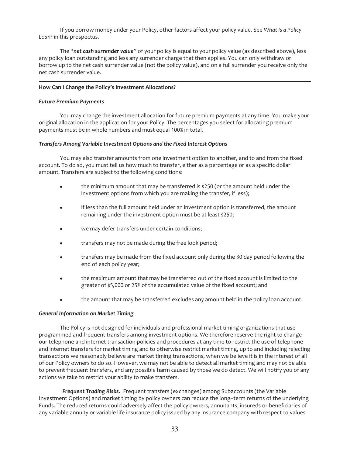If you borrow money under your Policy, other factors affect your policy value. See *What Is a Policy Loan?* in this prospectus.

The "*net cash surrender value*" of your policy is equal to your policy value (as described above), less any policy loan outstanding and less any surrender charge that then applies. You can only withdraw or borrow up to the net cash surrender value (not the policy value), and on a full surrender you receive only the net cash surrender value.

#### <span id="page-33-0"></span>**How Can I Change the Policy's Investment Allocations?**

#### *Future Premium Payments*

You may change the investment allocation for future premium payments at any time. You make your original allocation in the application for your Policy. The percentages you select for allocating premium payments must be in whole numbers and must equal 100% in total.

#### *Transfers Among Variable Investment Options and the Fixed Interest Options*

You may also transfer amounts from one investment option to another, and to and from the fixed account. To do so, you must tell us how much to transfer, either as a percentage or as a specific dollar amount. Transfers are subject to the following conditions:

- the minimum amount that may be transferred is \$250 (or the amount held under the investment options from which you are making the transfer, if less);
- if less than the full amount held under an investment option is transferred, the amount remaining under the investment option must be at least \$250;
- we may defer transfers under certain conditions;
- transfers may not be made during the free look period;
- transfers may be made from the fixed account only during the 30 day period following the end of each policy year;
- the maximum amount that may be transferred out of the fixed account is limited to the greater of \$5,000 or 25% of the accumulated value of the fixed account; and
- the amount that may be transferred excludes any amount held in the policy loan account.

#### *General Information on Market Timing*

The Policy is not designed for individuals and professional market timing organizations that use programmed and frequent transfers among investment options. We therefore reserve the right to change our telephone and internet transaction policies and procedures at any time to restrict the use of telephone and internet transfers for market timing and to otherwise restrict market timing, up to and including rejecting transactions we reasonably believe are market timing transactions, when we believe it is in the interest of all of our Policy owners to do so. However, we may not be able to detect all market timing and may not be able to prevent frequent transfers, and any possible harm caused by those we do detect. We will notify you of any actions we take to restrict your ability to make transfers.

*Frequent Trading Risks.* Frequent transfers (exchanges) among Subaccounts (the Variable Investment Options) and market timing by policy owners can reduce the long–term returns of the underlying Funds. The reduced returns could adversely affect the policy owners, annuitants, insureds or beneficiaries of any variable annuity or variable life insurance policy issued by any insurance company with respect to values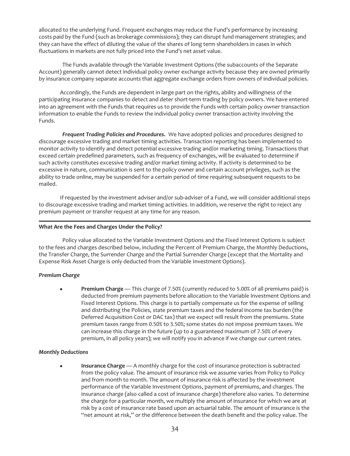allocated to the underlying Fund. Frequent exchanges may reduce the Fund's performance by increasing costs paid by the Fund (such as brokerage commissions); they can disrupt fund management strategies; and they can have the effect of diluting the value of the shares of long term shareholders in cases in which fluctuations in markets are not fully priced into the Fund's net asset value.

The Funds available through the Variable Investment Options (the subaccounts of the Separate Account) generally cannot detect individual policy owner exchange activity because they are owned primarily by insurance company separate accounts that aggregate exchange orders from owners of individual policies.

Accordingly, the Funds are dependent in large part on the rights, ability and willingness of the participating insurance companies to detect and deter short-term trading by policy owners. We have entered into an agreement with the Funds that requires us to provide the Funds with certain policy owner transaction information to enable the Funds to review the individual policy owner transaction activity involving the Funds.

*Frequent Trading Policies and Procedures.* We have adopted policies and procedures designed to discourage excessive trading and market timing activities. Transaction reporting has been implemented to monitor activity to identify and detect potential excessive trading and/or marketing timing. Transactions that exceed certain predefined parameters, such as frequency of exchanges, will be evaluated to determine if such activity constitutes excessive trading and/or market timing activity. If activity is determined to be excessive in nature, communication is sent to the policy owner and certain account privileges, such as the ability to trade online, may be suspended for a certain period of time requiring subsequent requests to be mailed.

If requested by the investment adviser and/or sub-adviser of a Fund, we will consider additional steps to discourage excessive trading and market timing activities. In addition, we reserve the right to reject any premium payment or transfer request at any time for any reason.

#### <span id="page-34-0"></span>**What Are the Fees and Charges Under the Policy?**

Policy value allocated to the Variable Investment Options and the Fixed Interest Options is subject to the fees and charges described below, including the Percent of Premium Charge, the Monthly Deductions, the Transfer Charge, the Surrender Charge and the Partial Surrender Charge (except that the Mortality and Expense Risk Asset Charge is only deducted from the Variable Investment Options).

#### *Premium Charge*

Premium Charge — This charge of 7.50% (currently reduced to 5.00% of all premiums paid) is deducted from premium payments before allocation to the Variable Investment Options and Fixed Interest Options. This charge is to partially compensate us for the expense of selling and distributing the Policies, state premium taxes and the federal income tax burden (the Deferred Acquisition Cost or DAC tax) that we expect will result from the premiums. State premium taxes range from 0.50% to 3.50%; some states do not impose premium taxes. We can increase this charge in the future (up to a guaranteed maximum of 7.50% of every premium, in all policy years); we will notify you in advance if we change our current rates.

#### *Monthly Deductions*

**Insurance Charge** — A monthly charge for the cost of insurance protection is subtracted from the policy value. The amount of insurance risk we assume varies from Policy to Policy and from month to month. The amount of insurance risk is affected by the investment performance of the Variable Investment Options, payment of premiums, and charges. The insurance charge (also called a cost of insurance charge) therefore also varies. To determine the charge for a particular month, we multiply the amount of insurance for which we are at risk by a cost of insurance rate based upon an actuarial table. The amount of insurance is the "net amount at risk," or the difference between the death benefit and the policy value. The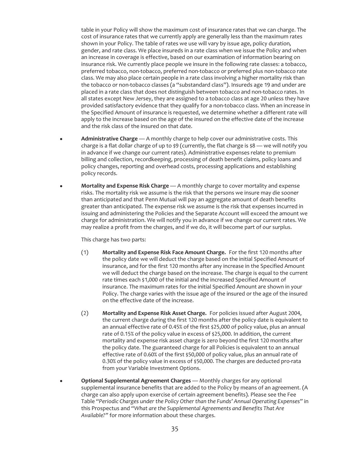table in your Policy will show the maximum cost of insurance rates that we can charge. The cost of insurance rates that we currently apply are generally less than the maximum rates shown in your Policy. The table of rates we use will vary by issue age, policy duration*,* gender, and rate class. We place insureds in a rate class when we issue the Policy and when an increase in coverage is effective, based on our examination of information bearing on insurance risk. We currently place people we insure in the following rate classes: a tobacco, preferred tobacco, non-tobacco, preferred non-tobacco or preferred plus non-tobacco rate class. We may also place certain people in a rate class involving a higher mortality risk than the tobacco or non-tobacco classes (a "substandard class"). Insureds age 19 and under are placed in a rate class that does not distinguish between tobacco and non-tobacco rates. In all states except New Jersey, they are assigned to a tobacco class at age 20 unless they have provided satisfactory evidence that they qualify for a non-tobacco class. When an increase in the Specified Amount of insurance is requested, we determine whether a different rate will apply to the increase based on the age of the insured on the effective date of the increase and the risk class of the insured on that date.

- Administrative Charge A monthly charge to help cover our administrative costs. This charge is a flat dollar charge of up to  $\frac{1}{2}9$  (currently, the flat charge is  $\frac{1}{2}8$  — we will notify you in advance if we change our current rates). Administrative expenses relate to premium billing and collection, recordkeeping, processing of death benefit claims, policy loans and policy changes, reporting and overhead costs, processing applications and establishing policy records.
- **Mortality and Expense Risk Charge** A monthly charge to cover mortality and expense risks. The mortality risk we assume is the risk that the persons we insure may die sooner than anticipated and that Penn Mutual will pay an aggregate amount of death benefits greater than anticipated. The expense risk we assume is the risk that expenses incurred in issuing and administering the Policies and the Separate Account will exceed the amount we charge for administration. We will notify you in advance if we change our current rates. We may realize a profit from the charges, and if we do, it will become part of our surplus.

This charge has two parts:

- (1) **Mortality and Expense Risk Face Amount Charge.** For the first 120 months after the policy date we will deduct the charge based on the initial Specified Amount of insurance, and for the first 120 months after any increase in the Specified Amount we will deduct the charge based on the increase. The charge is equal to the current rate times each \$1,000 of the initial and the increased Specified Amount of insurance. The maximum rates for the initial Specified Amount are shown in your Policy. The charge varies with the issue age of the insured or the age of the insured on the effective date of the increase.
- (2) **Mortality and Expense Risk Asset Charge.** For policies issued after August 2004, the current charge during the first 120 months after the policy date is equivalent to an annual effective rate of 0.45% of the first \$25,000 of policy value, plus an annual rate of 0.15% of the policy value in excess of \$25,000. In addition, the current mortality and expense risk asset charge is zero beyond the first 120 months after the policy date. The guaranteed charge for all Policies is equivalent to an annual effective rate of 0.60% of the first \$50,000 of policy value, plus an annual rate of 0.30% of the policy value in excess of \$50,000. The charges are deducted pro-rata from your Variable Investment Options.
- Optional Supplemental Agreement Charges Monthly charges for any optional supplemental insurance benefits that are added to the Policy by means of an agreement. (A charge can also apply upon exercise of certain agreement benefits). Please see the Fee Table *"Periodic Charges under the Policy Other than the Funds' Annual Operating Expenses"* in this Prospectus and *"What are the Supplemental Agreements and Benefits That Are Available?"* for more information about these charges.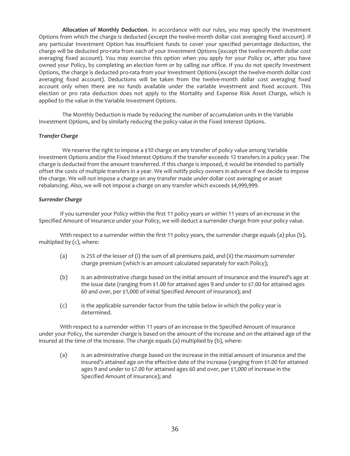**Allocation of Monthly Deduction**. In accordance with our rules, you may specify the Investment Options from which the charge is deducted (except the twelve-month dollar cost averaging fixed account). If any particular Investment Option has insufficient funds to cover your specified percentage deduction, the charge will be deducted pro-rata from each of your Investment Options (except the twelve-month dollar cost averaging fixed account). You may exercise this option when you apply for your Policy or, after you have owned your Policy, by completing an election form or by calling our office. If you do not specify Investment Options, the charge is deducted pro-rata from your Investment Options (except the twelve-month dollar cost averaging fixed account). Deductions will be taken from the twelve-month dollar cost averaging fixed account only when there are no funds available under the variable investment and fixed account. This election or pro rata deduction does not apply to the Mortality and Expense Risk Asset Charge, which is applied to the value in the Variable Investment Options.

The Monthly Deduction is made by reducing the number of accumulation units in the Variable Investment Options, and by similarly reducing the policy value in the Fixed Interest Options.

### *Transfer Charge*

We reserve the right to impose a \$10 charge on any transfer of policy value among Variable Investment Options and/or the Fixed Interest Options if the transfer exceeds 12 transfers in a policy year. The charge is deducted from the amount transferred. If this charge is imposed, it would be intended to partially offset the costs of multiple transfers in a year. We will notify policy owners in advance if we decide to impose the charge. We will not impose a charge on any transfer made under dollar cost averaging or asset rebalancing. Also, we will not impose a charge on any transfer which exceeds \$4,999,999.

### *Surrender Charge*

If you surrender your Policy within the first 11 policy years or within 11 years of an increase in the Specified Amount of insurance under your Policy, we will deduct a surrender charge from your policy value.

With respect to a surrender within the first 11 policy years, the surrender charge equals (a) plus (b), multiplied by (c), where:

- (a) is 25% of the lesser of (i) the sum of all premiums paid, and (ii) the maximum surrender charge premium (which is an amount calculated separately for each Policy);
- (b) is an administrative charge based on the initial amount of insurance and the insured's age at the issue date (ranging from \$1.00 for attained ages 9 and under to \$7.00 for attained ages 60 and over, per \$1,000 of initial Specified Amount of insurance); and
- (c) is the applicable surrender factor from the table below in which the policy year is determined.

With respect to a surrender within 11 years of an increase in the Specified Amount of insurance under your Policy, the surrender charge is based on the amount of the increase and on the attained age of the insured at the time of the increase. The charge equals (a) multiplied by (b), where:

(a) is an administrative charge based on the increase in the initial amount of insurance and the insured's attained age on the effective date of the increase (ranging from \$1.00 for attained ages 9 and under to \$7.00 for attained ages 60 and over, per \$1,000 of increase in the Specified Amount of insurance); and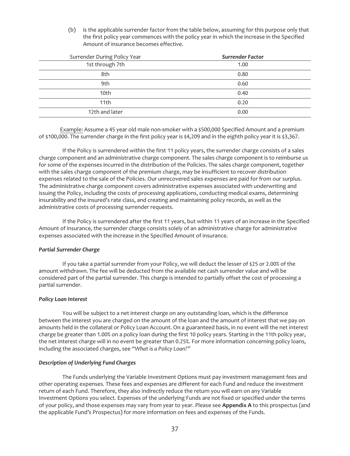(b) is the applicable surrender factor from the table below, assuming for this purpose only that the first policy year commences with the policy year in which the increase in the Specified Amount of insurance becomes effective.

| Surrender During Policy Year | <b>Surrender Factor</b> |
|------------------------------|-------------------------|
| 1st through 7th              | 1.00                    |
| 8th                          | 0.80                    |
| 9th                          | 0.60                    |
| 10 <sub>th</sub>             | 0.40                    |
| 11th                         | 0.20                    |
| 12th and later               | 0.00                    |

Example: Assume a 45 year old male non-smoker with a \$500,000 Specified Amount and a premium of \$100,000. The surrender charge in the first policy year is \$4,209 and in the eighth policy year it is \$3,367.

If the Policy is surrendered within the first 11 policy years, the surrender charge consists of a sales charge component and an administrative charge component. The sales charge component is to reimburse us for some of the expenses incurred in the distribution of the Policies. The sales charge component, together with the sales charge component of the premium charge, may be insufficient to recover distribution expenses related to the sale of the Policies. Our unrecovered sales expenses are paid for from our surplus. The administrative charge component covers administrative expenses associated with underwriting and issuing the Policy, including the costs of processing applications, conducting medical exams, determining insurability and the insured's rate class, and creating and maintaining policy records, as well as the administrative costs of processing surrender requests.

If the Policy is surrendered after the first 11 years, but within 11 years of an increase in the Specified Amount of insurance, the surrender charge consists solely of an administrative charge for administrative expenses associated with the increase in the Specified Amount of insurance.

## *Partial Surrender Charge*

If you take a partial surrender from your Policy, we will deduct the lesser of \$25 or 2.00% of the amount withdrawn. The fee will be deducted from the available net cash surrender value and will be considered part of the partial surrender. This charge is intended to partially offset the cost of processing a partial surrender.

## *Policy Loan Interest*

You will be subject to a net interest charge on any outstanding loan, which is the difference between the interest you are charged on the amount of the loan and the amount of interest that we pay on amounts held in the collateral or Policy Loan Account. On a guaranteed basis, in no event will the net interest charge be greater than 1.00% on a policy loan during the first 10 policy years. Starting in the 11th policy year, the net interest charge will in no event be greater than 0.25%. For more information concerning policy loans, including the associated charges, see *"What is a Policy Loan?"*

## *Description of Underlying Fund Charges*

The Funds underlying the Variable Investment Options must pay investment management fees and other operating expenses. These fees and expenses are different for each Fund and reduce the investment return of each Fund. Therefore, they also indirectly reduce the return you will earn on any Variable Investment Options you select. Expenses of the underlying Funds are not fixed or specified under the terms of your policy, and those expenses may vary from year to year. Please see **Appendix A** to this prospectus (and the applicable Fund's Prospectus) for more information on fees and expenses of the Funds.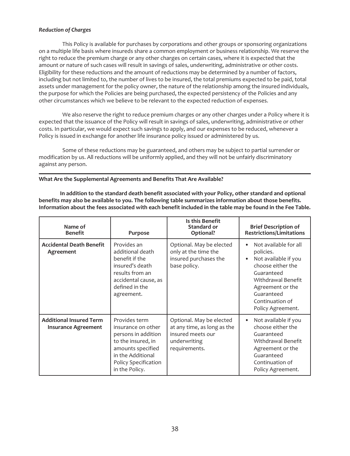# *Reduction of Charges*

This Policy is available for purchases by corporations and other groups or sponsoring organizations on a multiple life basis where insureds share a common employment or business relationship. We reserve the right to reduce the premium charge or any other charges on certain cases, where it is expected that the amount or nature of such cases will result in savings of sales, underwriting, administrative or other costs. Eligibility for these reductions and the amount of reductions may be determined by a number of factors, including but not limited to, the number of lives to be insured, the total premiums expected to be paid, total assets under management for the policy owner, the nature of the relationship among the insured individuals, the purpose for which the Policies are being purchased, the expected persistency of the Policies and any other circumstances which we believe to be relevant to the expected reduction of expenses.

We also reserve the right to reduce premium charges or any other charges under a Policy where it is expected that the issuance of the Policy will result in savings of sales, underwriting, administrative or other costs. In particular, we would expect such savings to apply, and our expenses to be reduced, whenever a Policy is issued in exchange for another life insurance policy issued or administered by us.

Some of these reductions may be guaranteed, and others may be subject to partial surrender or modification by us. All reductions will be uniformly applied, and they will not be unfairly discriminatory against any person.

# **What Are the Supplemental Agreements and Benefits That Are Available?**

**In addition to the standard death benefit associated with your Policy, other standard and optional benefits may also be available to you. The following table summarizes information about those benefits. Information about the fees associated with each benefit included in the table may be found in the Fee Table.**

| Name of<br><b>Benefit</b>                                    | Purpose                                                                                                                                                              | Is this Benefit<br><b>Standard or</b><br>Optional?                                                            | <b>Brief Description of</b><br><b>Restrictions/Limitations</b>                                                                                                                                |
|--------------------------------------------------------------|----------------------------------------------------------------------------------------------------------------------------------------------------------------------|---------------------------------------------------------------------------------------------------------------|-----------------------------------------------------------------------------------------------------------------------------------------------------------------------------------------------|
| <b>Accidental Death Benefit</b><br>Agreement                 | Provides an<br>additional death<br>benefit if the<br>insured's death<br>results from an<br>accidental cause, as<br>defined in the<br>agreement.                      | Optional. May be elected<br>only at the time the<br>insured purchases the<br>base policy.                     | Not available for all<br>policies.<br>Not available if you<br>choose either the<br>Guaranteed<br>Withdrawal Benefit<br>Agreement or the<br>Guaranteed<br>Continuation of<br>Policy Agreement. |
| <b>Additional Insured Term</b><br><b>Insurance Agreement</b> | Provides term<br>insurance on other<br>persons in addition<br>to the insured, in<br>amounts specified<br>in the Additional<br>Policy Specification<br>in the Policy. | Optional. May be elected<br>at any time, as long as the<br>insured meets our<br>underwriting<br>requirements. | Not available if you<br>$\bullet$<br>choose either the<br>Guaranteed<br>Withdrawal Benefit<br>Agreement or the<br>Guaranteed<br>Continuation of<br>Policy Agreement.                          |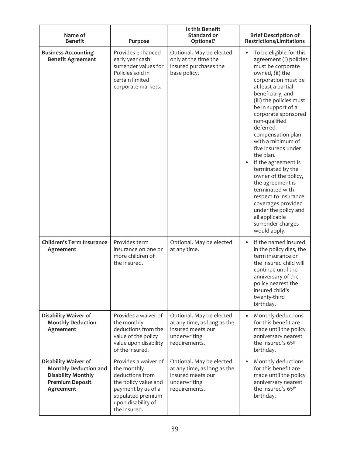| Name of<br><b>Benefit</b>                                                                                                       | Purpose                                                                                                                                                          | Is this Benefit<br>Standard or<br>Optional?                                                                   | <b>Brief Description of</b><br><b>Restrictions/Limitations</b>                                                                                                                                                                                                                                                                                                                                                                                                                                                                                                                        |
|---------------------------------------------------------------------------------------------------------------------------------|------------------------------------------------------------------------------------------------------------------------------------------------------------------|---------------------------------------------------------------------------------------------------------------|---------------------------------------------------------------------------------------------------------------------------------------------------------------------------------------------------------------------------------------------------------------------------------------------------------------------------------------------------------------------------------------------------------------------------------------------------------------------------------------------------------------------------------------------------------------------------------------|
| <b>Business Accounting</b><br><b>Benefit Agreement</b>                                                                          | Provides enhanced<br>early year cash<br>surrender values for<br>Policies sold in<br>certain limited<br>corporate markets.                                        | Optional. May be elected<br>only at the time the<br>insured purchases the<br>base policy.                     | To be eligible for this<br>agreement (i) policies<br>must be corporate<br>owned, (ii) the<br>corporation must be<br>at least a partial<br>beneficiary, and<br>(iii) the policies must<br>be in support of a<br>corporate sponsored<br>non-qualified<br>deferred<br>compensation plan<br>with a minimum of<br>five insureds under<br>the plan.<br>If the agreement is<br>terminated by the<br>owner of the policy,<br>the agreement is<br>terminated with<br>respect to insurance<br>coverages provided<br>under the policy and<br>all applicable<br>surrender charges<br>would apply. |
| <b>Children's Term Insurance</b><br>Agreement                                                                                   | Provides term<br>insurance on one or<br>more children of<br>the insured.                                                                                         | Optional. May be elected<br>at any time.                                                                      | If the named insured<br>$\bullet$<br>in the policy dies, the<br>term insurance on<br>the insured child will<br>continue until the<br>anniversary of the<br>policy nearest the<br>insured child's<br>twenty-third<br>birthday.                                                                                                                                                                                                                                                                                                                                                         |
| <b>Disability Waiver of</b><br><b>Monthly Deduction</b><br>Agreement                                                            | Provides a waiver of<br>the monthly<br>deductions from the<br>value of the policy<br>value upon disability<br>of the insured.                                    | Optional. May be elected<br>at any time, as long as the<br>insured meets our<br>underwriting<br>requirements. | Monthly deductions<br>for this benefit are<br>made until the policy<br>anniversary nearest<br>the insured's 65th<br>birthday.                                                                                                                                                                                                                                                                                                                                                                                                                                                         |
| <b>Disability Waiver of</b><br><b>Monthly Deduction and</b><br><b>Disability Monthly</b><br><b>Premium Deposit</b><br>Agreement | Provides a waiver of<br>the monthly<br>deductions from<br>the policy value and<br>payment by us of a<br>stipulated premium<br>upon disability of<br>the insured. | Optional. May be elected<br>at any time, as long as the<br>insured meets our<br>underwriting<br>requirements. | Monthly deductions<br>for this benefit are<br>made until the policy<br>anniversary nearest<br>the insured's 65th<br>birthday.                                                                                                                                                                                                                                                                                                                                                                                                                                                         |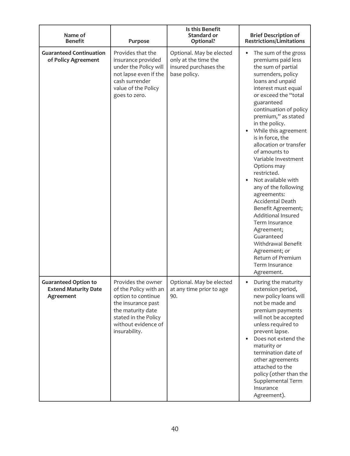| Name of<br><b>Benefit</b>                                               | Purpose                                                                                                                                                                      | Is this Benefit<br>Standard or<br>Optional?                                               | <b>Brief Description of</b><br><b>Restrictions/Limitations</b>                                                                                                                                                                                                                                                                                                                                                                                                                                                                                                                                                                                                |
|-------------------------------------------------------------------------|------------------------------------------------------------------------------------------------------------------------------------------------------------------------------|-------------------------------------------------------------------------------------------|---------------------------------------------------------------------------------------------------------------------------------------------------------------------------------------------------------------------------------------------------------------------------------------------------------------------------------------------------------------------------------------------------------------------------------------------------------------------------------------------------------------------------------------------------------------------------------------------------------------------------------------------------------------|
| <b>Guaranteed Continuation</b><br>of Policy Agreement                   | Provides that the<br>insurance provided<br>under the Policy will<br>not lapse even if the<br>cash surrender<br>value of the Policy<br>goes to zero.                          | Optional. May be elected<br>only at the time the<br>insured purchases the<br>base policy. | The sum of the gross<br>premiums paid less<br>the sum of partial<br>surrenders, policy<br>loans and unpaid<br>interest must equal<br>or exceed the "total<br>guaranteed<br>continuation of policy<br>premium," as stated<br>in the policy.<br>While this agreement<br>is in force, the<br>allocation or transfer<br>of amounts to<br>Variable Investment<br>Options may<br>restricted.<br>Not available with<br>any of the following<br>agreements:<br>Accidental Death<br>Benefit Agreement;<br>Additional Insured<br>Term Insurance<br>Agreement;<br>Guaranteed<br>Withdrawal Benefit<br>Agreement; or<br>Return of Premium<br>Term Insurance<br>Agreement. |
| <b>Guaranteed Option to</b><br><b>Extend Maturity Date</b><br>Agreement | Provides the owner<br>of the Policy with an<br>option to continue<br>the insurance past<br>the maturity date<br>stated in the Policy<br>without evidence of<br>insurability. | Optional. May be elected<br>at any time prior to age<br>90.                               | During the maturity<br>extension period,<br>new policy loans will<br>not be made and<br>premium payments<br>will not be accepted<br>unless required to<br>prevent lapse.<br>Does not extend the<br>maturity or<br>termination date of<br>other agreements<br>attached to the<br>policy (other than the<br>Supplemental Term<br>Insurance<br>Agreement).                                                                                                                                                                                                                                                                                                       |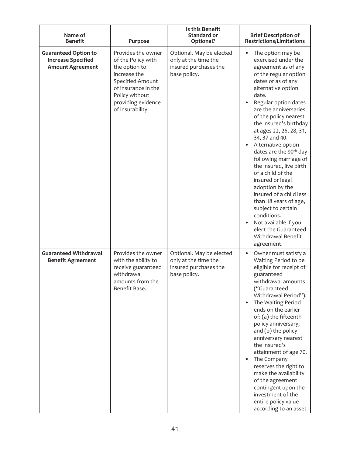| Name of<br><b>Benefit</b>                                                           | Purpose                                                                                                                                                                          | Is this Benefit<br><b>Standard or</b><br>Optional?                                        | <b>Brief Description of</b><br><b>Restrictions/Limitations</b>                                                                                                                                                                                                                                                                                                                                                                                                                                                                                                                                                                                          |
|-------------------------------------------------------------------------------------|----------------------------------------------------------------------------------------------------------------------------------------------------------------------------------|-------------------------------------------------------------------------------------------|---------------------------------------------------------------------------------------------------------------------------------------------------------------------------------------------------------------------------------------------------------------------------------------------------------------------------------------------------------------------------------------------------------------------------------------------------------------------------------------------------------------------------------------------------------------------------------------------------------------------------------------------------------|
| <b>Guaranteed Option to</b><br><b>Increase Specified</b><br><b>Amount Agreement</b> | Provides the owner<br>of the Policy with<br>the option to<br>increase the<br>Specified Amount<br>of insurance in the<br>Policy without<br>providing evidence<br>of insurability. | Optional. May be elected<br>only at the time the<br>insured purchases the<br>base policy. | The option may be<br>exercised under the<br>agreement as of any<br>of the regular option<br>dates or as of any<br>alternative option<br>date.<br>Regular option dates<br>are the anniversaries<br>of the policy nearest<br>the insured's birthday<br>at ages 22, 25, 28, 31,<br>34, 37 and 40.<br>Alternative option<br>dates are the 90 <sup>th</sup> day<br>following marriage of<br>the insured, live birth<br>of a child of the<br>insured or legal<br>adoption by the<br>insured of a child less<br>than 18 years of age,<br>subject to certain<br>conditions.<br>Not available if you<br>elect the Guaranteed<br>Withdrawal Benefit<br>agreement. |
| <b>Guaranteed Withdrawal</b><br><b>Benefit Agreement</b>                            | Provides the owner<br>with the ability to<br>receive guaranteed<br>withdrawal<br>amounts from the<br>Benefit Base.                                                               | Optional. May be elected<br>only at the time the<br>insured purchases the<br>base policy. | $\bullet$<br>Owner must satisfy a<br>Waiting Period to be<br>eligible for receipt of<br>guaranteed<br>withdrawal amounts<br>("Guaranteed<br>Withdrawal Period").<br>The Waiting Period<br>ends on the earlier<br>of: (a) the fifteenth<br>policy anniversary;<br>and (b) the policy<br>anniversary nearest<br>the insured's<br>attainment of age 70.<br>The Company<br>reserves the right to<br>make the availability<br>of the agreement<br>contingent upon the<br>investment of the<br>entire policy value<br>according to an asset                                                                                                                   |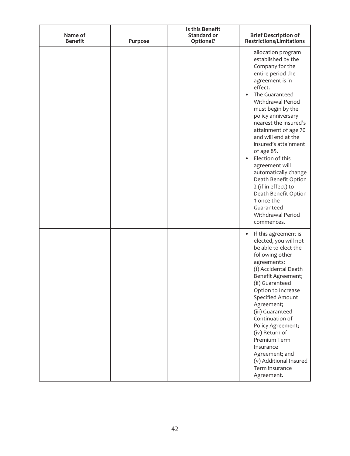| Name of<br><b>Benefit</b> | Purpose | Is this Benefit<br>Standard or<br>Optional? | <b>Brief Description of</b><br><b>Restrictions/Limitations</b>                                                                                                                                                                                                                                                                                                                                                                                                                                                     |
|---------------------------|---------|---------------------------------------------|--------------------------------------------------------------------------------------------------------------------------------------------------------------------------------------------------------------------------------------------------------------------------------------------------------------------------------------------------------------------------------------------------------------------------------------------------------------------------------------------------------------------|
|                           |         |                                             | allocation program<br>established by the<br>Company for the<br>entire period the<br>agreement is in<br>effect.<br>The Guaranteed<br>Withdrawal Period<br>must begin by the<br>policy anniversary<br>nearest the insured's<br>attainment of age 70<br>and will end at the<br>insured's attainment<br>of age 85.<br>Election of this<br>agreement will<br>automatically change<br>Death Benefit Option<br>2 (if in effect) to<br>Death Benefit Option<br>1 once the<br>Guaranteed<br>Withdrawal Period<br>commences. |
|                           |         |                                             | If this agreement is<br>$\bullet$<br>elected, you will not<br>be able to elect the<br>following other<br>agreements:<br>(i) Accidental Death<br>Benefit Agreement;<br>(ii) Guaranteed<br>Option to Increase<br>Specified Amount<br>Agreement;<br>(iii) Guaranteed<br>Continuation of<br>Policy Agreement;<br>(iv) Return of<br>Premium Term<br>Insurance<br>Agreement; and<br>(v) Additional Insured<br>Term insurance<br>Agreement.                                                                               |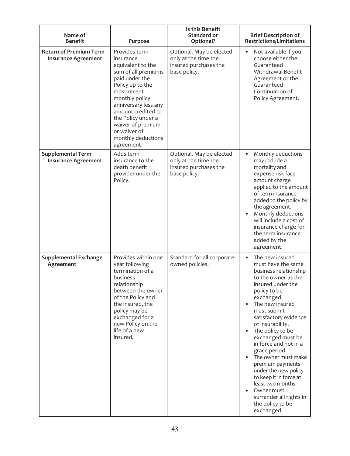| Name of<br><b>Benefit</b>                                   | Purpose                                                                                                                                                                                                                                                                                    | Is this Benefit<br>Standard or<br>Optional?                                               | <b>Brief Description of</b><br><b>Restrictions/Limitations</b>                                                                                                                                                                                                                                                                                                                                                                                                                                                       |
|-------------------------------------------------------------|--------------------------------------------------------------------------------------------------------------------------------------------------------------------------------------------------------------------------------------------------------------------------------------------|-------------------------------------------------------------------------------------------|----------------------------------------------------------------------------------------------------------------------------------------------------------------------------------------------------------------------------------------------------------------------------------------------------------------------------------------------------------------------------------------------------------------------------------------------------------------------------------------------------------------------|
| <b>Return of Premium Term</b><br><b>Insurance Agreement</b> | Provides term<br>insurance<br>equivalent to the<br>sum of all premiums<br>paid under the<br>Policy up to the<br>most recent<br>monthly policy<br>anniversary less any<br>amount credited to<br>the Policy under a<br>waiver of premium<br>or waiver of<br>monthly deductions<br>agreement. | Optional. May be elected<br>only at the time the<br>insured purchases the<br>base policy. | Not available if you<br>choose either the<br>Guaranteed<br>Withdrawal Benefit<br>Agreement or the<br>Guaranteed<br>Continuation of<br>Policy Agreement.                                                                                                                                                                                                                                                                                                                                                              |
| <b>Supplemental Term</b><br><b>Insurance Agreement</b>      | Adds term<br>insurance to the<br>death benefit<br>provider under the<br>Policy.                                                                                                                                                                                                            | Optional. May be elected<br>only at the time the<br>insured purchases the<br>base policy. | Monthly deductions<br>$\bullet$<br>may include a<br>mortality and<br>expense risk face<br>amount charge<br>applied to the amount<br>of term insurance<br>added to the policy by<br>the agreement.<br>Monthly deductions<br>will include a cost of<br>insurance charge for<br>the term insurance<br>added by the<br>agreement.                                                                                                                                                                                        |
| <b>Supplemental Exchange</b><br>Agreement                   | Provides within one<br>year following<br>termination of a<br>business<br>relationship<br>between the owner<br>of the Policy and<br>the insured, the<br>policy may be<br>exchanged for a<br>new Policy on the<br>life of a new<br>insured.                                                  | Standard for all corporate-<br>owned policies.                                            | The new insured<br>$\bullet$<br>must have the same<br>business relationship<br>to the owner as the<br>insured under the<br>policy to be<br>exchanged.<br>The new insured<br>must submit<br>satisfactory evidence<br>of insurability.<br>The policy to be<br>exchanged must be<br>in force and not in a<br>grace period.<br>The owner must make<br>premium payments<br>under the new policy<br>to keep it in force at<br>least two months.<br>Owner must<br>surrender all rights in<br>the policy to be<br>exchanged. |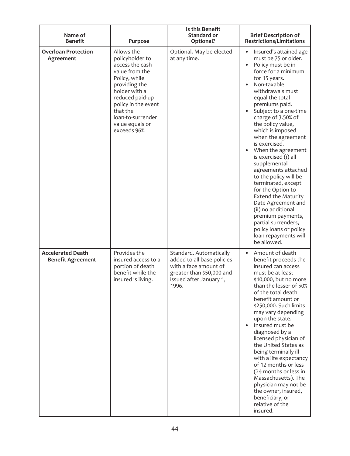| Name of<br><b>Benefit</b>                            | Purpose                                                                                                                                                                                                                             | Is this Benefit<br>Standard or<br>Optional?                                                                                                     | <b>Brief Description of</b><br><b>Restrictions/Limitations</b>                                                                                                                                                                                                                                                                                                                                                                                                                                                                                                                                                                                                     |
|------------------------------------------------------|-------------------------------------------------------------------------------------------------------------------------------------------------------------------------------------------------------------------------------------|-------------------------------------------------------------------------------------------------------------------------------------------------|--------------------------------------------------------------------------------------------------------------------------------------------------------------------------------------------------------------------------------------------------------------------------------------------------------------------------------------------------------------------------------------------------------------------------------------------------------------------------------------------------------------------------------------------------------------------------------------------------------------------------------------------------------------------|
| <b>Overloan Protection</b><br>Agreement              | Allows the<br>policyholder to<br>access the cash<br>value from the<br>Policy, while<br>providing the<br>holder with a<br>reduced paid-up<br>policy in the event<br>that the<br>loan-to-surrender<br>value equals or<br>exceeds 96%. | Optional. May be elected<br>at any time.                                                                                                        | Insured's attained age<br>must be 75 or older.<br>Policy must be in<br>force for a minimum<br>for 15 years.<br>Non-taxable<br>withdrawals must<br>equal the total<br>premiums paid.<br>Subject to a one-time<br>charge of 3.50% of<br>the policy value,<br>which is imposed<br>when the agreement<br>is exercised.<br>When the agreement<br>is exercised (i) all<br>supplemental<br>agreements attached<br>to the policy will be<br>terminated, except<br>for the Option to<br><b>Extend the Maturity</b><br>Date Agreement and<br>(ii) no additional<br>premium payments,<br>partial surrenders,<br>policy loans or policy<br>loan repayments will<br>be allowed. |
| <b>Accelerated Death</b><br><b>Benefit Agreement</b> | Provides the<br>insured access to a<br>portion of death<br>benefit while the<br>insured is living.                                                                                                                                  | Standard. Automatically<br>added to all base policies<br>with a face amount of<br>greater than \$50,000 and<br>issued after January 1,<br>1996. | Amount of death<br>$\bullet$<br>benefit proceeds the<br>insured can access<br>must be at least<br>\$10,000, but no more<br>than the lesser of 50%<br>of the total death<br>benefit amount or<br>\$250,000. Such limits<br>may vary depending<br>upon the state.<br>Insured must be<br>diagnosed by a<br>licensed physician of<br>the United States as<br>being terminally ill<br>with a life expectancy<br>of 12 months or less<br>(24 months or less in<br>Massachusetts). The<br>physician may not be<br>the owner, insured,<br>beneficiary, or<br>relative of the<br>insured.                                                                                   |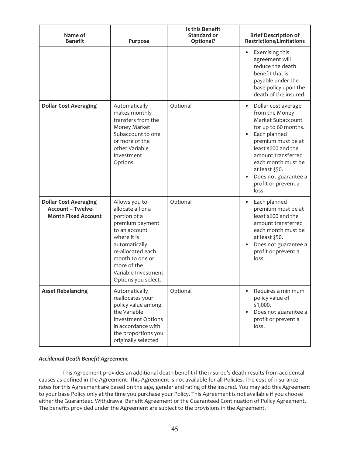| Name of<br><b>Benefit</b>                                                              | Purpose                                                                                                                                                                                                                     | Is this Benefit<br>Standard or<br>Optional? | <b>Brief Description of</b><br><b>Restrictions/Limitations</b>                                                                                                                                                                                                                     |
|----------------------------------------------------------------------------------------|-----------------------------------------------------------------------------------------------------------------------------------------------------------------------------------------------------------------------------|---------------------------------------------|------------------------------------------------------------------------------------------------------------------------------------------------------------------------------------------------------------------------------------------------------------------------------------|
|                                                                                        |                                                                                                                                                                                                                             |                                             | Exercising this<br>$\bullet$<br>agreement will<br>reduce the death<br>benefit that is<br>payable under the<br>base policy upon the<br>death of the insured.                                                                                                                        |
| <b>Dollar Cost Averaging</b>                                                           | Automatically<br>makes monthly<br>transfers from the<br>Money Market<br>Subaccount to one<br>or more of the<br>other Variable<br>Investment<br>Options.                                                                     | Optional                                    | Dollar cost average<br>$\bullet$<br>from the Money<br>Market Subaccount<br>for up to 60 months.<br>Each planned<br>premium must be at<br>least \$600 and the<br>amount transferred<br>each month must be<br>at least \$50.<br>Does not guarantee a<br>profit or prevent a<br>loss. |
| <b>Dollar Cost Averaging</b><br><b>Account - Twelve-</b><br><b>Month Fixed Account</b> | Allows you to<br>allocate all or a<br>portion of a<br>premium payment<br>to an account<br>where it is<br>automatically<br>re-allocated each<br>month to one or<br>more of the<br>Variable Investment<br>Options you select. | Optional                                    | Each planned<br>$\bullet$<br>premium must be at<br>least \$600 and the<br>amount transferred<br>each month must be<br>at least \$50.<br>Does not guarantee a<br>profit or prevent a<br>loss.                                                                                       |
| <b>Asset Rebalancing</b>                                                               | Automatically<br>reallocates your<br>policy value among<br>the Variable<br><b>Investment Options</b><br>in accordance with<br>the proportions you<br>originally selected                                                    | Optional                                    | Requires a minimum<br>policy value of<br>\$1,000.<br>Does not guarantee a<br>profit or prevent a<br>loss.                                                                                                                                                                          |

# *Accidental Death Benefit Agreement*

This Agreement provides an additional death benefit if the insured's death results from accidental causes as defined in the Agreement. This Agreement is not available for all Policies. The cost of insurance rates for this Agreement are based on the age, gender and rating of the insured. You may add this Agreement to your base Policy only at the time you purchase your Policy. This Agreement is not available if you choose either the Guaranteed Withdrawal Benefit Agreement or the Guaranteed Continuation of Policy Agreement. The benefits provided under the Agreement are subject to the provisions in the Agreement.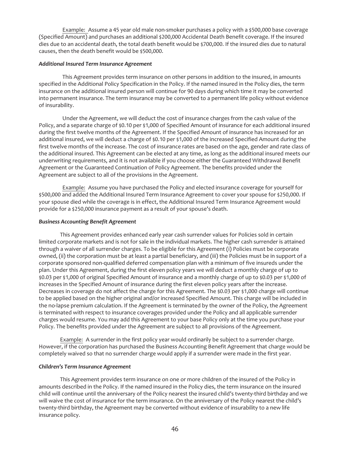Example: Assume a 45 year old male non-smoker purchases a policy with a \$500,000 base coverage (Specified Amount) and purchases an additional \$200,000 Accidental Death Benefit coverage. If the insured dies due to an accidental death, the total death benefit would be \$700,000. If the insured dies due to natural causes, then the death benefit would be \$500,000.

## *Additional Insured Term Insurance Agreement*

This Agreement provides term insurance on other persons in addition to the insured, in amounts specified in the Additional Policy Specification in the Policy. If the named insured in the Policy dies, the term insurance on the additional insured person will continue for 90 days during which time it may be converted into permanent insurance. The term insurance may be converted to a permanent life policy without evidence of insurability.

Under the Agreement, we will deduct the cost of insurance charges from the cash value of the Policy, and a separate charge of \$0.10 per \$1,000 of Specified Amount of insurance for each additional insured during the first twelve months of the Agreement. If the Specified Amount of insurance has increased for an additional insured, we will deduct a charge of \$0.10 per \$1,000 of the increased Specified Amount during the first twelve months of the increase. The cost of insurance rates are based on the age, gender and rate class of the additional insured. This Agreement can be elected at any time, as long as the additional insured meets our underwriting requirements, and it is not available if you choose either the Guaranteed Withdrawal Benefit Agreement or the Guaranteed Continuation of Policy Agreement. The benefits provided under the Agreement are subject to all of the provisions in the Agreement.

Example: Assume you have purchased the Policy and elected insurance coverage for yourself for \$500,000 and added the Additional Insured Term Insurance Agreement to cover your spouse for \$250,000. If your spouse died while the coverage is in effect, the Additional Insured Term Insurance Agreement would provide for a \$250,000 insurance payment as a result of your spouse's death.

## *Business Accounting Benefit Agreement*

This Agreement provides enhanced early year cash surrender values for Policies sold in certain limited corporate markets and is not for sale in the individual markets. The higher cash surrender is attained through a waiver of all surrender charges. To be eligible for this Agreement (i) Policies must be corporate owned, (ii) the corporation must be at least a partial beneficiary, and (iii) the Policies must be in support of a corporate sponsored non-qualified deferred compensation plan with a minimum of five insureds under the plan. Under this Agreement, during the first eleven policy years we will deduct a monthly charge of up to \$0.03 per \$1,000 of original Specified Amount of insurance and a monthly charge of up to \$0.03 per \$1,000 of increases in the Specified Amount of insurance during the first eleven policy years after the increase. Decreases in coverage do not affect the charge for this Agreement. The \$0.03 per \$1,000 charge will continue to be applied based on the higher original and/or increased Specified Amount. This charge will be included in the no-lapse premium calculation. If the Agreement is terminated by the owner of the Policy, the Agreement is terminated with respect to insurance coverages provided under the Policy and all applicable surrender charges would resume. You may add this Agreement to your base Policy only at the time you purchase your Policy. The benefits provided under the Agreement are subject to all provisions of the Agreement.

Example: A surrender in the first policy year would ordinarily be subject to a surrender charge. However, if the corporation has purchased the Business Accounting Benefit Agreement that charge would be completely waived so that no surrender charge would apply if a surrender were made in the first year.

## *Children's Term Insurance Agreement*

This Agreement provides term insurance on one or more children of the insured of the Policy in amounts described in the Policy. If the named insured in the Policy dies, the term insurance on the insured child will continue until the anniversary of the Policy nearest the insured child's twenty-third birthday and we will waive the cost of insurance for the term insurance. On the anniversary of the Policy nearest the child's twenty-third birthday, the Agreement may be converted without evidence of insurability to a new life insurance policy.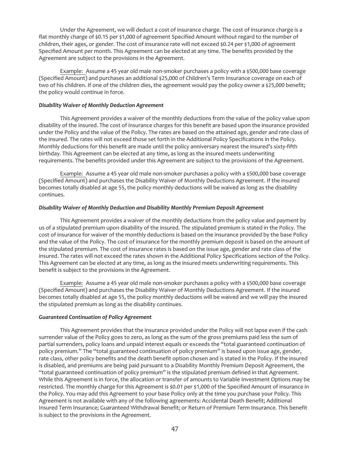Under the Agreement, we will deduct a cost of insurance charge. The cost of insurance charge is a flat monthly charge of \$0.15 per \$1,000 of agreement Specified Amount without regard to the number of children, their ages, or gender. The cost of insurance rate will not exceed \$0.24 per \$1,000 of agreement Specified Amount per month. This Agreement can be elected at any time. The benefits provided by the Agreement are subject to the provisions in the Agreement.

Example: Assume a 45 year old male non-smoker purchases a policy with a \$500,000 base coverage (Specified Amount) and purchases an additional \$25,000 of Children's Term Insurance coverage on each of two of his children. If one of the children dies, the agreement would pay the policy owner a \$25,000 benefit; the policy would continue in force.

# *Disability Waiver of Monthly Deduction Agreement*

This Agreement provides a waiver of the monthly deductions from the value of the policy value upon disability of the insured. The cost of insurance charges for this benefit are based upon the insurance provided under the Policy and the value of the Policy. The rates are based on the attained age, gender and rate class of the insured. The rates will not exceed those set forth in the Additional Policy Specifications in the Policy. Monthly deductions for this benefit are made until the policy anniversary nearest the insured's sixty-fifth birthday. This Agreement can be elected at any time, as long as the insured meets underwriting requirements. The benefits provided under this Agreement are subject to the provisions of the Agreement.

Example: Assume a 45 year old male non-smoker purchases a policy with a \$500,000 base coverage (Specified Amount) and purchases the Disability Waiver of Monthly Deductions Agreement. If the insured becomes totally disabled at age 55, the policy monthly deductions will be waived as long as the disability continues.

## *Disability Waiver of Monthly Deduction and Disability Monthly Premium Deposit Agreement*

This Agreement provides a waiver of the monthly deductions from the policy value and payment by us of a stipulated premium upon disability of the insured. The stipulated premium is stated in the Policy. The cost of insurance for waiver of the monthly deductions is based on the insurance provided by the base Policy and the value of the Policy. The cost of insurance for the monthly premium deposit is based on the amount of the stipulated premium. The cost of insurance rates is based on the issue age, gender and rate class of the insured. The rates will not exceed the rates shown in the Additional Policy Specifications section of the Policy. This Agreement can be elected at any time, as long as the insured meets underwriting requirements. This benefit is subject to the provisions in the Agreement.

Example: Assume a 45 year old male non-smoker purchases a policy with a \$500,000 base coverage (Specified Amount) and purchases the Disability Waiver of Monthly Deductions Agreement. If the insured becomes totally disabled at age 55, the policy monthly deductions will be waived and we will pay the insured the stipulated premium as long as the disability continues.

## *Guaranteed Continuation of Policy Agreement*

This Agreement provides that the insurance provided under the Policy will not lapse even if the cash surrender value of the Policy goes to zero, as long as the sum of the gross premiums paid less the sum of partial surrenders, policy loans and unpaid interest equals or exceeds the "total guaranteed continuation of policy premium." The "total guaranteed continuation of policy premium" is based upon issue age, gender, rate class, other policy benefits and the death benefit option chosen and is stated in the Policy. If the insured is disabled, and premiums are being paid pursuant to a Disability Monthly Premium Deposit Agreement, the "total guaranteed continuation of policy premium" is the stipulated premium defined in that Agreement. While this Agreement is in force, the allocation or transfer of amounts to Variable Investment Options may be restricted. The monthly charge for this Agreement is \$0.01 per \$1,000 of the Specified Amount of insurance in the Policy. You may add this Agreement to your base Policy only at the time you purchase your Policy. This Agreement is not available with any of the following agreements: Accidental Death Benefit; Additional Insured Term Insurance; Guaranteed Withdrawal Benefit; or Return of Premium Term Insurance. This benefit is subject to the provisions in the Agreement.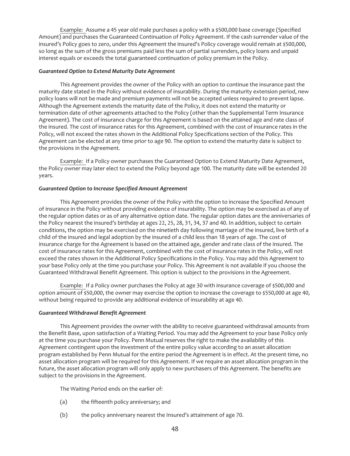Example: Assume a 45 year old male purchases a policy with a \$500,000 base coverage (Specified Amount) and purchases the Guaranteed Continuation of Policy Agreement. If the cash surrender value of the insured's Policy goes to zero, under this Agreement the insured's Policy coverage would remain at \$500,000, so long as the sum of the gross premiums paid less the sum of partial surrenders, policy loans and unpaid interest equals or exceeds the total guaranteed continuation of policy premium in the Policy.

## *Guaranteed Option to Extend Maturity Date Agreement*

This Agreement provides the owner of the Policy with an option to continue the insurance past the maturity date stated in the Policy without evidence of insurability. During the maturity extension period, new policy loans will not be made and premium payments will not be accepted unless required to prevent lapse. Although the Agreement extends the maturity date of the Policy, it does not extend the maturity or termination date of other agreements attached to the Policy (other than the Supplemental Term Insurance Agreement). The cost of insurance charge for this Agreement is based on the attained age and rate class of the insured. The cost of insurance rates for this Agreement, combined with the cost of insurance rates in the Policy, will not exceed the rates shown in the Additional Policy Specifications section of the Policy. This Agreement can be elected at any time prior to age 90. The option to extend the maturity date is subject to the provisions in the Agreement.

Example: If a Policy owner purchases the Guaranteed Option to Extend Maturity Date Agreement, the Policy owner may later elect to extend the Policy beyond age 100. The maturity date will be extended 20 years.

## *Guaranteed Option to Increase Specified Amount Agreement*

This Agreement provides the owner of the Policy with the option to increase the Specified Amount of insurance in the Policy without providing evidence of insurability. The option may be exercised as of any of the regular option dates or as of any alternative option date. The regular option dates are the anniversaries of the Policy nearest the insured's birthday at ages 22, 25, 28, 31, 34, 37 and 40. In addition, subject to certain conditions, the option may be exercised on the ninetieth day following marriage of the insured, live birth of a child of the insured and legal adoption by the insured of a child less than 18 years of age. The cost of insurance charge for the Agreement is based on the attained age, gender and rate class of the insured. The cost of insurance rates for this Agreement, combined with the cost of insurance rates in the Policy, will not exceed the rates shown in the Additional Policy Specifications in the Policy. You may add this Agreement to your base Policy only at the time you purchase your Policy. This Agreement is not available if you choose the Guaranteed Withdrawal Benefit Agreement. This option is subject to the provisions in the Agreement.

Example: If a Policy owner purchases the Policy at age 30 with insurance coverage of \$500,000 and option amount of \$50,000, the owner may exercise the option to increase the coverage to \$550,000 at age 40, without being required to provide any additional evidence of insurability at age 40.

## *Guaranteed Withdrawal Benefit Agreement*

This Agreement provides the owner with the ability to receive guaranteed withdrawal amounts from the Benefit Base, upon satisfaction of a Waiting Period. You may add the Agreement to your base Policy only at the time you purchase your Policy. Penn Mutual reserves the right to make the availability of this Agreement contingent upon the investment of the entire policy value according to an asset allocation program established by Penn Mutual for the entire period the Agreement is in effect. At the present time, no asset allocation program will be required for this Agreement. If we require an asset allocation program in the future, the asset allocation program will only apply to new purchasers of this Agreement. The benefits are subject to the provisions in the Agreement.

The Waiting Period ends on the earlier of:

- (a) the fifteenth policy anniversary; and
- (b) the policy anniversary nearest the Insured's attainment of age 70.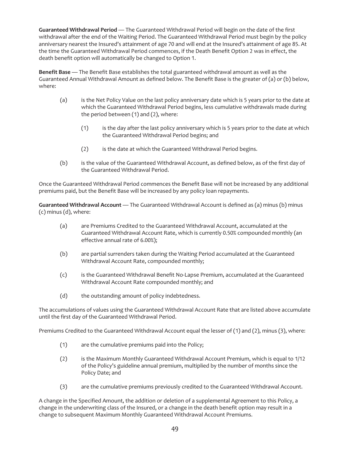**Guaranteed Withdrawal Period** — The Guaranteed Withdrawal Period will begin on the date of the first withdrawal after the end of the Waiting Period. The Guaranteed Withdrawal Period must begin by the policy anniversary nearest the Insured's attainment of age 70 and will end at the Insured's attainment of age 85. At the time the Guaranteed Withdrawal Period commences, if the Death Benefit Option 2 was in effect, the death benefit option will automatically be changed to Option 1.

**Benefit Base** — The Benefit Base establishes the total guaranteed withdrawal amount as well as the Guaranteed Annual Withdrawal Amount as defined below. The Benefit Base is the greater of (a) or (b) below, where:

- (a) is the Net Policy Value on the last policy anniversary date which is 5 years prior to the date at which the Guaranteed Withdrawal Period begins, less cumulative withdrawals made during the period between (1) and (2), where:
	- (1) is the day after the last policy anniversary which is 5 years prior to the date at which the Guaranteed Withdrawal Period begins; and
	- (2) is the date at which the Guaranteed Withdrawal Period begins.
- (b) is the value of the Guaranteed Withdrawal Account, as defined below, as of the first day of the Guaranteed Withdrawal Period.

Once the Guaranteed Withdrawal Period commences the Benefit Base will not be increased by any additional premiums paid, but the Benefit Base will be increased by any policy loan repayments.

**Guaranteed Withdrawal Account** — The Guaranteed Withdrawal Account is defined as (a) minus (b) minus (c) minus (d), where:

- (a) are Premiums Credited to the Guaranteed Withdrawal Account, accumulated at the Guaranteed Withdrawal Account Rate, which is currently 0.50% compounded monthly (an effective annual rate of 6.00%);
- (b) are partial surrenders taken during the Waiting Period accumulated at the Guaranteed Withdrawal Account Rate, compounded monthly;
- (c) is the Guaranteed Withdrawal Benefit No-Lapse Premium, accumulated at the Guaranteed Withdrawal Account Rate compounded monthly; and
- (d) the outstanding amount of policy indebtedness.

The accumulations of values using the Guaranteed Withdrawal Account Rate that are listed above accumulate until the first day of the Guaranteed Withdrawal Period.

Premiums Credited to the Guaranteed Withdrawal Account equal the lesser of (1) and (2), minus (3), where:

- (1) are the cumulative premiums paid into the Policy;
- (2) is the Maximum Monthly Guaranteed Withdrawal Account Premium, which is equal to 1/12 of the Policy's guideline annual premium, multiplied by the number of months since the Policy Date; and
- (3) are the cumulative premiums previously credited to the Guaranteed Withdrawal Account.

A change in the Specified Amount, the addition or deletion of a supplemental Agreement to this Policy, a change in the underwriting class of the Insured, or a change in the death benefit option may result in a change to subsequent Maximum Monthly Guaranteed Withdrawal Account Premiums.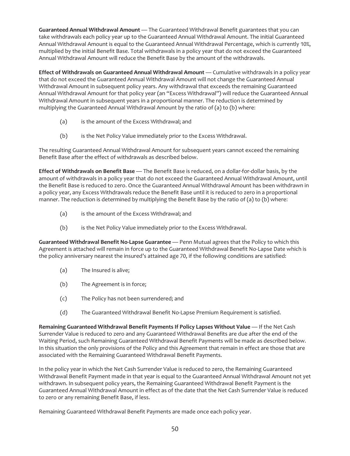**Guaranteed Annual Withdrawal Amount** — The Guaranteed Withdrawal Benefit guarantees that you can take withdrawals each policy year up to the Guaranteed Annual Withdrawal Amount. The initial Guaranteed Annual Withdrawal Amount is equal to the Guaranteed Annual Withdrawal Percentage, which is currently 10%, multiplied by the initial Benefit Base. Total withdrawals in a policy year that do not exceed the Guaranteed Annual Withdrawal Amount will reduce the Benefit Base by the amount of the withdrawals.

**Effect of Withdrawals on Guaranteed Annual Withdrawal Amount** — Cumulative withdrawals in a policy year that do not exceed the Guaranteed Annual Withdrawal Amount will not change the Guaranteed Annual Withdrawal Amount in subsequent policy years. Any withdrawal that exceeds the remaining Guaranteed Annual Withdrawal Amount for that policy year (an "Excess Withdrawal") will reduce the Guaranteed Annual Withdrawal Amount in subsequent years in a proportional manner. The reduction is determined by multiplying the Guaranteed Annual Withdrawal Amount by the ratio of (a) to (b) where:

- (a) is the amount of the Excess Withdrawal; and
- (b) is the Net Policy Value immediately prior to the Excess Withdrawal.

The resulting Guaranteed Annual Withdrawal Amount for subsequent years cannot exceed the remaining Benefit Base after the effect of withdrawals as described below.

**Effect of Withdrawals on Benefit Base** — The Benefit Base is reduced, on a dollar-for-dollar basis, by the amount of withdrawals in a policy year that do not exceed the Guaranteed Annual Withdrawal Amount, until the Benefit Base is reduced to zero. Once the Guaranteed Annual Withdrawal Amount has been withdrawn in a policy year, any Excess Withdrawals reduce the Benefit Base until it is reduced to zero in a proportional manner. The reduction is determined by multiplying the Benefit Base by the ratio of (a) to (b) where:

- (a) is the amount of the Excess Withdrawal; and
- (b) is the Net Policy Value immediately prior to the Excess Withdrawal.

**Guaranteed Withdrawal Benefit No-Lapse Guarantee** — Penn Mutual agrees that the Policy to which this Agreement is attached will remain in force up to the Guaranteed Withdrawal Benefit No-Lapse Date which is the policy anniversary nearest the insured's attained age 70, if the following conditions are satisfied:

- (a) The Insured is alive;
- (b) The Agreement is in force;
- (c) The Policy has not been surrendered; and
- (d) The Guaranteed Withdrawal Benefit No-Lapse Premium Requirement is satisfied.

**Remaining Guaranteed Withdrawal Benefit Payments If Policy Lapses Without Value** — If the Net Cash Surrender Value is reduced to zero and any Guaranteed Withdrawal Benefits are due after the end of the Waiting Period, such Remaining Guaranteed Withdrawal Benefit Payments will be made as described below. In this situation the only provisions of the Policy and this Agreement that remain in effect are those that are associated with the Remaining Guaranteed Withdrawal Benefit Payments.

In the policy year in which the Net Cash Surrender Value is reduced to zero, the Remaining Guaranteed Withdrawal Benefit Payment made in that year is equal to the Guaranteed Annual Withdrawal Amount not yet withdrawn. In subsequent policy years, the Remaining Guaranteed Withdrawal Benefit Payment is the Guaranteed Annual Withdrawal Amount in effect as of the date that the Net Cash Surrender Value is reduced to zero or any remaining Benefit Base, if less.

Remaining Guaranteed Withdrawal Benefit Payments are made once each policy year.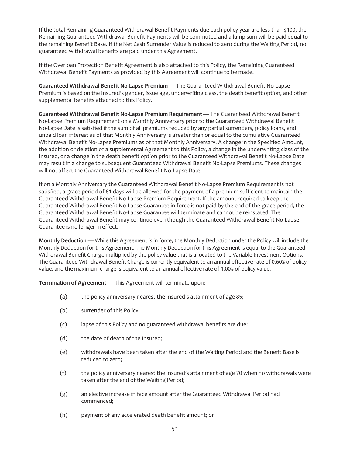If the total Remaining Guaranteed Withdrawal Benefit Payments due each policy year are less than \$100, the Remaining Guaranteed Withdrawal Benefit Payments will be commuted and a lump sum will be paid equal to the remaining Benefit Base. If the Net Cash Surrender Value is reduced to zero during the Waiting Period, no guaranteed withdrawal benefits are paid under this Agreement.

If the Overloan Protection Benefit Agreement is also attached to this Policy, the Remaining Guaranteed Withdrawal Benefit Payments as provided by this Agreement will continue to be made.

**Guaranteed Withdrawal Benefit No-Lapse Premium** — The Guaranteed Withdrawal Benefit No-Lapse Premium is based on the Insured's gender, issue age, underwriting class, the death benefit option, and other supplemental benefits attached to this Policy.

**Guaranteed Withdrawal Benefit No-Lapse Premium Requirement** — The Guaranteed Withdrawal Benefit No-Lapse Premium Requirement on a Monthly Anniversary prior to the Guaranteed Withdrawal Benefit No-Lapse Date is satisfied if the sum of all premiums reduced by any partial surrenders, policy loans, and unpaid loan interest as of that Monthly Anniversary is greater than or equal to the cumulative Guaranteed Withdrawal Benefit No-Lapse Premiums as of that Monthly Anniversary. A change in the Specified Amount, the addition or deletion of a supplemental Agreement to this Policy, a change in the underwriting class of the Insured, or a change in the death benefit option prior to the Guaranteed Withdrawal Benefit No-Lapse Date may result in a change to subsequent Guaranteed Withdrawal Benefit No-Lapse Premiums. These changes will not affect the Guaranteed Withdrawal Benefit No-Lapse Date.

If on a Monthly Anniversary the Guaranteed Withdrawal Benefit No-Lapse Premium Requirement is not satisfied, a grace period of 61 days will be allowed for the payment of a premium sufficient to maintain the Guaranteed Withdrawal Benefit No-Lapse Premium Requirement. If the amount required to keep the Guaranteed Withdrawal Benefit No-Lapse Guarantee in-force is not paid by the end of the grace period, the Guaranteed Withdrawal Benefit No-Lapse Guarantee will terminate and cannot be reinstated. The Guaranteed Withdrawal Benefit may continue even though the Guaranteed Withdrawal Benefit No-Lapse Guarantee is no longer in effect.

**Monthly Deduction** — While this Agreement is in force, the Monthly Deduction under the Policy will include the Monthly Deduction for this Agreement. The Monthly Deduction for this Agreement is equal to the Guaranteed Withdrawal Benefit Charge multiplied by the policy value that is allocated to the Variable Investment Options. The Guaranteed Withdrawal Benefit Charge is currently equivalent to an annual effective rate of 0.60% of policy value, and the maximum charge is equivalent to an annual effective rate of 1.00% of policy value.

**Termination of Agreement** — This Agreement will terminate upon:

- (a) the policy anniversary nearest the Insured's attainment of age 85;
- (b) surrender of this Policy;
- (c) lapse of this Policy and no guaranteed withdrawal benefits are due;
- (d) the date of death of the Insured;
- (e) withdrawals have been taken after the end of the Waiting Period and the Benefit Base is reduced to zero;
- (f) the policy anniversary nearest the Insured's attainment of age 70 when no withdrawals were taken after the end of the Waiting Period;
- (g) an elective increase in face amount after the Guaranteed Withdrawal Period had commenced;
- (h) payment of any accelerated death benefit amount; or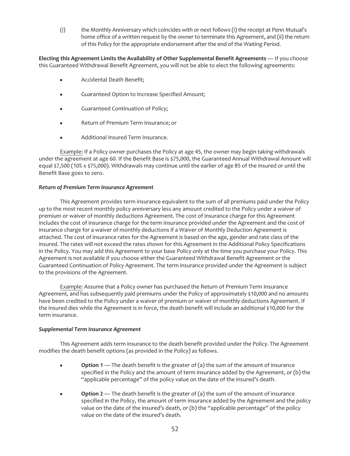(i) the Monthly Anniversary which coincides with or next follows (i) the receipt at Penn Mutual's home office of a written request by the owner to terminate this Agreement, and (ii) the return of this Policy for the appropriate endorsement after the end of the Waiting Period.

**Electing this Agreement Limits the Availability of Other Supplemental Benefit Agreements** — If you choose this Guaranteed Withdrawal Benefit Agreement, you will not be able to elect the following agreements:

- Accidental Death Benefit;
- Guaranteed Option to Increase Specified Amount;
- Guaranteed Continuation of Policy;
- Return of Premium Term Insurance; or
- Additional Insured Term Insurance.

Example: If a Policy owner purchases the Policy at age 45, the owner may begin taking withdrawals under the agreement at age 60. If the Benefit Base is \$75,000, the Guaranteed Annual Withdrawal Amount will equal \$7,500 (10% x \$75,000). Withdrawals may continue until the earlier of age 85 of the insured or until the Benefit Base goes to zero.

## *Return of Premium Term Insurance Agreement*

This Agreement provides term insurance equivalent to the sum of all premiums paid under the Policy up to the most recent monthly policy anniversary less any amount credited to the Policy under a waiver of premium or waiver of monthly deductions Agreement. The cost of insurance charge for this Agreement includes the cost of insurance charge for the term insurance provided under the Agreement and the cost of insurance charge for a waiver of monthly deductions if a Waiver of Monthly Deduction Agreement is attached. The cost of insurance rates for the Agreement is based on the age, gender and rate class of the insured. The rates will not exceed the rates shown for this Agreement in the Additional Policy Specifications in the Policy. You may add this Agreement to your base Policy only at the time you purchase your Policy. This Agreement is not available if you choose either the Guaranteed Withdrawal Benefit Agreement or the Guaranteed Continuation of Policy Agreement. The term insurance provided under the Agreement is subject to the provisions of the Agreement.

Example: Assume that a Policy owner has purchased the Return of Premium Term Insurance Agreement, and has subsequently paid premiums under the Policy of approximately \$10,000 and no amounts have been credited to the Policy under a waiver of premium or waiver of monthly deductions Agreement. If the insured dies while the Agreement is in force, the death benefit will include an additional \$10,000 for the term insurance.

#### *Supplemental Term Insurance Agreement*

This Agreement adds term insurance to the death benefit provided under the Policy. The Agreement modifies the death benefit options (as provided in the Policy) as follows.

- **•** Option 1 The death benefit is the greater of (a) the sum of the amount of insurance specified in the Policy and the amount of term insurance added by the Agreement, or (b) the "applicable percentage" of the policy value on the date of the insured's death.
- **•** Option 2 The death benefit is the greater of (a) the sum of the amount of insurance specified in the Policy, the amount of term insurance added by the Agreement and the policy value on the date of the insured's death, or (b) the "applicable percentage" of the policy value on the date of the insured's death.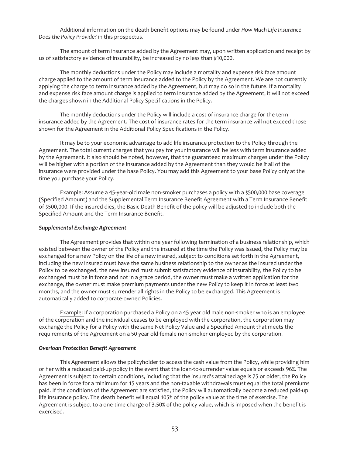Additional information on the death benefit options may be found under *How Much Life Insurance Does the Policy Provide?* in this prospectus.

The amount of term insurance added by the Agreement may, upon written application and receipt by us of satisfactory evidence of insurability, be increased by no less than \$10,000.

The monthly deductions under the Policy may include a mortality and expense risk face amount charge applied to the amount of term insurance added to the Policy by the Agreement. We are not currently applying the charge to term insurance added by the Agreement, but may do so in the future. If a mortality and expense risk face amount charge is applied to term insurance added by the Agreement, it will not exceed the charges shown in the Additional Policy Specifications in the Policy.

The monthly deductions under the Policy will include a cost of insurance charge for the term insurance added by the Agreement. The cost of insurance rates for the term insurance will not exceed those shown for the Agreement in the Additional Policy Specifications in the Policy.

It may be to your economic advantage to add life insurance protection to the Policy through the Agreement. The total current charges that you pay for your insurance will be less with term insurance added by the Agreement. It also should be noted, however, that the guaranteed maximum charges under the Policy will be higher with a portion of the insurance added by the Agreement than they would be if all of the insurance were provided under the base Policy. You may add this Agreement to your base Policy only at the time you purchase your Policy.

Example: Assume a 45-year-old male non-smoker purchases a policy with a \$500,000 base coverage (Specified Amount) and the Supplemental Term Insurance Benefit Agreement with a Term Insurance Benefit of \$500,000. If the insured dies, the Basic Death Benefit of the policy will be adjusted to include both the Specified Amount and the Term Insurance Benefit.

## *Supplemental Exchange Agreement*

The Agreement provides that within one year following termination of a business relationship, which existed between the owner of the Policy and the insured at the time the Policy was issued, the Policy may be exchanged for a new Policy on the life of a new insured, subject to conditions set forth in the Agreement, including the new insured must have the same business relationship to the owner as the insured under the Policy to be exchanged, the new insured must submit satisfactory evidence of insurability, the Policy to be exchanged must be in force and not in a grace period, the owner must make a written application for the exchange, the owner must make premium payments under the new Policy to keep it in force at least two months, and the owner must surrender all rights in the Policy to be exchanged. This Agreement is automatically added to corporate-owned Policies.

Example: If a corporation purchased a Policy on a 45 year old male non-smoker who is an employee of the corporation and the individual ceases to be employed with the corporation, the corporation may exchange the Policy for a Policy with the same Net Policy Value and a Specified Amount that meets the requirements of the Agreement on a 50 year old female non-smoker employed by the corporation.

### *Overloan Protection Benefit Agreement*

This Agreement allows the policyholder to access the cash value from the Policy, while providing him or her with a reduced paid-up policy in the event that the loan-to-surrender value equals or exceeds 96%. The Agreement is subject to certain conditions, including that the insured's attained age is 75 or older, the Policy has been in force for a minimum for 15 years and the non-taxable withdrawals must equal the total premiums paid. If the conditions of the Agreement are satisfied, the Policy will automatically become a reduced paid-up life insurance policy. The death benefit will equal 105% of the policy value at the time of exercise. The Agreement is subject to a one-time charge of 3.50% of the policy value, which is imposed when the benefit is exercised.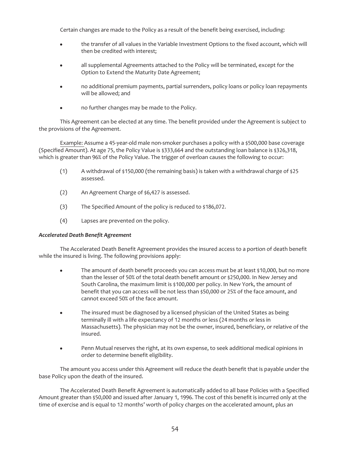Certain changes are made to the Policy as a result of the benefit being exercised, including:

- the transfer of all values in the Variable Investment Options to the fixed account, which will then be credited with interest;
- all supplemental Agreements attached to the Policy will be terminated, except for the Option to Extend the Maturity Date Agreement;
- no additional premium payments, partial surrenders, policy loans or policy loan repayments will be allowed; and
- no further changes may be made to the Policy.

This Agreement can be elected at any time. The benefit provided under the Agreement is subject to the provisions of the Agreement.

Example: Assume a 45-year-old male non-smoker purchases a policy with a \$500,000 base coverage (Specified Amount). At age 75, the Policy Value is \$333,664 and the outstanding loan balance is \$326,318, which is greater than 96% of the Policy Value. The trigger of overloan causes the following to occur:

- (1) A withdrawal of \$150,000 (the remaining basis) is taken with a withdrawal charge of \$25 assessed.
- (2) An Agreement Charge of \$6,427 is assessed.
- (3) The Specified Amount of the policy is reduced to \$186,072.
- (4) Lapses are prevented on the policy.

## *Accelerated Death Benefit Agreement*

The Accelerated Death Benefit Agreement provides the insured access to a portion of death benefit while the insured is living. The following provisions apply:

- The amount of death benefit proceeds you can access must be at least \$10,000, but no more than the lesser of 50% of the total death benefit amount or \$250,000. In New Jersey and South Carolina, the maximum limit is \$100,000 per policy. In New York, the amount of benefit that you can access will be not less than \$50,000 or 25% of the face amount, and cannot exceed 50% of the face amount.
- The insured must be diagnosed by a licensed physician of the United States as being terminally ill with a life expectancy of 12 months or less (24 months or less in Massachusetts). The physician may not be the owner, insured, beneficiary, or relative of the insured.
- Penn Mutual reserves the right, at its own expense, to seek additional medical opinions in order to determine benefit eligibility.

The amount you access under this Agreement will reduce the death benefit that is payable under the base Policy upon the death of the insured.

The Accelerated Death Benefit Agreement is automatically added to all base Policies with a Specified Amount greater than \$50,000 and issued after January 1, 1996. The cost of this benefit is incurred only at the time of exercise and is equal to 12 months' worth of policy charges on the accelerated amount, plus an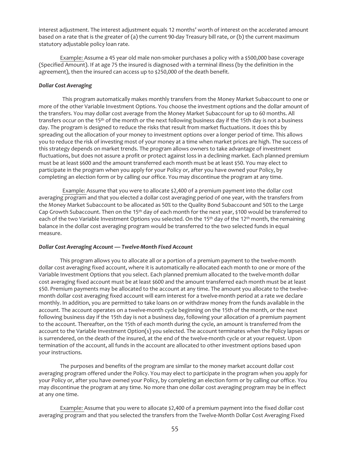interest adjustment. The interest adjustment equals 12 months' worth of interest on the accelerated amount based on a rate that is the greater of (a) the current 90-day Treasury bill rate, or (b) the current maximum statutory adjustable policy loan rate.

Example: Assume a 45 year old male non-smoker purchases a policy with a \$500,000 base coverage (Specified Amount). If at age 75 the insured is diagnosed with a terminal illness (by the definition in the agreement), then the insured can access up to \$250,000 of the death benefit.

## *Dollar Cost Averaging*

This program automatically makes monthly transfers from the Money Market Subaccount to one or more of the other Variable Investment Options. You choose the investment options and the dollar amount of the transfers. You may dollar cost average from the Money Market Subaccount for up to 60 months. All transfers occur on the 15<sup>th</sup> of the month or the next following business day if the 15th day is not a business day. The program is designed to reduce the risks that result from market fluctuations. It does this by spreading out the allocation of your money to investment options over a longer period of time. This allows you to reduce the risk of investing most of your money at a time when market prices are high. The success of this strategy depends on market trends. The program allows owners to take advantage of investment fluctuations, but does not assure a profit or protect against loss in a declining market. Each planned premium must be at least \$600 and the amount transferred each month must be at least \$50. You may elect to participate in the program when you apply for your Policy or, after you have owned your Policy, by completing an election form or by calling our office. You may discontinue the program at any time.

Example: Assume that you were to allocate \$2,400 of a premium payment into the dollar cost averaging program and that you elected a dollar cost averaging period of one year, with the transfers from the Money Market Subaccount to be allocated as 50% to the Quality Bond Subaccount and 50% to the Large Cap Growth Subaccount. Then on the 15<sup>th</sup> day of each month for the next year, \$100 would be transferred to each of the two Variable Investment Options you selected. On the 15<sup>th</sup> day of the 12<sup>th</sup> month, the remaining balance in the dollar cost averaging program would be transferred to the two selected funds in equal measure.

#### *Dollar Cost Averaging Account — Twelve-Month Fixed Account*

This program allows you to allocate all or a portion of a premium payment to the twelve-month dollar cost averaging fixed account, where it is automatically re-allocated each month to one or more of the Variable Investment Options that you select. Each planned premium allocated to the twelve-month dollar cost averaging fixed account must be at least \$600 and the amount transferred each month must be at least \$50. Premium payments may be allocated to the account at any time. The amount you allocate to the twelvemonth dollar cost averaging fixed account will earn interest for a twelve-month period at a rate we declare monthly. In addition, you are permitted to take loans on or withdraw money from the funds available in the account. The account operates on a twelve-month cycle beginning on the 15th of the month, or the next following business day if the 15th day is not a business day, following your allocation of a premium payment to the account. Thereafter, on the 15th of each month during the cycle, an amount is transferred from the account to the Variable Investment Option(s) you selected. The account terminates when the Policy lapses or is surrendered, on the death of the insured, at the end of the twelve-month cycle or at your request. Upon termination of the account, all funds in the account are allocated to other investment options based upon your instructions.

The purposes and benefits of the program are similar to the money market account dollar cost averaging program offered under the Policy. You may elect to participate in the program when you apply for your Policy or, after you have owned your Policy, by completing an election form or by calling our office. You may discontinue the program at any time. No more than one dollar cost averaging program may be in effect at any one time.

Example: Assume that you were to allocate \$2,400 of a premium payment into the fixed dollar cost averaging program and that you selected the transfers from the Twelve-Month Dollar Cost Averaging Fixed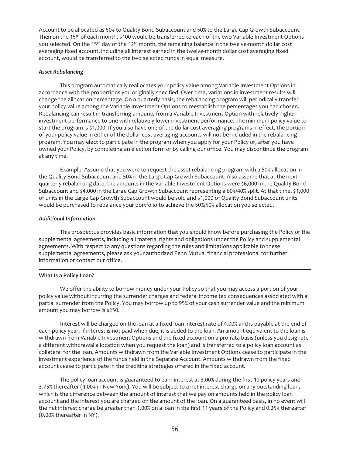Account to be allocated as 50% to Quality Bond Subaccount and 50% to the Large Cap Growth Subaccount. Then on the 15th of each month, \$100 would be transferred to each of the two Variable Investment Options you selected. On the 15<sup>th</sup> day of the 12<sup>th</sup> month, the remaining balance in the twelve-month dollar cost averaging fixed account, including all interest earned in the twelve-month dollar cost averaging fixed account, would be transferred to the two selected funds in equal measure.

### *Asset Rebalancing*

This program automatically reallocates your policy value among Variable Investment Options in accordance with the proportions you originally specified. Over time, variations in investment results will change the allocation percentage. On a quarterly basis, the rebalancing program will periodically transfer your policy value among the Variable Investment Options to reestablish the percentages you had chosen. Rebalancing can result in transferring amounts from a Variable Investment Option with relatively higher investment performance to one with relatively lower investment performance. The minimum policy value to start the program is \$1,000. If you also have one of the dollar cost averaging programs in effect, the portion of your policy value in either of the dollar cost averaging accounts will not be included in the rebalancing program. You may elect to participate in the program when you apply for your Policy or, after you have owned your Policy, by completing an election form or by calling our office. You may discontinue the program at any time.

Example: Assume that you were to request the asset rebalancing program with a 50% allocation in the Quality Bond Subaccount and 50% in the Large Cap Growth Subaccount. Also assume that at the next quarterly rebalancing date, the amounts in the Variable Investment Options were \$6,000 in the Quality Bond Subaccount and \$4,000 in the Large Cap Growth Subaccount representing a 60%/40% split. At that time, \$1,000 of units in the Large Cap Growth Subaccount would be sold and \$1,000 of Quality Bond Subaccount units would be purchased to rebalance your portfolio to achieve the 50%/50% allocation you selected.

## *Additional Information*

This prospectus provides basic information that you should know before purchasing the Policy or the supplemental agreements, including all material rights and obligations under the Policy and supplemental agreements. With respect to any questions regarding the rules and limitations applicable to these supplemental agreements, please ask your authorized Penn Mutual financial professional for further information or contact our office.

# **What Is a Policy Loan?**

We offer the ability to borrow money under your Policy so that you may access a portion of your policy value without incurring the surrender charges and federal income tax consequences associated with a partial surrender from the Policy. You may borrow up to 95% of your cash surrender value and the minimum amount you may borrow is \$250.

Interest will be charged on the loan at a fixed loan interest rate of 4.00% and is payable at the end of each policy year. If interest is not paid when due, it is added to the loan. An amount equivalent to the loan is withdrawn from Variable Investment Options and the fixed account on a pro-rata basis (unless you designate a different withdrawal allocation when you request the loan) and is transferred to a policy loan account as collateral for the loan. Amounts withdrawn from the Variable Investment Options cease to participate in the investment experience of the funds held in the Separate Account. Amounts withdrawn from the fixed account cease to participate in the crediting strategies offered in the fixed account.

The policy loan account is guaranteed to earn interest at 3.00% during the first 10 policy years and 3.75% thereafter (4.00% in New York). You will be subject to a net interest charge on any outstanding loan, which is the difference between the amount of interest that we pay on amounts held in the policy loan account and the interest you are charged on the amount of the loan. On a guaranteed basis, in no event will the net interest charge be greater than 1.00% on a loan in the first 11 years of the Policy and 0.25% thereafter (0.00% thereafter in NY).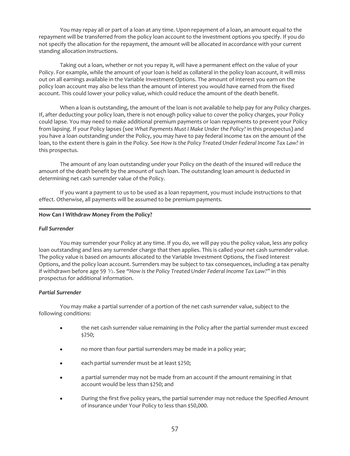You may repay all or part of a loan at any time. Upon repayment of a loan, an amount equal to the repayment will be transferred from the policy loan account to the investment options you specify. If you do not specify the allocation for the repayment, the amount will be allocated in accordance with your current standing allocation instructions.

Taking out a loan, whether or not you repay it, will have a permanent effect on the value of your Policy. For example, while the amount of your loan is held as collateral in the policy loan account, it will miss out on all earnings available in the Variable Investment Options. The amount of interest you earn on the policy loan account may also be less than the amount of interest you would have earned from the fixed account. This could lower your policy value, which could reduce the amount of the death benefit.

When a loan is outstanding, the amount of the loan is not available to help pay for any Policy charges. If, after deducting your policy loan, there is not enough policy value to cover the policy charges, your Policy could lapse. You may need to make additional premium payments or loan repayments to prevent your Policy from lapsing. If your Policy lapses (see *What Payments Must I Make Under the Policy?* in this prospectus) and you have a loan outstanding under the Policy, you may have to pay federal income tax on the amount of the loan, to the extent there is gain in the Policy. See *How Is the Policy Treated Under Federal Income Tax Law?* in this prospectus.

The amount of any loan outstanding under your Policy on the death of the insured will reduce the amount of the death benefit by the amount of such loan. The outstanding loan amount is deducted in determining net cash surrender value of the Policy.

If you want a payment to us to be used as a loan repayment, you must include instructions to that effect. Otherwise, all payments will be assumed to be premium payments.

## **How Can I Withdraw Money From the Policy?**

# *Full Surrender*

You may surrender your Policy at any time. If you do, we will pay you the policy value, less any policy loan outstanding and less any surrender charge that then applies. This is called your net cash surrender value. The policy value is based on amounts allocated to the Variable Investment Options, the Fixed Interest Options, and the policy loan account. Surrenders may be subject to tax consequences, including a tax penalty if withdrawn before age 59  $\frac{1}{2}$ . See "How Is the Policy Treated Under Federal Income Tax Law?" in this prospectus for additional information.

# *Partial Surrender*

You may make a partial surrender of a portion of the net cash surrender value, subject to the following conditions:

- the net cash surrender value remaining in the Policy after the partial surrender must exceed \$250;
- no more than four partial surrenders may be made in a policy year;
- each partial surrender must be at least \$250;
- a partial surrender may not be made from an account if the amount remaining in that account would be less than \$250; and
- During the first five policy years, the partial surrender may not reduce the Specified Amount of insurance under Your Policy to less than \$50,000.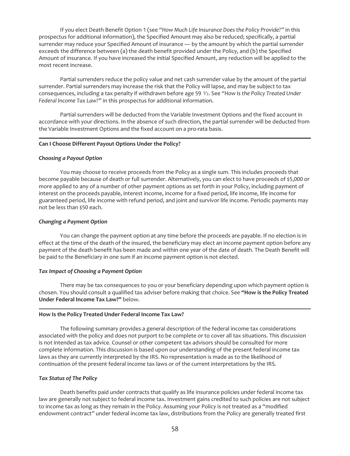If you elect Death Benefit Option 1 (see *"How Much Life Insurance Does the Policy Provide?"* in this prospectus for additional information), the Specified Amount may also be reduced; specifically, a partial surrender may reduce your Specified Amount of insurance — by the amount by which the partial surrender exceeds the difference between (a) the death benefit provided under the Policy, and (b) the Specified Amount of insurance. If you have increased the initial Specified Amount, any reduction will be applied to the most recent increase.

Partial surrenders reduce the policy value and net cash surrender value by the amount of the partial surrender. Partial surrenders may increase the risk that the Policy will lapse, and may be subject to tax consequences, including a tax penalty if withdrawn before age 59  $\frac{1}{2}$ . See "How Is the Policy Treated Under *Federal Income Tax Law?"* in this prospectus for additional information.

Partial surrenders will be deducted from the Variable Investment Options and the fixed account in accordance with your directions. In the absence of such direction, the partial surrender will be deducted from the Variable Investment Options and the fixed account on a pro-rata basis.

# **Can I Choose Different Payout Options Under the Policy?**

#### *Choosing a Payout Option*

You may choose to receive proceeds from the Policy as a single sum. This includes proceeds that become payable because of death or full surrender. Alternatively, you can elect to have proceeds of \$5,000 or more applied to any of a number of other payment options as set forth in your Policy, including payment of interest on the proceeds payable, interest income, income for a fixed period, life income, life income for guaranteed period, life income with refund period, and joint and survivor life income. Periodic payments may not be less than \$50 each.

### *Changing a Payment Option*

You can change the payment option at any time before the proceeds are payable. If no election is in effect at the time of the death of the insured, the beneficiary may elect an income payment option before any payment of the death benefit has been made and within one year of the date of death. The Death Benefit will be paid to the Beneficiary in one sum if an income payment option is not elected.

## *Tax Impact of Choosing a Payment Option*

There may be tax consequences to you or your beneficiary depending upon which payment option is chosen. You should consult a qualified tax adviser before making that choice. See **"How is the Policy Treated Under Federal Income Tax Law?"** below.

#### **How Is the Policy Treated Under Federal Income Tax Law?**

The following summary provides a general description of the federal income tax considerations associated with the policy and does not purport to be complete or to cover all tax situations. This discussion is not intended as tax advice. Counsel or other competent tax advisors should be consulted for more complete information. This discussion is based upon our understanding of the present federal income tax laws as they are currently interpreted by the IRS. No representation is made as to the likelihood of continuation of the present federal income tax laws or of the current interpretations by the IRS.

## *Tax Status of The Policy*

Death benefits paid under contracts that qualify as life insurance policies under federal income tax law are generally not subject to federal income tax. Investment gains credited to such policies are not subject to income tax as long as they remain in the Policy. Assuming your Policy is *not* treated as a "modified endowment contract" under federal income tax law, distributions from the Policy are generally treated first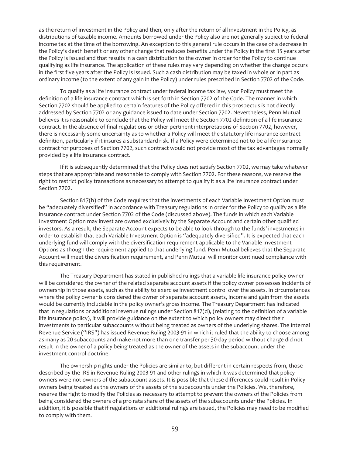as the return of investment in the Policy and then, only after the return of all investment in the Policy, as distributions of taxable income. Amounts borrowed under the Policy also are not generally subject to federal income tax at the time of the borrowing. An exception to this general rule occurs in the case of a decrease in the Policy's death benefit or any other change that reduces benefits under the Policy in the first 15 years after the Policy is issued and that results in a cash distribution to the owner in order for the Policy to continue qualifying as life insurance. The application of these rules may vary depending on whether the change occurs in the first five years after the Policy is issued. Such a cash distribution may be taxed in whole or in part as ordinary income (to the extent of any gain in the Policy) under rules prescribed in Section 7702 of the Code.

To qualify as a life insurance contract under federal income tax law, your Policy must meet the definition of a life insurance contract which is set forth in Section 7702 of the Code. The manner in which Section 7702 should be applied to certain features of the Policy offered in this prospectus is not directly addressed by Section 7702 or any guidance issued to date under Section 7702. Nevertheless, Penn Mutual believes it is reasonable to conclude that the Policy will meet the Section 7702 definition of a life insurance contract. In the absence of final regulations or other pertinent interpretations of Section 7702, however, there is necessarily some uncertainty as to whether a Policy will meet the statutory life insurance contract definition, particularly if it insures a substandard risk. If a Policy were determined not to be a life insurance contract for purposes of Section 7702, such contract would not provide most of the tax advantages normally provided by a life insurance contract.

If it is subsequently determined that the Policy does not satisfy Section 7702, we may take whatever steps that are appropriate and reasonable to comply with Section 7702. For these reasons, we reserve the right to restrict policy transactions as necessary to attempt to qualify it as a life insurance contract under Section 7702.

Section 817(h) of the Code requires that the investments of each Variable Investment Option must be "adequately diversified" in accordance with Treasury regulations in order for the Policy to qualify as a life insurance contract under Section 7702 of the Code (discussed above). The funds in which each Variable Investment Option may invest are owned exclusively by the Separate Account and certain other qualified investors. As a result, the Separate Account expects to be able to look through to the funds' investments in order to establish that each Variable Investment Option is "adequately diversified". It is expected that each underlying fund will comply with the diversification requirement applicable to the Variable Investment Options as though the requirement applied to that underlying fund. Penn Mutual believes that the Separate Account will meet the diversification requirement, and Penn Mutual will monitor continued compliance with this requirement.

The Treasury Department has stated in published rulings that a variable life insurance policy owner will be considered the owner of the related separate account assets if the policy owner possesses incidents of ownership in those assets, such as the ability to exercise investment control over the assets. In circumstances where the policy owner is considered the owner of separate account assets, income and gain from the assets would be currently includable in the policy owner's gross income. The Treasury Department has indicated that in regulations or additional revenue rulings under Section 817(d), (relating to the definition of a variable life insurance policy), it will provide guidance on the extent to which policy owners may direct their investments to particular subaccounts without being treated as owners of the underlying shares. The Internal Revenue Service ("IRS") has issued Revenue Ruling 2003-91 in which it ruled that the ability to choose among as many as 20 subaccounts and make not more than one transfer per 30-day period without charge did not result in the owner of a policy being treated as the owner of the assets in the subaccount under the investment control doctrine.

The ownership rights under the Policies are similar to, but different in certain respects from, those described by the IRS in Revenue Ruling 2003-91 and other rulings in which it was determined that policy owners were not owners of the subaccount assets. It is possible that these differences could result in Policy owners being treated as the owners of the assets of the subaccounts under the Policies. We, therefore, reserve the right to modify the Policies as necessary to attempt to prevent the owners of the Policies from being considered the owners of a pro rata share of the assets of the subaccounts under the Policies. In addition, it is possible that if regulations or additional rulings are issued, the Policies may need to be modified to comply with them.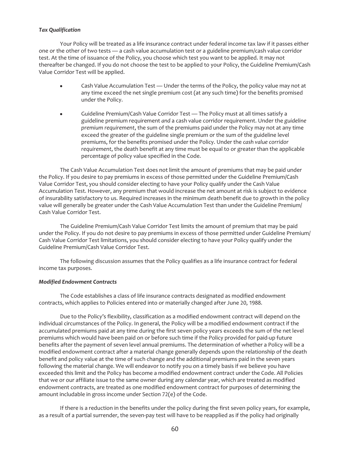# *Tax Qualification*

Your Policy will be treated as a life insurance contract under federal income tax law if it passes either one or the other of two tests — a cash value accumulation test or a guideline premium/cash value corridor test. At the time of issuance of the Policy, you choose which test you want to be applied. It may not thereafter be changed. If you do not choose the test to be applied to your Policy, the Guideline Premium/Cash Value Corridor Test will be applied.

- Cash Value Accumulation Test Under the terms of the Policy, the policy value may not at any time exceed the net single premium cost (at any such time) for the benefits promised under the Policy.
- Guideline Premium/Cash Value Corridor Test The Policy must at all times satisfy a guideline premium requirement *and* a cash value corridor requirement. Under the *guideline premium requirement*, the sum of the premiums paid under the Policy may not at any time exceed the greater of the guideline single premium or the sum of the guideline level premiums, for the benefits promised under the Policy. Under the *cash value corridor requirement*, the death benefit at any time must be equal to or greater than the applicable percentage of policy value specified in the Code.

The Cash Value Accumulation Test does not limit the amount of premiums that may be paid under the Policy. If you desire to pay premiums in excess of those permitted under the Guideline Premium/Cash Value Corridor Test, you should consider electing to have your Policy qualify under the Cash Value Accumulation Test. However, any premium that would increase the net amount at risk is subject to evidence of insurability satisfactory to us. Required increases in the minimum death benefit due to growth in the policy value will generally be greater under the Cash Value Accumulation Test than under the Guideline Premium/ Cash Value Corridor Test.

The Guideline Premium/Cash Value Corridor Test limits the amount of premium that may be paid under the Policy. If you do not desire to pay premiums in excess of those permitted under Guideline Premium/ Cash Value Corridor Test limitations, you should consider electing to have your Policy qualify under the Guideline Premium/Cash Value Corridor Test.

The following discussion assumes that the Policy qualifies as a life insurance contract for federal income tax purposes.

## *Modified Endowment Contracts*

The Code establishes a class of life insurance contracts designated as modified endowment contracts, which applies to Policies entered into or materially changed after June 20, 1988.

Due to the Policy's flexibility, classification as a modified endowment contract will depend on the individual circumstances of the Policy. In general, the Policy will be a modified endowment contract if the accumulated premiums paid at any time during the first seven policy years exceeds the sum of the net level premiums which would have been paid on or before such time if the Policy provided for paid-up future benefits after the payment of seven level annual premiums. The determination of whether a Policy will be a modified endowment contract after a material change generally depends upon the relationship of the death benefit and policy value at the time of such change and the additional premiums paid in the seven years following the material change. We will endeavor to notify you on a timely basis if we believe you have exceeded this limit and the Policy has become a modified endowment contract under the Code. All Policies that we or our affiliate issue to the same owner during any calendar year, which are treated as modified endowment contracts, are treated as one modified endowment contract for purposes of determining the amount includable in gross income under Section 72(e) of the Code.

If there is a reduction in the benefits under the policy during the first seven policy years, for example, as a result of a partial surrender, the seven-pay test will have to be reapplied as if the policy had originally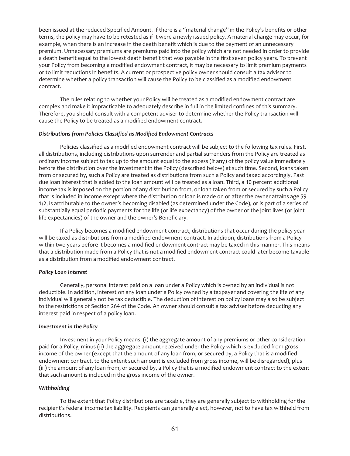been issued at the reduced Specified Amount. If there is a "material change" in the Policy's benefits or other terms, the policy may have to be retested as if it were a newly issued policy. A material change may occur, for example, when there is an increase in the death benefit which is due to the payment of an unnecessary premium. Unnecessary premiums are premiums paid into the policy which are not needed in order to provide a death benefit equal to the lowest death benefit that was payable in the first seven policy years. To prevent your Policy from becoming a modified endowment contract, it may be necessary to limit premium payments or to limit reductions in benefits. A current or prospective policy owner should consult a tax advisor to determine whether a policy transaction will cause the Policy to be classified as a modified endowment contract.

The rules relating to whether your Policy will be treated as a modified endowment contract are complex and make it impracticable to adequately describe in full in the limited confines of this summary. Therefore, you should consult with a competent adviser to determine whether the Policy transaction will cause the Policy to be treated as a modified endowment contract.

### *Distributions from Policies Classified as Modified Endowment Contracts*

Policies classified as a modified endowment contract will be subject to the following tax rules. First, all distributions, including distributions upon surrender and partial surrenders from the Policy are treated as ordinary income subject to tax up to the amount equal to the excess (if any) of the policy value immediately before the distribution over the investment in the Policy (described below) at such time. Second, loans taken from or secured by, such a Policy are treated as distributions from such a Policy and taxed accordingly. Past due loan interest that is added to the loan amount will be treated as a loan. Third, a 10 percent additional income tax is imposed on the portion of any distribution from, or loan taken from or secured by such a Policy that is included in income except where the distribution or loan is made on or after the owner attains age 59 1/2, is attributable to the owner's becoming disabled (as determined under the Code), or is part of a series of substantially equal periodic payments for the life (or life expectancy) of the owner or the joint lives (or joint life expectancies) of the owner and the owner's Beneficiary.

If a Policy becomes a modified endowment contract, distributions that occur during the policy year will be taxed as distributions from a modified endowment contract. In addition, distributions from a Policy within two years before it becomes a modified endowment contract may be taxed in this manner. This means that a distribution made from a Policy that is not a modified endowment contract could later become taxable as a distribution from a modified endowment contract.

## *Policy Loan Interest*

Generally, personal interest paid on a loan under a Policy which is owned by an individual is not deductible. In addition, interest on any loan under a Policy owned by a taxpayer and covering the life of any individual will generally not be tax deductible. The deduction of interest on policy loans may also be subject to the restrictions of Section 264 of the Code. An owner should consult a tax adviser before deducting any interest paid in respect of a policy loan.

#### *Investment in the Policy*

Investment in your Policy means: (i) the aggregate amount of any premiums or other consideration paid for a Policy, minus (ii) the aggregate amount received under the Policy which is excluded from gross income of the owner (except that the amount of any loan from, or secured by, a Policy that is a modified endowment contract, to the extent such amount is excluded from gross income, will be disregarded), plus (iii) the amount of any loan from, or secured by, a Policy that is a modified endowment contract to the extent that such amount is included in the gross income of the owner.

## *Withholding*

To the extent that Policy distributions are taxable, they are generally subject to withholding for the recipient*'*s federal income tax liability. Recipients can generally elect, however, not to have tax withheld from distributions.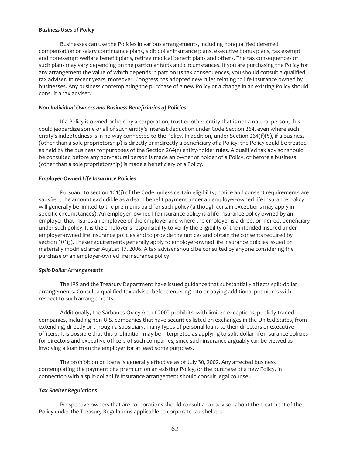# *Business Uses of Policy*

Businesses can use the Policies in various arrangements, including nonqualified deferred compensation or salary continuance plans, split dollar insurance plans, executive bonus plans, tax exempt and nonexempt welfare benefit plans, retiree medical benefit plans and others. The tax consequences of such plans may vary depending on the particular facts and circumstances. If you are purchasing the Policy for any arrangement the value of which depends in part on its tax consequences, you should consult a qualified tax adviser. In recent years, moreover, Congress has adopted new rules relating to life insurance owned by businesses. Any business contemplating the purchase of a new Policy or a change in an existing Policy should consult a tax adviser.

### *Non-Individual Owners and Business Beneficiaries of Policies*

If a Policy is owned or held by a corporation, trust or other entity that is not a natural person, this could jeopardize some or all of such entity's interest deduction under Code Section 264, even where such entity's indebtedness is in no way connected to the Policy. In addition, under Section 264(f)(5), if a business (other than a sole proprietorship) is directly or indirectly a beneficiary of a Policy, the Policy could be treated as held by the business for purposes of the Section 264(f) entity-holder rules. A qualified tax advisor should be consulted before any non-natural person is made an owner or holder of a Policy, or before a business (other than a sole proprietorship) is made a beneficiary of a Policy.

### *Employer-Owned Life Insurance Policies*

Pursuant to section 101(j) of the Code, unless certain eligibility, notice and consent requirements are satisfied, the amount excludible as a death benefit payment under an employer-owned life insurance policy will generally be limited to the premiums paid for such policy (although certain exceptions may apply in specific circumstances). An employer- owned life insurance policy is a life insurance policy owned by an employer that insures an employee of the employer and where the employer is a direct or indirect beneficiary under such policy. It is the employer's responsibility to verify the eligibility of the intended insured under employer-owned life insurance policies and to provide the notices and obtain the consents required by section 101(j). These requirements generally apply to employer-owned life insurance policies issued or materially modified after August 17, 2006. A tax adviser should be consulted by anyone considering the purchase of an employer-owned life insurance policy.

#### *Split-Dollar Arrangements*

The IRS and the Treasury Department have issued guidance that substantially affects split-dollar arrangements. Consult a qualified tax adviser before entering into or paying additional premiums with respect to such arrangements.

Additionally, the Sarbanes-Oxley Act of 2002 prohibits, with limited exceptions, publicly-traded companies, including non-U.S. companies that have securities listed on exchanges in the United States, from extending, directly or through a subsidiary, many types of personal loans to their directors or executive officers. It is possible that this prohibition may be interpreted as applying to split-dollar life insurance policies for directors and executive officers of such companies, since such insurance arguably can be viewed as involving a loan from the employer for at least some purposes.

The prohibition on loans is generally effective as of July 30, 2002. Any affected business contemplating the payment of a premium on an existing Policy, or the purchase of a new Policy, in connection with a split-dollar life insurance arrangement should consult legal counsel.

#### *Tax Shelter Regulations*

Prospective owners that are corporations should consult a tax advisor about the treatment of the Policy under the Treasury Regulations applicable to corporate tax shelters.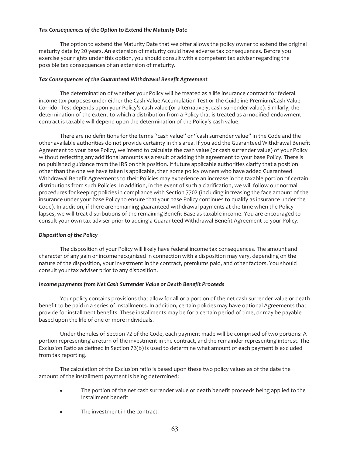# *Tax Consequences of the Option to Extend the Maturity Date*

The option to extend the Maturity Date that we offer allows the policy owner to extend the original maturity date by 20 years. An extension of maturity could have adverse tax consequences. Before you exercise your rights under this option, you should consult with a competent tax adviser regarding the possible tax consequences of an extension of maturity.

# *Tax Consequences of the Guaranteed Withdrawal Benefit Agreement*

The determination of whether your Policy will be treated as a life insurance contract for federal income tax purposes under either the Cash Value Accumulation Test or the Guideline Premium/Cash Value Corridor Test depends upon your Policy's cash value (or alternatively, cash surrender value). Similarly, the determination of the extent to which a distribution from a Policy that is treated as a modified endowment contract is taxable will depend upon the determination of the Policy's cash value.

There are no definitions for the terms "cash value" or "cash surrender value" in the Code and the other available authorities do not provide certainty in this area. If you add the Guaranteed Withdrawal Benefit Agreement to your base Policy, we intend to calculate the cash value (or cash surrender value) of your Policy without reflecting any additional amounts as a result of adding this agreement to your base Policy. There is no published guidance from the IRS on this position. If future applicable authorities clarify that a position other than the one we have taken is applicable, then some policy owners who have added Guaranteed Withdrawal Benefit Agreements to their Policies may experience an increase in the taxable portion of certain distributions from such Policies. In addition, in the event of such a clarification, we will follow our normal procedures for keeping policies in compliance with Section 7702 (including increasing the face amount of the insurance under your base Policy to ensure that your base Policy continues to qualify as insurance under the Code). In addition, if there are remaining guaranteed withdrawal payments at the time when the Policy lapses, we will treat distributions of the remaining Benefit Base as taxable income. You are encouraged to consult your own tax adviser prior to adding a Guaranteed Withdrawal Benefit Agreement to your Policy.

# *Disposition of the Policy*

The disposition of your Policy will likely have federal income tax consequences. The amount and character of any gain or income recognized in connection with a disposition may vary, depending on the nature of the disposition, your investment in the contract, premiums paid, and other factors. You should consult your tax adviser prior to any disposition.

## *Income payments from Net Cash Surrender Value or Death Benefit Proceeds*

Your policy contains provisions that allow for all or a portion of the net cash surrender value or death benefit to be paid in a series of installments. In addition, certain policies may have optional Agreements that provide for installment benefits. These installments may be for a certain period of time, or may be payable based upon the life of one or more individuals.

Under the rules of Section 72 of the Code, each payment made will be comprised of two portions: A portion representing a return of the investment in the contract, and the remainder representing interest. The Exclusion Ratio as defined in Section 72(b) is used to determine what amount of each payment is excluded from tax reporting.

The calculation of the Exclusion ratio is based upon these two policy values as of the date the amount of the installment payment is being determined:

- The portion of the net cash surrender value or death benefit proceeds being applied to the installment benefit
- The investment in the contract.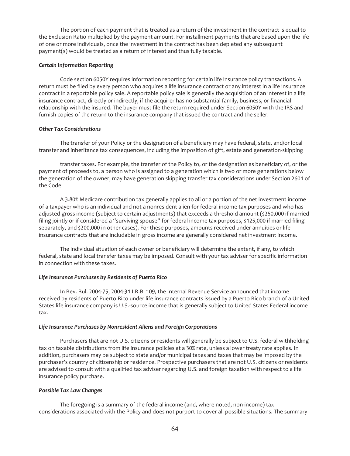The portion of each payment that is treated as a return of the investment in the contract is equal to the Exclusion Ratio multiplied by the payment amount. For installment payments that are based upon the life of one or more individuals, once the investment in the contract has been depleted any subsequent payment(s) would be treated as a return of interest and thus fully taxable.

# *Certain Information Reporting*

Code section 6050Y requires information reporting for certain life insurance policy transactions. A return must be filed by every person who acquires a life insurance contract or any interest in a life insurance contract in a reportable policy sale. A reportable policy sale is generally the acquisition of an interest in a life insurance contract, directly or indirectly, if the acquirer has no substantial family, business, or financial relationship with the insured. The buyer must file the return required under Section 6050Y with the IRS and furnish copies of the return to the insurance company that issued the contract and the seller.

# *Other Tax Considerations*

The transfer of your Policy or the designation of a beneficiary may have federal, state, and/or local transfer and inheritance tax consequences, including the imposition of gift, estate and generation-skipping

transfer taxes. For example, the transfer of the Policy to, or the designation as beneficiary of, or the payment of proceeds to, a person who is assigned to a generation which is two or more generations below the generation of the owner, may have generation skipping transfer tax considerations under Section 2601 of the Code.

A 3.80% Medicare contribution tax generally applies to all or a portion of the net investment income of a taxpayer who is an individual and not a nonresident alien for federal income tax purposes and who has adjusted gross income (subject to certain adjustments) that exceeds a threshold amount (\$250,000 if married filing jointly or if considered a "surviving spouse" for federal income tax purposes, \$125,000 if married filing separately, and \$200,000 in other cases). For these purposes, amounts received under annuities or life insurance contracts that are includable in gross income are generally considered net investment income.

The individual situation of each owner or beneficiary will determine the extent, if any, to which federal, state and local transfer taxes may be imposed. Consult with your tax adviser for specific information in connection with these taxes.

# *Life Insurance Purchases by Residents of Puerto Rico*

In Rev. Rul. 2004-75, 2004-31 I.R.B. 109, the Internal Revenue Service announced that income received by residents of Puerto Rico under life insurance contracts issued by a Puerto Rico branch of a United States life insurance company is U.S.-source income that is generally subject to United States Federal income tax.

# *Life Insurance Purchases by Nonresident Aliens and Foreign Corporations*

Purchasers that are not U.S. citizens or residents will generally be subject to U.S. federal withholding tax on taxable distributions from life insurance policies at a 30% rate, unless a lower treaty rate applies. In addition, purchasers may be subject to state and/or municipal taxes and taxes that may be imposed by the purchaser's country of citizenship or residence. Prospective purchasers that are not U.S. citizens or residents are advised to consult with a qualified tax adviser regarding U.S. and foreign taxation with respect to a life insurance policy purchase.

# *Possible Tax Law Changes*

The foregoing is a summary of the federal income (and, where noted, non-income) tax considerations associated with the Policy and does not purport to cover all possible situations. The summary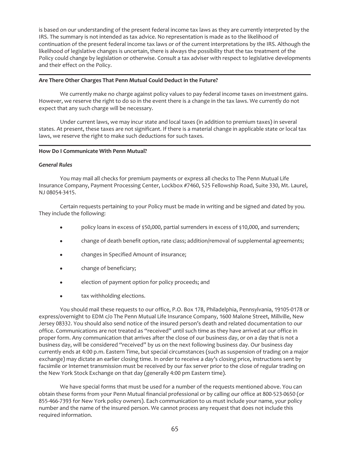is based on our understanding of the present federal income tax laws as they are currently interpreted by the IRS. The summary is not intended as tax advice. No representation is made as to the likelihood of continuation of the present federal income tax laws or of the current interpretations by the IRS. Although the likelihood of legislative changes is uncertain, there is always the possibility that the tax treatment of the Policy could change by legislation or otherwise. Consult a tax adviser with respect to legislative developments and their effect on the Policy.

### **Are There Other Charges That Penn Mutual Could Deduct in the Future?**

We currently make no charge against policy values to pay federal income taxes on investment gains. However, we reserve the right to do so in the event there is a change in the tax laws. We currently do not expect that any such charge will be necessary.

Under current laws, we may incur state and local taxes (in addition to premium taxes) in several states. At present, these taxes are not significant. If there is a material change in applicable state or local tax laws, we reserve the right to make such deductions for such taxes.

### **How Do I Communicate With Penn Mutual?**

### *General Rules*

You may mail all checks for premium payments or express all checks to The Penn Mutual Life Insurance Company, Payment Processing Center, Lockbox #7460, 525 Fellowship Road, Suite 330, Mt. Laurel, NJ 08054-3415.

Certain requests pertaining to your Policy must be made in writing and be signed and dated by you. They include the following:

- policy loans in excess of \$50,000, partial surrenders in excess of \$10,000, and surrenders;
- change of death benefit option, rate class; addition/removal of supplemental agreements;
- changes in Specified Amount of insurance;
- change of beneficiary;
- election of payment option for policy proceeds; and
- tax withholding elections.

You should mail these requests to our office, P.O. Box 178, Philadelphia, Pennsylvania, 19105-0178 or express/overnight to EDM c/o The Penn Mutual Life Insurance Company, 1600 Malone Street, Millville, New Jersey 08332. You should also send notice of the insured person's death and related documentation to our office. Communications are not treated as "received" until such time as they have arrived at our office in proper form. Any communication that arrives after the close of our business day, or on a day that is not a business day, will be considered "received" by us on the next following business day. Our business day currently ends at 4:00 p.m. Eastern Time, but special circumstances (such as suspension of trading on a major exchange) may dictate an earlier closing time. In order to receive a day's closing price, instructions sent by facsimile or Internet transmission must be received by our fax server prior to the close of regular trading on the New York Stock Exchange on that day (generally 4:00 pm Eastern time).

We have special forms that must be used for a number of the requests mentioned above. You can obtain these forms from your Penn Mutual financial professional or by calling our office at 800-523-0650 (or 855-466-7393 for New York policy owners). Each communication to us must include your name, your policy number and the name of the insured person. We cannot process any request that does not include this required information.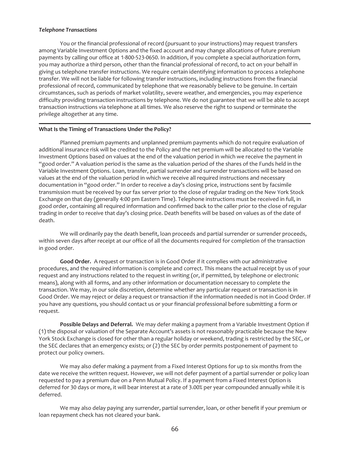### *Telephone Transactions*

You or the financial professional of record (pursuant to your instructions) may request transfers among Variable Investment Options and the fixed account and may change allocations of future premium payments by calling our office at 1-800-523-0650. In addition, if you complete a special authorization form, you may authorize a third person, other than the financial professional of record, to act on your behalf in giving us telephone transfer instructions. We require certain identifying information to process a telephone transfer. We will not be liable for following transfer instructions, including instructions from the financial professional of record, communicated by telephone that we reasonably believe to be genuine. In certain circumstances, such as periods of market volatility, severe weather, and emergencies, you may experience difficulty providing transaction instructions by telephone. We do not guarantee that we will be able to accept transaction instructions via telephone at all times. We also reserve the right to suspend or terminate the privilege altogether at any time.

### **What Is the Timing of Transactions Under the Policy?**

Planned premium payments and unplanned premium payments which do not require evaluation of additional insurance risk will be credited to the Policy and the net premium will be allocated to the Variable Investment Options based on values at the end of the valuation period in which we receive the payment in "good order." A valuation period is the same as the valuation period of the shares of the Funds held in the Variable Investment Options. Loan, transfer, partial surrender and surrender transactions will be based on values at the end of the valuation period in which we receive all required instructions and necessary documentation in "good order." In order to receive a day's closing price, instructions sent by facsimile transmission must be received by our fax server prior to the close of regular trading on the New York Stock Exchange on that day (generally 4:00 pm Eastern Time). Telephone instructions must be received in full, in good order, containing all required information and confirmed back to the caller prior to the close of regular trading in order to receive that day's closing price. Death benefits will be based on values as of the date of death.

We will ordinarily pay the death benefit, loan proceeds and partial surrender or surrender proceeds, within seven days after receipt at our office of all the documents required for completion of the transaction in good order.

**Good Order.** A request or transaction is in Good Order if it complies with our administrative procedures, and the required information is complete and correct. This means the actual receipt by us of your request and any instructions related to the request in writing (or, if permitted, by telephone or electronic means), along with all forms, and any other information or documentation necessary to complete the transaction. We may, in our sole discretion, determine whether any particular request or transaction is in Good Order. We may reject or delay a request or transaction if the information needed is not in Good Order. If you have any questions, you should contact us or your financial professional before submitting a form or request.

**Possible Delays and Deferral.** We may defer making a payment from a Variable Investment Option if (1) the disposal or valuation of the Separate Account's assets is not reasonably practicable because the New York Stock Exchange is closed for other than a regular holiday or weekend, trading is restricted by the SEC, or the SEC declares that an emergency exists; or (2) the SEC by order permits postponement of payment to protect our policy owners.

We may also defer making a payment from a Fixed Interest Options for up to six months from the date we receive the written request. However, we will not defer payment of a partial surrender or policy loan requested to pay a premium due on a Penn Mutual Policy. If a payment from a Fixed Interest Option is deferred for 30 days or more, it will bear interest at a rate of 3.00% per year compounded annually while it is deferred.

We may also delay paying any surrender, partial surrender, loan, or other benefit if your premium or loan repayment check has not cleared your bank.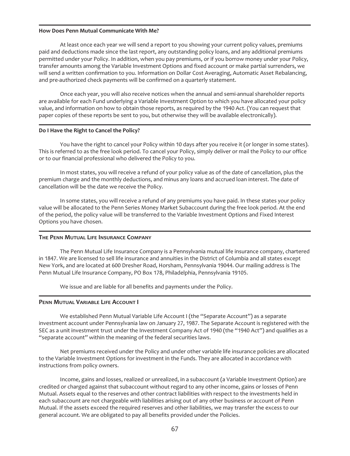### **How Does Penn Mutual Communicate With Me?**

At least once each year we will send a report to you showing your current policy values, premiums paid and deductions made since the last report, any outstanding policy loans, and any additional premiums permitted under your Policy. In addition, when you pay premiums, or if you borrow money under your Policy, transfer amounts among the Variable Investment Options and fixed account or make partial surrenders, we will send a written confirmation to you. Information on Dollar Cost Averaging, Automatic Asset Rebalancing, and pre-authorized check payments will be confirmed on a quarterly statement.

Once each year, you will also receive notices when the annual and semi-annual shareholder reports are available for each Fund underlying a Variable Investment Option to which you have allocated your policy value, and information on how to obtain those reports, as required by the 1940 Act. (You can request that paper copies of these reports be sent to you, but otherwise they will be available electronically).

### **Do I Have the Right to Cancel the Policy?**

You have the right to cancel your Policy within 10 days after you receive it (or longer in some states). This is referred to as the free look period. To cancel your Policy, simply deliver or mail the Policy to our office or to our financial professional who delivered the Policy to you.

In most states, you will receive a refund of your policy value as of the date of cancellation, plus the premium charge and the monthly deductions, and minus any loans and accrued loan interest. The date of cancellation will be the date we receive the Policy.

In some states, you will receive a refund of any premiums you have paid. In these states your policy value will be allocated to the Penn Series Money Market Subaccount during the free look period. At the end of the period, the policy value will be transferred to the Variable Investment Options and Fixed Interest Options you have chosen.

#### **THE PENN MUTUAL LIFE INSURANCE COMPANY**

The Penn Mutual Life Insurance Company is a Pennsylvania mutual life insurance company, chartered in 1847. We are licensed to sell life insurance and annuities in the District of Columbia and all states except New York, and are located at 600 Dresher Road, Horsham, Pennsylvania 19044. Our mailing address is The Penn Mutual Life Insurance Company, PO Box 178, Philadelphia, Pennsylvania 19105.

We issue and are liable for all benefits and payments under the Policy.

### **PENN MUTUAL VARIABLE LIFE ACCOUNT I**

We established Penn Mutual Variable Life Account I (the "Separate Account") as a separate investment account under Pennsylvania law on January 27, 1987. The Separate Account is registered with the SEC as a unit investment trust under the Investment Company Act of 1940 (the "1940 Act") and qualifies as a "separate account" within the meaning of the federal securities laws.

Net premiums received under the Policy and under other variable life insurance policies are allocated to the Variable Investment Options for investment in the Funds. They are allocated in accordance with instructions from policy owners.

Income, gains and losses, realized or unrealized, in a subaccount (a Variable Investment Option) are credited or charged against that subaccount without regard to any other income, gains or losses of Penn Mutual. Assets equal to the reserves and other contract liabilities with respect to the investments held in each subaccount are not chargeable with liabilities arising out of any other business or account of Penn Mutual. If the assets exceed the required reserves and other liabilities, we may transfer the excess to our general account. We are obligated to pay all benefits provided under the Policies.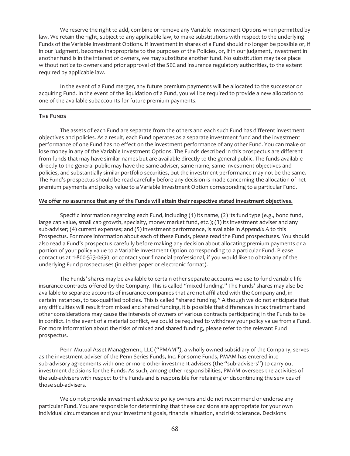We reserve the right to add, combine or remove any Variable Investment Options when permitted by law. We retain the right, subject to any applicable law, to make substitutions with respect to the underlying Funds of the Variable Investment Options. If investment in shares of a Fund should no longer be possible or, if in our judgment, becomes inappropriate to the purposes of the Policies, or, if in our judgment, investment in another fund is in the interest of owners, we may substitute another fund. No substitution may take place without notice to owners and prior approval of the SEC and insurance regulatory authorities, to the extent required by applicable law.

In the event of a Fund merger, any future premium payments will be allocated to the successor or acquiring Fund. In the event of the liquidation of a Fund, you will be required to provide a new allocation to one of the available subaccounts for future premium payments.

### **THE FUNDS**

The assets of each Fund are separate from the others and each such Fund has different investment objectives and policies. As a result, each Fund operates as a separate investment fund and the investment performance of one Fund has no effect on the investment performance of any other Fund. You can make or lose money in any of the Variable Investment Options. The Funds described in this prospectus are different from funds that may have similar names but are available directly to the general public. The funds available directly to the general public may have the same adviser, same name, same investment objectives and policies, and substantially similar portfolio securities, but the investment performance may not be the same. The Fund's prospectus should be read carefully before any decision is made concerning the allocation of net premium payments and policy value to a Variable Investment Option corresponding to a particular Fund.

## **We offer no assurance that any of the Funds will attain their respective stated investment objectives.**

Specific information regarding each Fund, including (1) its name, (2) its fund type (e.g., bond fund, large cap value, small cap growth, specialty, money market fund, etc.); (3) its investment adviser and any sub-adviser; (4) current expenses; and (5) investment performance, is available in *Appendix A* to this Prospectus. For more information about each of these Funds, please read the Fund prospectuses. You should also read a Fund's prospectus carefully before making any decision about allocating premium payments or a portion of your policy value to a Variable Investment Option corresponding to a particular Fund. Please contact us at 1-800-523-0650, or contact your financial professional, if you would like to obtain any of the underlying Fund prospectuses (in either paper or electronic format).

The Funds' shares may be available to certain other separate accounts we use to fund variable life insurance contracts offered by the Company. This is called "mixed funding." The Funds' shares may also be available to separate accounts of insurance companies that are not affiliated with the Company and, in certain instances, to tax-qualified policies. This is called "shared funding." Although we do not anticipate that any difficulties will result from mixed and shared funding, it is possible that differences in tax treatment and other considerations may cause the interests of owners of various contracts participating in the Funds to be in conflict. In the event of a material conflict, we could be required to withdraw your policy value from a Fund. For more information about the risks of mixed and shared funding, please refer to the relevant Fund prospectus.

Penn Mutual Asset Management, LLC ("PMAM"), a wholly owned subsidiary of the Company, serves as the investment adviser of the Penn Series Funds, Inc. For some Funds, PMAM has entered into sub-advisory agreements with one or more other investment advisers (the "sub-advisers") to carry out investment decisions for the Funds. As such, among other responsibilities, PMAM oversees the activities of the sub-advisers with respect to the Funds and is responsible for retaining or discontinuing the services of those sub-advisers.

We do not provide investment advice to policy owners and do not recommend or endorse any particular Fund. You are responsible for determining that these decisions are appropriate for your own individual circumstances and your investment goals, financial situation, and risk tolerance. Decisions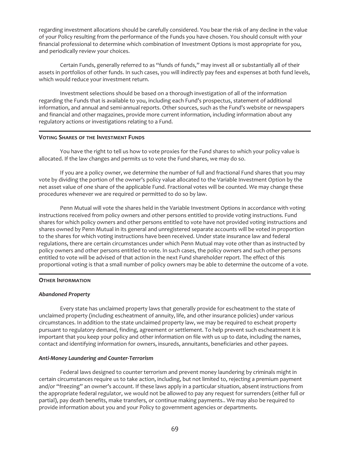regarding investment allocations should be carefully considered. You bear the risk of any decline in the value of your Policy resulting from the performance of the Funds you have chosen. You should consult with your financial professional to determine which combination of Investment Options is most appropriate for you, and periodically review your choices.

Certain Funds, generally referred to as "funds of funds," may invest all or substantially all of their assets in portfolios of other funds. In such cases, you will indirectly pay fees and expenses at both fund levels, which would reduce your investment return.

Investment selections should be based on a thorough investigation of all of the information regarding the Funds that is available to you, including each Fund's prospectus, statement of additional information, and annual and semi-annual reports. Other sources, such as the Fund's website or newspapers and financial and other magazines, provide more current information, including information about any regulatory actions or investigations relating to a Fund.

### **VOTING SHARES OF THE INVESTMENT FUNDS**

You have the right to tell us how to vote proxies for the Fund shares to which your policy value is allocated. If the law changes and permits us to vote the Fund shares, we may do so.

If you are a policy owner, we determine the number of full and fractional Fund shares that you may vote by dividing the portion of the owner's policy value allocated to the Variable Investment Option by the net asset value of one share of the applicable Fund. Fractional votes will be counted. We may change these procedures whenever we are required or permitted to do so by law.

Penn Mutual will vote the shares held in the Variable Investment Options in accordance with voting instructions received from policy owners and other persons entitled to provide voting instructions. Fund shares for which policy owners and other persons entitled to vote have not provided voting instructions and shares owned by Penn Mutual in its general and unregistered separate accounts will be voted in proportion to the shares for which voting instructions have been received. Under state insurance law and federal regulations, there are certain circumstances under which Penn Mutual may vote other than as instructed by policy owners and other persons entitled to vote. In such cases, the policy owners and such other persons entitled to vote will be advised of that action in the next Fund shareholder report. The effect of this proportional voting is that a small number of policy owners may be able to determine the outcome of a vote.

## **OTHER INFORMATION**

## *Abandoned Property*

Every state has unclaimed property laws that generally provide for escheatment to the state of unclaimed property (including escheatment of annuity, life, and other insurance policies) under various circumstances. In addition to the state unclaimed property law, we may be required to escheat property pursuant to regulatory demand, finding, agreement or settlement. To help prevent such escheatment it is important that you keep your policy and other information on file with us up to date, including the names, contact and identifying information for owners, insureds, annuitants, beneficiaries and other payees.

## *Anti-Money Laundering and Counter-Terrorism*

Federal laws designed to counter terrorism and prevent money laundering by criminals might in certain circumstances require us to take action, including, but not limited to, rejecting a premium payment and/or "freezing" an owner's account. If these laws apply in a particular situation, absent instructions from the appropriate federal regulator, we would not be allowed to pay any request for surrenders (either full or partial), pay death benefits, make transfers, or continue making payments.. We may also be required to provide information about you and your Policy to government agencies or departments.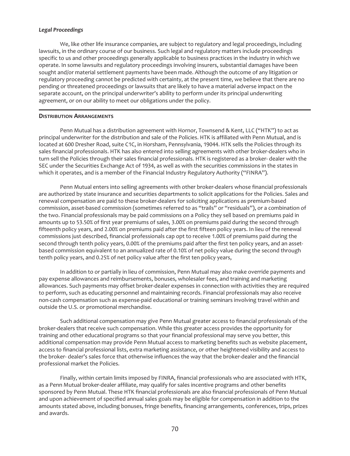# *Legal Proceedings*

We, like other life insurance companies, are subject to regulatory and legal proceedings, including lawsuits, in the ordinary course of our business. Such legal and regulatory matters include proceedings specific to us and other proceedings generally applicable to business practices in the industry in which we operate. In some lawsuits and regulatory proceedings involving insurers, substantial damages have been sought and/or material settlement payments have been made. Although the outcome of any litigation or regulatory proceeding cannot be predicted with certainty, at the present time, we believe that there are no pending or threatened proceedings or lawsuits that are likely to have a material adverse impact on the separate account, on the principal underwriter's ability to perform under its principal underwriting agreement, or on our ability to meet our obligations under the policy.

# **DISTRIBUTION ARRANGEMENTS**

Penn Mutual has a distribution agreement with Hornor, Townsend & Kent, LLC ("HTK") to act as principal underwriter for the distribution and sale of the Policies. HTK is affiliated with Penn Mutual, and is located at 600 Dresher Road, suite C1C, in Horsham, Pennsylvania, 19044. HTK sells the Policies through its sales financial professionals. HTK has also entered into selling agreements with other broker-dealers who in turn sell the Policies through their sales financial professionals. HTK is registered as a broker- dealer with the SEC under the Securities Exchange Act of 1934, as well as with the securities commissions in the states in which it operates, and is a member of the Financial Industry Regulatory Authority ("FINRA").

Penn Mutual enters into selling agreements with other broker-dealers whose financial professionals are authorized by state insurance and securities departments to solicit applications for the Policies. Sales and renewal compensation are paid to these broker-dealers for soliciting applications as premium-based commission, asset-based commission (sometimes referred to as "trails" or "residuals"), or a combination of the two. Financial professionals may be paid commissions on a Policy they sell based on premiums paid in amounts up to 53.50% of first year premiums of sales, 3.00% on premiums paid during the second through fifteenth policy years, and 2.00% on premiums paid after the first fifteen policy years. In lieu of the renewal commissions just described, financial professionals cap opt to receive 1.00% of premiums paid during the second through tenth policy years, 0.00% of the premiums paid after the first ten policy years, and an assetbased commission equivalent to an annualized rate of 0.10% of net policy value during the second through tenth policy years, and 0.25% of net policy value after the first ten policy years,

In addition to or partially in lieu of commission, Penn Mutual may also make override payments and pay expense allowances and reimbursements, bonuses, wholesaler fees, and training and marketing allowances. Such payments may offset broker-dealer expenses in connection with activities they are required to perform, such as educating personnel and maintaining records. Financial professionals may also receive non-cash compensation such as expense-paid educational or training seminars involving travel within and outside the U.S. or promotional merchandise.

Such additional compensation may give Penn Mutual greater access to financial professionals of the broker-dealers that receive such compensation. While this greater access provides the opportunity for training and other educational programs so that your financial professional may serve you better, this additional compensation may provide Penn Mutual access to marketing benefits such as website placement, access to financial professional lists, extra marketing assistance, or other heightened visibility and access to the broker- dealer's sales force that otherwise influences the way that the broker-dealer and the financial professional market the Policies.

Finally, within certain limits imposed by FINRA, financial professionals who are associated with HTK, as a Penn Mutual broker-dealer affiliate, may qualify for sales incentive programs and other benefits sponsored by Penn Mutual. These HTK financial professionals are also financial professionals of Penn Mutual and upon achievement of specified annual sales goals may be eligible for compensation in addition to the amounts stated above, including bonuses, fringe benefits, financing arrangements, conferences, trips, prizes and awards.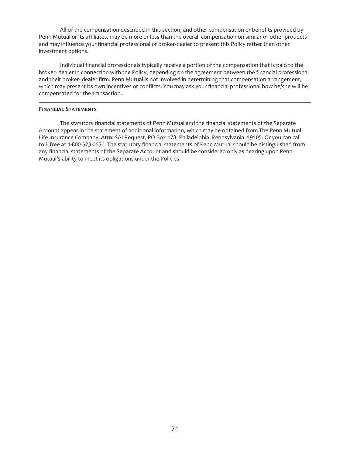All of the compensation described in this section, and other compensation or benefits provided by Penn Mutual or its affiliates, may be more or less than the overall compensation on similar or other products and may influence your financial professional or broker-dealer to present this Policy rather than other investment options.

Individual financial professionals typically receive a portion of the compensation that is paid to the broker- dealer in connection with the Policy, depending on the agreement between the financial professional and their broker- dealer firm. Penn Mutual is not involved in determining that compensation arrangement, which may present its own incentives or conflicts. You may ask your financial professional how he/she will be compensated for the transaction.

# **FINANCIAL STATEMENTS**

The statutory financial statements of Penn Mutual and the financial statements of the Separate Account appear in the statement of additional information, which may be obtained from The Penn Mutual Life Insurance Company, Attn: SAI Request, PO Box 178, Philadelphia, Pennsylvania, 19105. Or you can call toll- free at 1-800-523-0650. The statutory financial statements of Penn Mutual should be distinguished from any financial statements of the Separate Account and should be considered only as bearing upon Penn Mutual's ability to meet its obligations under the Policies.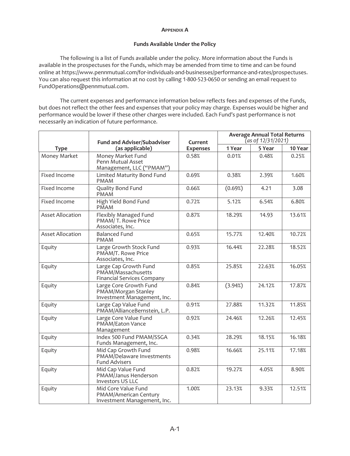## **APPENDIX A**

# **Funds Available Under the Policy**

The following is a list of Funds available under the policy. More information about the Funds is available in the prospectuses for the Funds, which may be amended from time to time and can be found online at https://www.pennmutual.com/for-individuals-and-businesses/performance-and-rates/prospectuses. You can also request this information at no cost by calling 1-800-523-0650 or sending an email request to FundOperations@pennmutual.com.

The current expenses and performance information below reflects fees and expenses of the Funds, but does not reflect the other fees and expenses that your policy may charge. Expenses would be higher and performance would be lower if these other charges were included. Each Fund's past performance is not necessarily an indication of future performance.

|                         | <b>Fund and Adviser/Subadviser</b><br>(as applicable)                            | Current<br><b>Expenses</b> | <b>Average Annual Total Returns</b><br>(as of 12/31/2021) |        |         |
|-------------------------|----------------------------------------------------------------------------------|----------------------------|-----------------------------------------------------------|--------|---------|
| <b>Type</b>             |                                                                                  |                            | 1 Year                                                    | 5 Year | 10 Year |
| Money Market            | Money Market Fund<br>Penn Mutual Asset<br>Management, LLC ("PMAM")               | 0.58%                      | 0.01%                                                     | 0.48%  | 0.25%   |
| Fixed Income            | Limited Maturity Bond Fund<br><b>PMAM</b>                                        | 0.69%                      | 0.38%                                                     | 2.39%  | 1.60%   |
| Fixed Income            | Quality Bond Fund<br><b>PMAM</b>                                                 | 0.66%                      | (0.69%)                                                   | 4.21   | 3.08    |
| Fixed Income            | High Yield Bond Fund<br><b>PMAM</b>                                              | 0.72%                      | 5.12%                                                     | 6.54%  | 6.80%   |
| <b>Asset Allocation</b> | Flexibly Managed Fund<br>PMAM/T. Rowe Price<br>Associates, Inc.                  | 0.87%                      | 18.29%                                                    | 14.93  | 13.61%  |
| <b>Asset Allocation</b> | <b>Balanced Fund</b><br><b>PMAM</b>                                              | 0.65%                      | 15.77%                                                    | 12.40% | 10.72%  |
| Equity                  | Large Growth Stock Fund<br>PMAM/T. Rowe Price<br>Associates, Inc.                | 0.93%                      | 16.44%                                                    | 22.28% | 18.52%  |
| Equity                  | Large Cap Growth Fund<br>PMAM/Massachusetts<br><b>Financial Services Company</b> | 0.85%                      | 25.85%                                                    | 22.63% | 16.05%  |
| Equity                  | Large Core Growth Fund<br>PMAM/Morgan Stanley<br>Investment Management, Inc.     | 0.84%                      | (3.94%)                                                   | 24.12% | 17.87%  |
| Equity                  | Large Cap Value Fund<br>PMAM/AllianceBernstein, L.P.                             | 0.91%                      | 27.88%                                                    | 11.32% | 11.85%  |
| Equity                  | Large Core Value Fund<br>PMAM/Eaton Vance<br>Management                          | 0.92%                      | 24.46%                                                    | 12.26% | 12.45%  |
| Equity                  | Index 500 Fund PMAM/SSGA<br>Funds Management, Inc.                               | 0.34%                      | 28.29%                                                    | 18.15% | 16.18%  |
| Equity                  | Mid Cap Growth Fund<br>PMAM/Delaware Investments<br><b>Fund Advisers</b>         | 0.98%                      | 16.66%                                                    | 25.11% | 17.18%  |
| Equity                  | Mid Cap Value Fund<br>PMAM/Janus Henderson<br>Investors US LLC                   | 0.82%                      | 19.27%                                                    | 4.05%  | 8.90%   |
| Equity                  | Mid Core Value Fund<br>PMAM/American Century<br>Investment Management, Inc.      | 1.00%                      | 23.13%                                                    | 9.33%  | 12.51%  |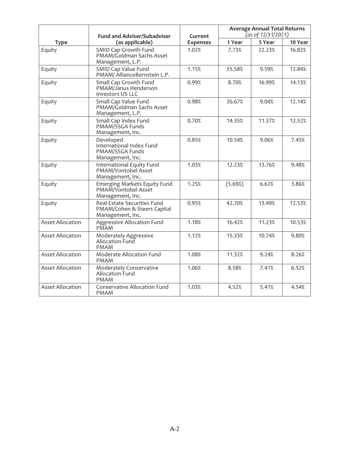| <b>Type</b>             | <b>Fund and Adviser/Subadviser</b><br>(as applicable)                          | Current<br><b>Expenses</b> | <b>Average Annual Total Returns</b><br>(as of 12/31/2021) |        |         |
|-------------------------|--------------------------------------------------------------------------------|----------------------------|-----------------------------------------------------------|--------|---------|
|                         |                                                                                |                            | 1 Year                                                    | 5 Year | 10 Year |
| Equity                  | SMID Cap Growth Fund<br>PMAM/Goldman Sachs Asset<br>Management, L.P.           | 1.02%                      | 7.73%                                                     | 22.23% | 16.82%  |
| Equity                  | SMID Cap Value Fund<br>PMAM/ AllianceBernstein L.P.                            | 1.15%                      | 35.58%                                                    | 9.59%  | 12.84%  |
| Equity                  | Small Cap Growth Fund<br>PMAM/Janus Henderson<br>Investors US LLC              | 0.99%                      | 8.70%                                                     | 16.99% | 14.13%  |
| Equity                  | Small Cap Value Fund<br>PMAM/Goldman Sachs Asset<br>Management, L.P.           | 0.98%                      | 26.67%                                                    | 9.04%  | 12.14%  |
| Equity                  | Small Cap Index Fund<br>PMAM/SSGA Funds<br>Management, Inc.                    | 0.70%                      | 14.35%                                                    | 11.37% | 12.52%  |
| Equity                  | Developed<br>International Index Fund<br>PMAM/SSGA Funds<br>Management, Inc.   | 0.85%                      | 10.54%                                                    | 9.06%  | 7.45%   |
| Equity                  | International Equity Fund<br>PMAM/Vontobel Asset<br>Management, Inc.           | 1.03%                      | 12.23%                                                    | 13.76% | 9.48%   |
| Equity                  | <b>Emerging Markets Equity Fund</b><br>PMAM/Vontobel Asset<br>Management, Inc. | 1.25%                      | (5.69%)                                                   | 6.62%  | 3.86%   |
| Equity                  | Real Estate Securities Fund<br>PMAM/Cohen & Steers Capital<br>Management, Inc. | 0.95%                      | 42.70%                                                    | 13.49% | 12.53%  |
| <b>Asset Allocation</b> | Aggressive Allocation Fund<br>PMAM                                             | 1.18%                      | 16.42%                                                    | 11.23% | 10.53%  |
| <b>Asset Allocation</b> | Moderately Aggressive<br>Allocation Fund<br><b>PMAM</b>                        | 1.12%                      | 15.33%                                                    | 10.74% | 9.80%   |
| <b>Asset Allocation</b> | Moderate Allocation Fund<br><b>PMAM</b>                                        | 1.08%                      | 11.32%                                                    | 9.24%  | 8.26%   |
| <b>Asset Allocation</b> | Moderately Conservative<br><b>Allocation Fund</b><br><b>PMAM</b>               | 1.06%                      | 8.58%                                                     | 7.41%  | 6.52%   |
| <b>Asset Allocation</b> | <b>Conservative Allocation Fund</b><br><b>PMAM</b>                             | 1.03%                      | 4.52%                                                     | 5.41%  | 4.54%   |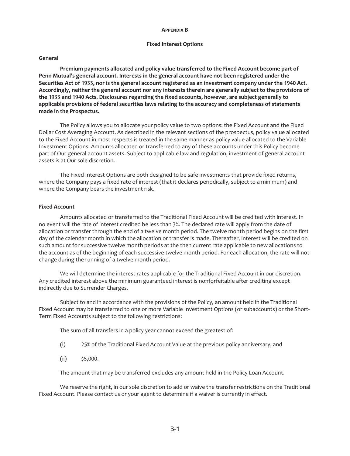#### **APPENDIX B**

#### **Fixed Interest Options**

#### **General**

**Premium payments allocated and policy value transferred to the Fixed Account become part of Penn Mutual's general account. Interests in the general account have not been registered under the Securities Act of 1933, nor is the general account registered as an investment company under the 1940 Act. Accordingly, neither the general account nor any interests therein are generally subject to the provisions of the 1933 and 1940 Acts. Disclosures regarding the fixed accounts, however, are subject generally to applicable provisions of federal securities laws relating to the accuracy and completeness of statements made in the Prospectus.**

The Policy allows you to allocate your policy value to two options: the Fixed Account and the Fixed Dollar Cost Averaging Account. As described in the relevant sections of the prospectus, policy value allocated to the Fixed Account in most respects is treated in the same manner as policy value allocated to the Variable Investment Options. Amounts allocated or transferred to any of these accounts under this Policy become part of Our general account assets. Subject to applicable law and regulation, investment of general account assets is at Our sole discretion.

The Fixed Interest Options are both designed to be safe investments that provide fixed returns, where the Company pays a fixed rate of interest (that it declares periodically, subject to a minimum) and where the Company bears the investment risk.

## **Fixed Account**

Amounts allocated or transferred to the Traditional Fixed Account will be credited with interest. In no event will the rate of interest credited be less than 3%. The declared rate will apply from the date of allocation or transfer through the end of a twelve month period. The twelve month period begins on the first day of the calendar month in which the allocation or transfer is made. Thereafter, interest will be credited on such amount for successive twelve month periods at the then current rate applicable to new allocations to the account as of the beginning of each successive twelve month period. For each allocation, the rate will not change during the running of a twelve month period.

We will determine the interest rates applicable for the Traditional Fixed Account in our discretion. Any credited interest above the minimum guaranteed interest is nonforfeitable after crediting except indirectly due to Surrender Charges.

Subject to and in accordance with the provisions of the Policy, an amount held in the Traditional Fixed Account may be transferred to one or more Variable Investment Options (or subaccounts) or the Short-Term Fixed Accounts subject to the following restrictions:

The sum of all transfers in a policy year cannot exceed the greatest of:

- (i) 25% of the Traditional Fixed Account Value at the previous policy anniversary, and
- $(ii)$  \$5,000.

The amount that may be transferred excludes any amount held in the Policy Loan Account.

We reserve the right, in our sole discretion to add or waive the transfer restrictions on the Traditional Fixed Account. Please contact us or your agent to determine if a waiver is currently in effect.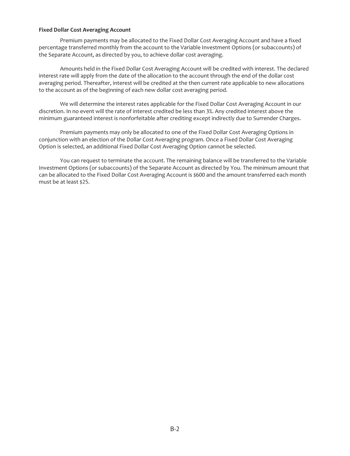# **Fixed Dollar Cost Averaging Account**

Premium payments may be allocated to the Fixed Dollar Cost Averaging Account and have a fixed percentage transferred monthly from the account to the Variable Investment Options (or subaccounts) of the Separate Account, as directed by you, to achieve dollar cost averaging.

Amounts held in the Fixed Dollar Cost Averaging Account will be credited with interest. The declared interest rate will apply from the date of the allocation to the account through the end of the dollar cost averaging period. Thereafter, interest will be credited at the then current rate applicable to new allocations to the account as of the beginning of each new dollar cost averaging period.

We will determine the interest rates applicable for the Fixed Dollar Cost Averaging Account in our discretion. In no event will the rate of interest credited be less than 3%. Any credited interest above the minimum guaranteed interest is nonforfeitable after crediting except indirectly due to Surrender Charges.

Premium payments may only be allocated to one of the Fixed Dollar Cost Averaging Options in conjunction with an election of the Dollar Cost Averaging program. Once a Fixed Dollar Cost Averaging Option is selected, an additional Fixed Dollar Cost Averaging Option cannot be selected.

You can request to terminate the account. The remaining balance will be transferred to the Variable Investment Options (or subaccounts) of the Separate Account as directed by You. The minimum amount that can be allocated to the Fixed Dollar Cost Averaging Account is \$600 and the amount transferred each month must be at least \$25.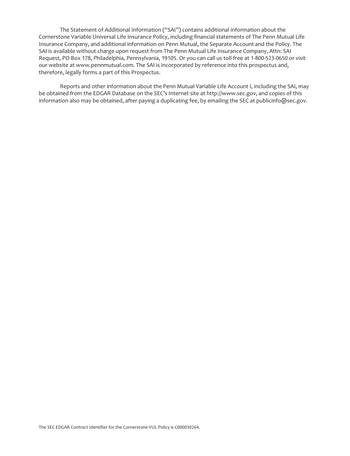The Statement of Additional Information ("SAI") contains additional information about the Cornerstone Variable Universal Life Insurance Policy, including financial statements of The Penn Mutual Life Insurance Company, and additional information on Penn Mutual, the Separate Account and the Policy. The SAI is available without charge upon request from The Penn Mutual Life Insurance Company, Attn: SAI Request, PO Box 178, Philadelphia, Pennsylvania, 19105. Or you can call us toll-free at 1-800-523-0650 or visit our website at www.pennmutual.com. The SAI is incorporated by reference into this prospectus and, therefore, legally forms a part of this Prospectus.

Reports and other information about the Penn Mutual Variable Life Account I, including the SAI, may be obtained from the EDGAR Database on the SEC's Internet site at http://www.sec.gov, and copies of this information also may be obtained, after paying a duplicating fee, by emailing the SEC at publicinfo@sec.gov.